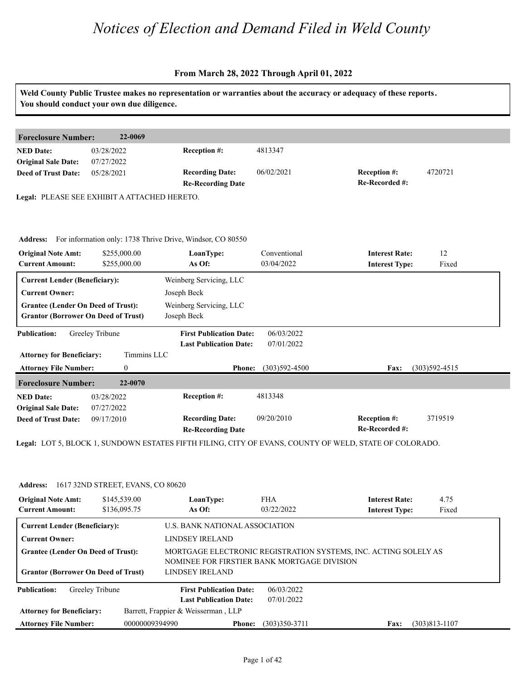|                                                                                         | You should conduct your own due diligence.   |                                                                     |                            | Weld County Public Trustee makes no representation or warranties about the accuracy or adequacy of these reports. |
|-----------------------------------------------------------------------------------------|----------------------------------------------|---------------------------------------------------------------------|----------------------------|-------------------------------------------------------------------------------------------------------------------|
| <b>Foreclosure Number:</b>                                                              | 22-0069                                      |                                                                     |                            |                                                                                                                   |
| <b>NED Date:</b><br><b>Original Sale Date:</b>                                          | 03/28/2022<br>07/27/2022                     | Reception #:                                                        | 4813347                    |                                                                                                                   |
| <b>Deed of Trust Date:</b>                                                              | 05/28/2021                                   | <b>Recording Date:</b><br><b>Re-Recording Date</b>                  | 06/02/2021                 | Reception #:<br>4720721<br>Re-Recorded #:                                                                         |
|                                                                                         | Legal: PLEASE SEE EXHIBIT A ATTACHED HERETO. |                                                                     |                            |                                                                                                                   |
|                                                                                         |                                              | Address: For information only: 1738 Thrive Drive, Windsor, CO 80550 |                            |                                                                                                                   |
| <b>Original Note Amt:</b><br><b>Current Amount:</b>                                     | \$255,000.00<br>\$255,000.00                 | LoanType:<br>As Of:                                                 | Conventional<br>03/04/2022 | 12<br><b>Interest Rate:</b><br>Fixed<br><b>Interest Type:</b>                                                     |
| <b>Current Lender (Beneficiary):</b>                                                    |                                              | Weinberg Servicing, LLC                                             |                            |                                                                                                                   |
| <b>Current Owner:</b>                                                                   |                                              | Joseph Beck                                                         |                            |                                                                                                                   |
| <b>Grantee (Lender On Deed of Trust):</b><br><b>Grantor (Borrower On Deed of Trust)</b> |                                              | Weinberg Servicing, LLC<br>Joseph Beck                              |                            |                                                                                                                   |
| <b>Publication:</b>                                                                     | Greeley Tribune                              | <b>First Publication Date:</b><br><b>Last Publication Date:</b>     | 06/03/2022<br>07/01/2022   |                                                                                                                   |
| <b>Attorney for Beneficiary:</b>                                                        | Timmins LLC                                  |                                                                     |                            |                                                                                                                   |
| <b>Attorney File Number:</b>                                                            | $\overline{0}$                               | <b>Phone:</b>                                                       | $(303)592 - 4500$          | $(303)592 - 4515$<br>Fax:                                                                                         |
| <b>Foreclosure Number:</b>                                                              | 22-0070                                      |                                                                     |                            |                                                                                                                   |
| <b>NED Date:</b><br><b>Original Sale Date:</b>                                          | 03/28/2022<br>07/27/2022                     | Reception #:                                                        | 4813348                    |                                                                                                                   |
| <b>Deed of Trust Date:</b>                                                              | 09/17/2010                                   | <b>Recording Date:</b><br><b>Re-Recording Date</b>                  | 09/20/2010                 | 3719519<br>Reception #:<br>Re-Recorded #:                                                                         |
|                                                                                         |                                              |                                                                     |                            | Legal: LOT 5, BLOCK 1, SUNDOWN ESTATES FIFTH FILING, CITY OF EVANS, COUNTY OF WELD, STATE OF COLORADO.            |

| <b>Address:</b>                                     | 1617 32ND STREET, EVANS, CO 80620 |                                             |                          |                                                                 |                   |
|-----------------------------------------------------|-----------------------------------|---------------------------------------------|--------------------------|-----------------------------------------------------------------|-------------------|
| <b>Original Note Amt:</b><br><b>Current Amount:</b> | \$145,539.00<br>\$136,095.75      | LoanType:<br>As Of:                         | <b>FHA</b><br>03/22/2022 | <b>Interest Rate:</b><br><b>Interest Type:</b>                  | 4.75<br>Fixed     |
| <b>Current Lender (Beneficiary):</b>                |                                   | U.S. BANK NATIONAL ASSOCIATION              |                          |                                                                 |                   |
| <b>Current Owner:</b>                               |                                   | LINDSEY IRELAND                             |                          |                                                                 |                   |
| <b>Grantee (Lender On Deed of Trust):</b>           |                                   | NOMINEE FOR FIRSTIER BANK MORTGAGE DIVISION |                          | MORTGAGE ELECTRONIC REGISTRATION SYSTEMS, INC. ACTING SOLELY AS |                   |
| <b>Grantor (Borrower On Deed of Trust)</b>          |                                   | LINDSEY IRELAND                             |                          |                                                                 |                   |
| <b>Publication:</b>                                 | Greeley Tribune                   | <b>First Publication Date:</b>              | 06/03/2022               |                                                                 |                   |
|                                                     |                                   | <b>Last Publication Date:</b>               | 07/01/2022               |                                                                 |                   |
| <b>Attorney for Beneficiary:</b>                    |                                   | Barrett, Frappier & Weisserman, LLP         |                          |                                                                 |                   |
| <b>Attorney File Number:</b>                        | 00000009394990                    | <b>Phone:</b>                               | $(303)350 - 3711$        | Fax:                                                            | $(303)813 - 1107$ |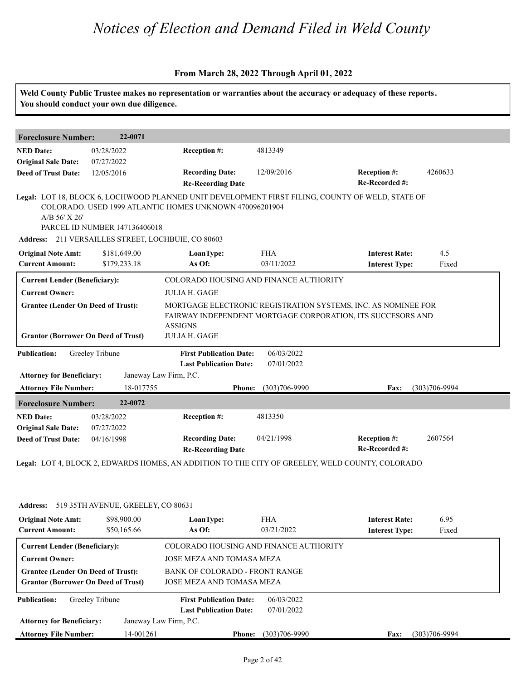#### **From March 28, 2022 Through April 01, 2022**

|                                                                                         | You should conduct your own due diligence.                                          |                                                                 |                          | Weld County Public Trustee makes no representation or warranties about the accuracy or adequacy of these reports.            |                   |  |
|-----------------------------------------------------------------------------------------|-------------------------------------------------------------------------------------|-----------------------------------------------------------------|--------------------------|------------------------------------------------------------------------------------------------------------------------------|-------------------|--|
| <b>Foreclosure Number:</b>                                                              | 22-0071                                                                             |                                                                 |                          |                                                                                                                              |                   |  |
| <b>NED Date:</b>                                                                        | 03/28/2022                                                                          | Reception #:                                                    | 4813349                  |                                                                                                                              |                   |  |
| <b>Original Sale Date:</b><br><b>Deed of Trust Date:</b>                                | 07/27/2022<br>12/05/2016                                                            | <b>Recording Date:</b><br><b>Re-Recording Date</b>              | 12/09/2016               | <b>Reception #:</b><br>Re-Recorded #:                                                                                        | 4260633           |  |
| A/B 56' X 26'                                                                           | PARCEL ID NUMBER 147136406018<br>Address: 211 VERSAILLES STREET, LOCHBUIE, CO 80603 | COLORADO. USED 1999 ATLANTIC HOMES UNKNOWN 470096201904         |                          | Legal: LOT 18, BLOCK 6, LOCHWOOD PLANNED UNIT DEVELOPMENT FIRST FILING, COUNTY OF WELD, STATE OF                             |                   |  |
| <b>Original Note Amt:</b>                                                               | \$181,649.00                                                                        | LoanType:                                                       | <b>FHA</b>               | <b>Interest Rate:</b>                                                                                                        | 4.5               |  |
| <b>Current Amount:</b>                                                                  | \$179,233.18                                                                        | As Of:                                                          | 03/11/2022               | <b>Interest Type:</b>                                                                                                        | Fixed             |  |
| <b>Current Lender (Beneficiary):</b>                                                    |                                                                                     | COLORADO HOUSING AND FINANCE AUTHORITY                          |                          |                                                                                                                              |                   |  |
| <b>Current Owner:</b>                                                                   |                                                                                     | <b>JULIA H. GAGE</b>                                            |                          |                                                                                                                              |                   |  |
| <b>Grantee (Lender On Deed of Trust):</b><br><b>Grantor (Borrower On Deed of Trust)</b> |                                                                                     | <b>ASSIGNS</b><br>JULIA H. GAGE                                 |                          | MORTGAGE ELECTRONIC REGISTRATION SYSTEMS, INC. AS NOMINEE FOR<br>FAIRWAY INDEPENDENT MORTGAGE CORPORATION, ITS SUCCESORS AND |                   |  |
| <b>Publication:</b>                                                                     | Greeley Tribune                                                                     | <b>First Publication Date:</b><br><b>Last Publication Date:</b> | 06/03/2022<br>07/01/2022 |                                                                                                                              |                   |  |
| <b>Attorney for Beneficiary:</b>                                                        | Janeway Law Firm, P.C.                                                              |                                                                 |                          |                                                                                                                              |                   |  |
| <b>Attorney File Number:</b>                                                            | 18-017755                                                                           | <b>Phone:</b>                                                   | $(303)706 - 9990$        | Fax:                                                                                                                         | $(303)706 - 9994$ |  |
| <b>Foreclosure Number:</b>                                                              | 22-0072                                                                             |                                                                 |                          |                                                                                                                              |                   |  |
| <b>NED Date:</b><br><b>Original Sale Date:</b>                                          | 03/28/2022<br>07/27/2022                                                            | Reception #:                                                    | 4813350                  |                                                                                                                              |                   |  |
| <b>Deed of Trust Date:</b>                                                              | 04/16/1998                                                                          | <b>Recording Date:</b><br><b>Re-Recording Date</b>              | 04/21/1998               | Reception #:<br>Re-Recorded #:                                                                                               | 2607564           |  |

**Legal:** LOT 4, BLOCK 2, EDWARDS HOMES, AN ADDITION TO THE CITY OF GREELEY, WELD COUNTY, COLORADO

**LoanType:**

#### Address: 519 35TH AVENUE, GREELEY, CO 80631<br>**Original Note Amt: 598,900.00** LoanType: F.<br>Current Amount: 550,165.66 As Of: 0. **Ionally Reset Rate:** The Section of the Section of the Section of the Section of the Section of the Section of the Section of the Section of the Section of the Section of the Section of the Section of the Section of the S \$50,165.66 03/21/2022 **Interest Type:** Fixed **Current Lender (Beneficiary):** COLORADO HOUSING AND FINANCE AUTHORITY **Current Owner:** JOSE MEZA AND TOMASA MEZA **Grantee (Lender On Deed of Trust):** BANK OF COLORADO - FRONT RANGE **Grantor (Borrower On Deed of Trust)** JOSE MEZA AND TOMASA MEZA **Publication: Attorney for Beneficiary: Attorney File Number: Last Publication Date: Phone: Fax:** 14-001261 (303)706-9990 (303)706-9994 **First Publication Date:** Janeway Law Firm, P.C. 06/03/2022 07/01/2022

**Interest Rate:** 

6.95

\$98,900.00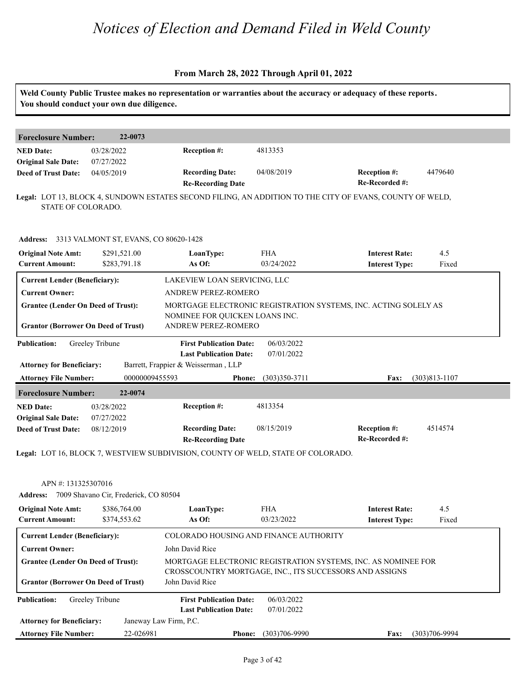| You should conduct your own due diligence.                                              |                                       |                                                                                  |                          | Weld County Public Trustee makes no representation or warranties about the accuracy or adequacy of these reports.        |                   |
|-----------------------------------------------------------------------------------------|---------------------------------------|----------------------------------------------------------------------------------|--------------------------|--------------------------------------------------------------------------------------------------------------------------|-------------------|
| <b>Foreclosure Number:</b>                                                              | 22-0073                               |                                                                                  |                          |                                                                                                                          |                   |
| <b>NED Date:</b><br><b>Original Sale Date:</b>                                          | 03/28/2022<br>07/27/2022              | Reception #:                                                                     | 4813353                  |                                                                                                                          |                   |
| <b>Deed of Trust Date:</b>                                                              | 04/05/2019                            | <b>Recording Date:</b><br><b>Re-Recording Date</b>                               | 04/08/2019               | Reception #:<br>Re-Recorded #:                                                                                           | 4479640           |
| STATE OF COLORADO.                                                                      |                                       |                                                                                  |                          | Legal: LOT 13, BLOCK 4, SUNDOWN ESTATES SECOND FILING, AN ADDITION TO THE CITY OF EVANS, COUNTY OF WELD,                 |                   |
| Address: 3313 VALMONT ST, EVANS, CO 80620-1428                                          |                                       |                                                                                  |                          |                                                                                                                          |                   |
| <b>Original Note Amt:</b><br><b>Current Amount:</b>                                     | \$291,521.00<br>\$283,791.18          | LoanType:<br>As Of:                                                              | <b>FHA</b><br>03/24/2022 | <b>Interest Rate:</b><br><b>Interest Type:</b>                                                                           | 4.5<br>Fixed      |
| <b>Current Lender (Beneficiary):</b>                                                    |                                       | LAKEVIEW LOAN SERVICING, LLC                                                     |                          |                                                                                                                          |                   |
| <b>Current Owner:</b>                                                                   |                                       | ANDREW PEREZ-ROMERO                                                              |                          |                                                                                                                          |                   |
| <b>Grantee (Lender On Deed of Trust):</b><br><b>Grantor (Borrower On Deed of Trust)</b> |                                       | NOMINEE FOR QUICKEN LOANS INC.<br>ANDREW PEREZ-ROMERO                            |                          | MORTGAGE ELECTRONIC REGISTRATION SYSTEMS, INC. ACTING SOLELY AS                                                          |                   |
| <b>Publication:</b>                                                                     | Greeley Tribune                       | <b>First Publication Date:</b><br><b>Last Publication Date:</b>                  | 06/03/2022<br>07/01/2022 |                                                                                                                          |                   |
| <b>Attorney for Beneficiary:</b>                                                        |                                       | Barrett, Frappier & Weisserman, LLP                                              |                          |                                                                                                                          |                   |
| <b>Attorney File Number:</b>                                                            | 00000009455593                        | Phone:                                                                           | $(303)350-3711$          | Fax:                                                                                                                     | $(303)813 - 1107$ |
| <b>Foreclosure Number:</b>                                                              | 22-0074                               |                                                                                  |                          |                                                                                                                          |                   |
| <b>NED Date:</b><br><b>Original Sale Date:</b>                                          | 03/28/2022<br>07/27/2022              | Reception #:                                                                     | 4813354                  |                                                                                                                          |                   |
| <b>Deed of Trust Date:</b>                                                              | 08/12/2019                            | <b>Recording Date:</b><br><b>Re-Recording Date</b>                               | 08/15/2019               | <b>Reception #:</b><br>Re-Recorded #:                                                                                    | 4514574           |
|                                                                                         |                                       | Legal: LOT 16, BLOCK 7, WESTVIEW SUBDIVISION, COUNTY OF WELD, STATE OF COLORADO. |                          |                                                                                                                          |                   |
| APN #: 131325307016<br><b>Address:</b>                                                  | 7009 Shavano Cir, Frederick, CO 80504 |                                                                                  |                          |                                                                                                                          |                   |
|                                                                                         | \$386,764.00                          | LoanType:                                                                        | <b>FHA</b>               | <b>Interest Rate:</b>                                                                                                    | 4.5               |
| <b>Original Note Amt:</b><br><b>Current Amount:</b>                                     | \$374,553.62                          | As Of:                                                                           | 03/23/2022               | <b>Interest Type:</b>                                                                                                    | Fixed             |
| <b>Current Lender (Beneficiary):</b>                                                    |                                       | COLORADO HOUSING AND FINANCE AUTHORITY                                           |                          |                                                                                                                          |                   |
|                                                                                         |                                       |                                                                                  |                          |                                                                                                                          |                   |
| <b>Current Owner:</b>                                                                   |                                       | John David Rice                                                                  |                          |                                                                                                                          |                   |
| <b>Grantee (Lender On Deed of Trust):</b>                                               |                                       | John David Rice                                                                  |                          | MORTGAGE ELECTRONIC REGISTRATION SYSTEMS, INC. AS NOMINEE FOR<br>CROSSCOUNTRY MORTGAGE, INC., ITS SUCCESSORS AND ASSIGNS |                   |
| <b>Grantor (Borrower On Deed of Trust)</b>                                              | Greeley Tribune                       | <b>First Publication Date:</b>                                                   | 06/03/2022               |                                                                                                                          |                   |
| <b>Publication:</b><br><b>Attorney for Beneficiary:</b>                                 |                                       | <b>Last Publication Date:</b><br>Janeway Law Firm, P.C.                          | 07/01/2022               |                                                                                                                          |                   |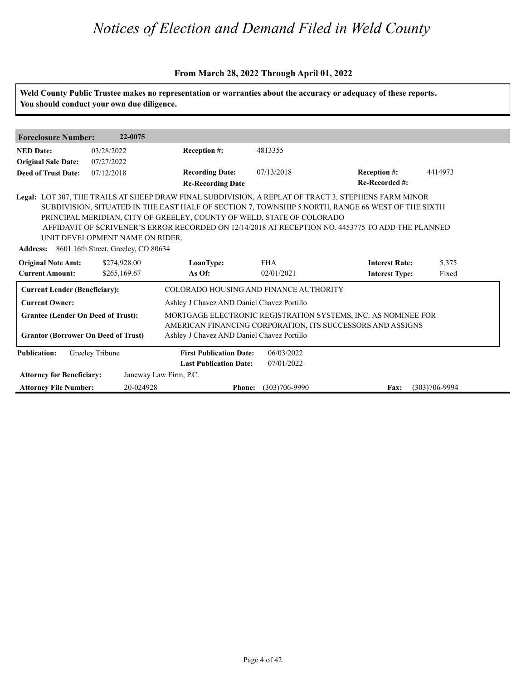| <b>Foreclosure Number:</b>                              | 22-0075                                                                      |                                                                 |                          |                                                                                                                             |                |
|---------------------------------------------------------|------------------------------------------------------------------------------|-----------------------------------------------------------------|--------------------------|-----------------------------------------------------------------------------------------------------------------------------|----------------|
| <b>NED Date:</b>                                        | 03/28/2022                                                                   | Reception #:                                                    | 4813355                  |                                                                                                                             |                |
| <b>Original Sale Date:</b>                              | 07/27/2022                                                                   |                                                                 |                          |                                                                                                                             |                |
| <b>Deed of Trust Date:</b>                              | 07/12/2018                                                                   | <b>Recording Date:</b>                                          | 07/13/2018               | <b>Reception #:</b>                                                                                                         | 4414973        |
|                                                         |                                                                              | <b>Re-Recording Date</b>                                        |                          | Re-Recorded #:                                                                                                              |                |
| <b>Original Note Amt:</b><br><b>Current Amount:</b>     | Address: 8601 16th Street, Greeley, CO 80634<br>\$274,928.00<br>\$265,169.67 | LoanType:<br>As Of:                                             | <b>FHA</b><br>02/01/2021 | <b>Interest Rate:</b><br><b>Interest Type:</b>                                                                              | 5.375<br>Fixed |
| <b>Current Lender (Beneficiary):</b>                    |                                                                              | COLORADO HOUSING AND FINANCE AUTHORITY                          |                          |                                                                                                                             |                |
| <b>Current Owner:</b>                                   |                                                                              | Ashley J Chavez AND Daniel Chavez Portillo                      |                          |                                                                                                                             |                |
| <b>Grantee (Lender On Deed of Trust):</b>               |                                                                              |                                                                 |                          | MORTGAGE ELECTRONIC REGISTRATION SYSTEMS, INC. AS NOMINEE FOR<br>AMERICAN FINANCING CORPORATION, ITS SUCCESSORS AND ASSIGNS |                |
| <b>Grantor (Borrower On Deed of Trust)</b>              |                                                                              | Ashley J Chavez AND Daniel Chavez Portillo                      |                          |                                                                                                                             |                |
|                                                         |                                                                              |                                                                 |                          |                                                                                                                             |                |
|                                                         | Greeley Tribune                                                              | <b>First Publication Date:</b><br><b>Last Publication Date:</b> | 06/03/2022<br>07/01/2022 |                                                                                                                             |                |
| <b>Publication:</b><br><b>Attorney for Beneficiary:</b> |                                                                              | Janeway Law Firm, P.C.                                          |                          |                                                                                                                             |                |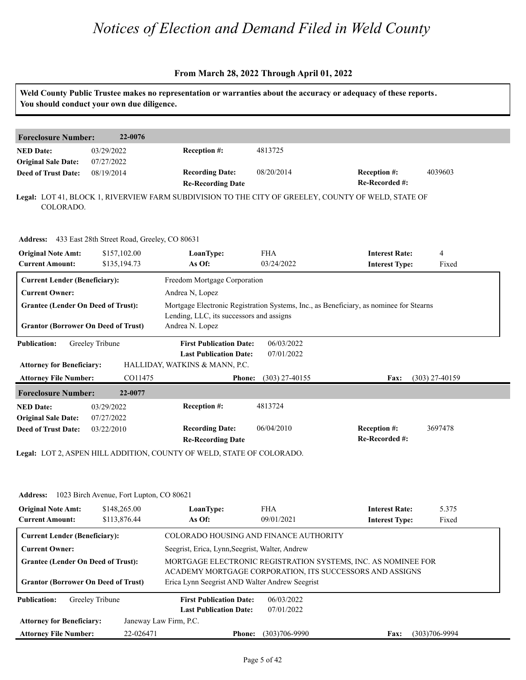|                                                          | You should conduct your own due diligence.            | Weld County Public Trustee makes no representation or warranties about the accuracy or adequacy of these reports. |                          |                                                                                                                           |                  |
|----------------------------------------------------------|-------------------------------------------------------|-------------------------------------------------------------------------------------------------------------------|--------------------------|---------------------------------------------------------------------------------------------------------------------------|------------------|
| <b>Foreclosure Number:</b>                               | 22-0076                                               |                                                                                                                   |                          |                                                                                                                           |                  |
| <b>NED Date:</b><br><b>Original Sale Date:</b>           | 03/29/2022<br>07/27/2022                              | Reception #:                                                                                                      | 4813725                  |                                                                                                                           |                  |
| <b>Deed of Trust Date:</b>                               | 08/19/2014                                            | <b>Recording Date:</b><br><b>Re-Recording Date</b>                                                                | 08/20/2014               | Reception #:<br>Re-Recorded #:                                                                                            | 4039603          |
| COLORADO.                                                |                                                       | Legal: LOT 41, BLOCK 1, RIVERVIEW FARM SUBDIVISION TO THE CITY OF GREELEY, COUNTY OF WELD, STATE OF               |                          |                                                                                                                           |                  |
|                                                          | Address: 433 East 28th Street Road, Greeley, CO 80631 |                                                                                                                   |                          |                                                                                                                           |                  |
| <b>Original Note Amt:</b><br><b>Current Amount:</b>      | \$157,102.00<br>\$135,194.73                          | LoanType:<br>As Of:                                                                                               | <b>FHA</b><br>03/24/2022 | <b>Interest Rate:</b><br><b>Interest Type:</b>                                                                            | 4<br>Fixed       |
| <b>Current Lender (Beneficiary):</b>                     |                                                       | Freedom Mortgage Corporation                                                                                      |                          |                                                                                                                           |                  |
| <b>Current Owner:</b>                                    |                                                       | Andrea N, Lopez                                                                                                   |                          |                                                                                                                           |                  |
| <b>Grantee (Lender On Deed of Trust):</b>                |                                                       |                                                                                                                   |                          | Mortgage Electronic Registration Systems, Inc., as Beneficiary, as nominee for Stearns                                    |                  |
| <b>Grantor (Borrower On Deed of Trust)</b>               |                                                       | Lending, LLC, its successors and assigns<br>Andrea N. Lopez                                                       |                          |                                                                                                                           |                  |
| <b>Publication:</b>                                      | Greeley Tribune                                       | <b>First Publication Date:</b><br><b>Last Publication Date:</b>                                                   | 06/03/2022<br>07/01/2022 |                                                                                                                           |                  |
| <b>Attorney for Beneficiary:</b>                         |                                                       | HALLIDAY, WATKINS & MANN, P.C.                                                                                    |                          |                                                                                                                           |                  |
| <b>Attorney File Number:</b>                             | CO11475                                               | <b>Phone:</b>                                                                                                     | $(303)$ 27-40155         | <b>Fax:</b>                                                                                                               | $(303)$ 27-40159 |
| <b>Foreclosure Number:</b>                               | 22-0077                                               |                                                                                                                   |                          |                                                                                                                           |                  |
| <b>NED Date:</b>                                         | 03/29/2022                                            | Reception #:                                                                                                      | 4813724                  |                                                                                                                           |                  |
| <b>Original Sale Date:</b><br><b>Deed of Trust Date:</b> | 07/27/2022<br>03/22/2010                              | <b>Recording Date:</b><br><b>Re-Recording Date</b>                                                                | 06/04/2010               | Reception #:<br>Re-Recorded #:                                                                                            | 3697478          |
|                                                          |                                                       | Legal: LOT 2, ASPEN HILL ADDITION, COUNTY OF WELD, STATE OF COLORADO.                                             |                          |                                                                                                                           |                  |
|                                                          |                                                       |                                                                                                                   |                          |                                                                                                                           |                  |
| <b>Address:</b>                                          | 1023 Birch Avenue, Fort Lupton, CO 80621              |                                                                                                                   |                          |                                                                                                                           |                  |
| <b>Original Note Amt:</b><br><b>Current Amount:</b>      | \$148,265.00<br>\$113,876.44                          | LoanType:<br>As Of:                                                                                               | <b>FHA</b><br>09/01/2021 | <b>Interest Rate:</b><br><b>Interest Type:</b>                                                                            | 5.375<br>Fixed   |
| <b>Current Lender (Beneficiary):</b>                     |                                                       | COLORADO HOUSING AND FINANCE AUTHORITY                                                                            |                          |                                                                                                                           |                  |
| <b>Current Owner:</b>                                    |                                                       | Seegrist, Erica, Lynn, Seegrist, Walter, Andrew                                                                   |                          |                                                                                                                           |                  |
| <b>Grantee (Lender On Deed of Trust):</b>                |                                                       |                                                                                                                   |                          | MORTGAGE ELECTRONIC REGISTRATION SYSTEMS, INC. AS NOMINEE FOR<br>ACADEMY MORTGAGE CORPORATION, ITS SUCCESSORS AND ASSIGNS |                  |
| <b>Grantor (Borrower On Deed of Trust)</b>               |                                                       | Erica Lynn Seegrist AND Walter Andrew Seegrist                                                                    |                          |                                                                                                                           |                  |
| <b>Publication:</b>                                      | Greeley Tribune                                       | <b>First Publication Date:</b><br><b>Last Publication Date:</b>                                                   | 06/03/2022<br>07/01/2022 |                                                                                                                           |                  |
|                                                          |                                                       | Janeway Law Firm, P.C.                                                                                            |                          |                                                                                                                           |                  |
| <b>Attorney for Beneficiary:</b>                         |                                                       |                                                                                                                   |                          |                                                                                                                           |                  |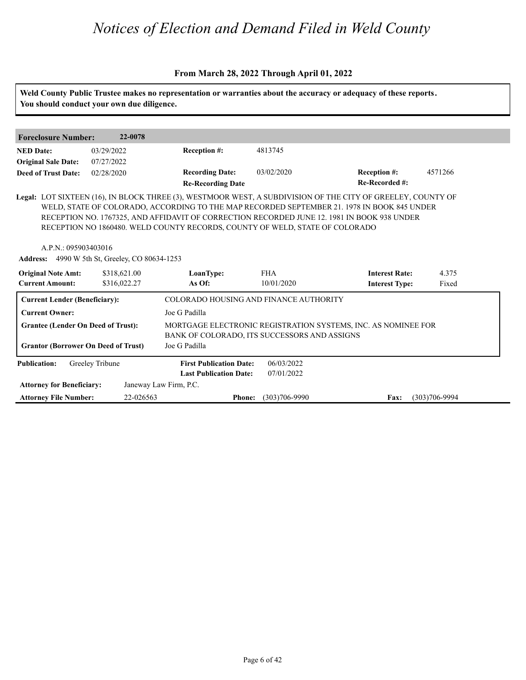|                                                                                         | You should conduct your own due diligence.            |                                                                              |                          | Weld County Public Trustee makes no representation or warranties about the accuracy or adequacy of these reports.                                                                                                                                                                                         |                   |
|-----------------------------------------------------------------------------------------|-------------------------------------------------------|------------------------------------------------------------------------------|--------------------------|-----------------------------------------------------------------------------------------------------------------------------------------------------------------------------------------------------------------------------------------------------------------------------------------------------------|-------------------|
| <b>Foreclosure Number:</b>                                                              | 22-0078                                               |                                                                              |                          |                                                                                                                                                                                                                                                                                                           |                   |
| <b>NED Date:</b>                                                                        | 03/29/2022                                            | Reception #:                                                                 | 4813745                  |                                                                                                                                                                                                                                                                                                           |                   |
| <b>Original Sale Date:</b>                                                              | 07/27/2022                                            |                                                                              |                          |                                                                                                                                                                                                                                                                                                           |                   |
| <b>Deed of Trust Date:</b>                                                              | 02/28/2020                                            | <b>Recording Date:</b><br><b>Re-Recording Date</b>                           | 03/02/2020               | <b>Reception #:</b><br>Re-Recorded #:                                                                                                                                                                                                                                                                     | 4571266           |
| A.P.N.: 095903403016                                                                    | <b>Address:</b> 4990 W 5th St, Greeley, CO 80634-1253 | RECEPTION NO 1860480. WELD COUNTY RECORDS, COUNTY OF WELD, STATE OF COLORADO |                          | Legal: LOT SIXTEEN (16), IN BLOCK THREE (3), WESTMOOR WEST, A SUBDIVISION OF THE CITY OF GREELEY, COUNTY OF<br>WELD, STATE OF COLORADO, ACCORDING TO THE MAP RECORDED SEPTEMBER 21. 1978 IN BOOK 845 UNDER<br>RECEPTION NO. 1767325, AND AFFIDAVIT OF CORRECTION RECORDED JUNE 12. 1981 IN BOOK 938 UNDER |                   |
| <b>Original Note Amt:</b>                                                               | \$318,621.00                                          | LoanType:                                                                    | <b>FHA</b>               | <b>Interest Rate:</b>                                                                                                                                                                                                                                                                                     | 4.375             |
| <b>Current Amount:</b>                                                                  | \$316,022.27                                          | As Of:                                                                       | 10/01/2020               | <b>Interest Type:</b>                                                                                                                                                                                                                                                                                     | Fixed             |
| <b>Current Lender (Beneficiary):</b>                                                    |                                                       | COLORADO HOUSING AND FINANCE AUTHORITY                                       |                          |                                                                                                                                                                                                                                                                                                           |                   |
| <b>Current Owner:</b>                                                                   |                                                       | Joe G Padilla                                                                |                          |                                                                                                                                                                                                                                                                                                           |                   |
| <b>Grantee (Lender On Deed of Trust):</b><br><b>Grantor (Borrower On Deed of Trust)</b> |                                                       | BANK OF COLORADO, ITS SUCCESSORS AND ASSIGNS<br>Joe G Padilla                |                          | MORTGAGE ELECTRONIC REGISTRATION SYSTEMS, INC. AS NOMINEE FOR                                                                                                                                                                                                                                             |                   |
| <b>Publication:</b>                                                                     | Greeley Tribune                                       | <b>First Publication Date:</b><br><b>Last Publication Date:</b>              | 06/03/2022<br>07/01/2022 |                                                                                                                                                                                                                                                                                                           |                   |
| <b>Attorney for Beneficiary:</b>                                                        |                                                       | Janeway Law Firm, P.C.                                                       |                          |                                                                                                                                                                                                                                                                                                           |                   |
| <b>Attorney File Number:</b>                                                            | 22-026563                                             | <b>Phone:</b>                                                                | $(303)706 - 9990$        | Fax:                                                                                                                                                                                                                                                                                                      | $(303)706 - 9994$ |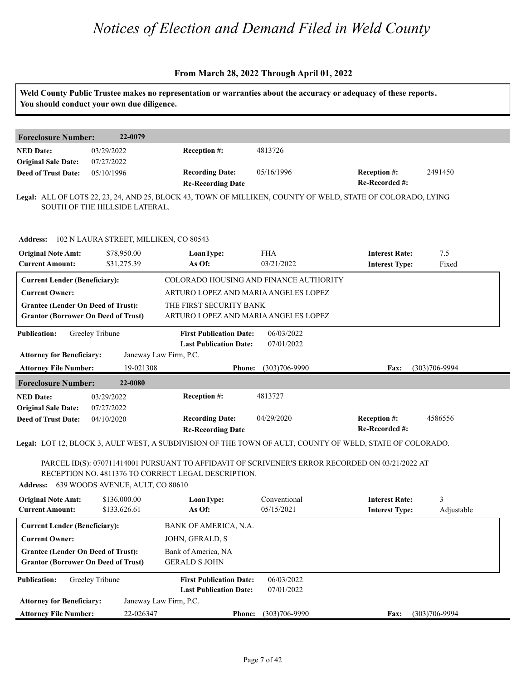|                                                                                         | You should conduct your own due diligence. | Weld County Public Trustee makes no representation or warranties about the accuracy or adequacy of these reports.                                      |                                        |                                                |                   |
|-----------------------------------------------------------------------------------------|--------------------------------------------|--------------------------------------------------------------------------------------------------------------------------------------------------------|----------------------------------------|------------------------------------------------|-------------------|
|                                                                                         | 22-0079                                    |                                                                                                                                                        |                                        |                                                |                   |
| <b>Foreclosure Number:</b>                                                              |                                            |                                                                                                                                                        |                                        |                                                |                   |
| <b>NED Date:</b><br><b>Original Sale Date:</b>                                          | 03/29/2022<br>07/27/2022                   | Reception #:                                                                                                                                           | 4813726                                |                                                |                   |
| <b>Deed of Trust Date:</b>                                                              | 05/10/1996                                 | <b>Recording Date:</b>                                                                                                                                 | 05/16/1996                             | Reception #:                                   | 2491450           |
|                                                                                         |                                            | <b>Re-Recording Date</b>                                                                                                                               |                                        | Re-Recorded #:                                 |                   |
|                                                                                         | SOUTH OF THE HILLSIDE LATERAL.             | Legal: ALL OF LOTS 22, 23, 24, AND 25, BLOCK 43, TOWN OF MILLIKEN, COUNTY OF WELD, STATE OF COLORADO, LYING                                            |                                        |                                                |                   |
| <b>Address:</b>                                                                         | 102 N LAURA STREET, MILLIKEN, CO 80543     |                                                                                                                                                        |                                        |                                                |                   |
| <b>Original Note Amt:</b>                                                               | \$78,950.00                                | LoanType:                                                                                                                                              | <b>FHA</b>                             | <b>Interest Rate:</b>                          | 7.5               |
| <b>Current Amount:</b>                                                                  | \$31,275.39                                | As Of:                                                                                                                                                 | 03/21/2022                             | <b>Interest Type:</b>                          | Fixed             |
| <b>Current Lender (Beneficiary):</b>                                                    |                                            |                                                                                                                                                        | COLORADO HOUSING AND FINANCE AUTHORITY |                                                |                   |
| <b>Current Owner:</b>                                                                   |                                            | ARTURO LOPEZ AND MARIA ANGELES LOPEZ                                                                                                                   |                                        |                                                |                   |
| <b>Grantee (Lender On Deed of Trust):</b>                                               |                                            | THE FIRST SECURITY BANK                                                                                                                                |                                        |                                                |                   |
| <b>Grantor (Borrower On Deed of Trust)</b>                                              |                                            | ARTURO LOPEZ AND MARIA ANGELES LOPEZ                                                                                                                   |                                        |                                                |                   |
| <b>Publication:</b><br><b>Attorney for Beneficiary:</b>                                 | Greeley Tribune                            | <b>First Publication Date:</b><br><b>Last Publication Date:</b><br>Janeway Law Firm, P.C.                                                              | 06/03/2022<br>07/01/2022               |                                                |                   |
| <b>Attorney File Number:</b>                                                            | 19-021308                                  | Phone:                                                                                                                                                 | $(303)706 - 9990$                      | Fax:                                           | $(303)706 - 9994$ |
| <b>Foreclosure Number:</b>                                                              | 22-0080                                    |                                                                                                                                                        |                                        |                                                |                   |
| <b>NED Date:</b>                                                                        | 03/29/2022                                 | Reception #:                                                                                                                                           | 4813727                                |                                                |                   |
| <b>Original Sale Date:</b>                                                              | 07/27/2022                                 |                                                                                                                                                        |                                        |                                                |                   |
| <b>Deed of Trust Date:</b>                                                              | 04/10/2020                                 | <b>Recording Date:</b>                                                                                                                                 | 04/29/2020                             | Reception #:                                   | 4586556           |
|                                                                                         |                                            | <b>Re-Recording Date</b>                                                                                                                               |                                        | Re-Recorded #:                                 |                   |
|                                                                                         |                                            | Legal: LOT 12, BLOCK 3, AULT WEST, A SUBDIVISION OF THE TOWN OF AULT, COUNTY OF WELD, STATE OF COLORADO.                                               |                                        |                                                |                   |
|                                                                                         |                                            | PARCEL ID(S): 070711414001 PURSUANT TO AFFIDAVIT OF SCRIVENER'S ERROR RECORDED ON 03/21/2022 AT<br>RECEPTION NO. 4811376 TO CORRECT LEGAL DESCRIPTION. |                                        |                                                |                   |
|                                                                                         | Address: 639 WOODS AVENUE, AULT, CO 80610  |                                                                                                                                                        |                                        |                                                |                   |
|                                                                                         |                                            |                                                                                                                                                        |                                        |                                                |                   |
| <b>Original Note Amt:</b><br><b>Current Amount:</b>                                     | \$136,000.00<br>\$133,626.61               | LoanType:<br>As Of:                                                                                                                                    | Conventional<br>05/15/2021             | <b>Interest Rate:</b><br><b>Interest Type:</b> | 3<br>Adjustable   |
|                                                                                         |                                            |                                                                                                                                                        |                                        |                                                |                   |
| <b>Current Lender (Beneficiary):</b>                                                    |                                            | BANK OF AMERICA, N.A.                                                                                                                                  |                                        |                                                |                   |
| <b>Current Owner:</b>                                                                   |                                            | JOHN, GERALD, S                                                                                                                                        |                                        |                                                |                   |
| <b>Grantee (Lender On Deed of Trust):</b><br><b>Grantor (Borrower On Deed of Trust)</b> |                                            | Bank of America, NA<br><b>GERALD S JOHN</b>                                                                                                            |                                        |                                                |                   |
| <b>Publication:</b>                                                                     | Greeley Tribune                            | <b>First Publication Date:</b>                                                                                                                         | 06/03/2022                             |                                                |                   |
|                                                                                         |                                            | <b>Last Publication Date:</b>                                                                                                                          | 07/01/2022                             |                                                |                   |
| <b>Attorney for Beneficiary:</b>                                                        |                                            | Janeway Law Firm, P.C.                                                                                                                                 |                                        |                                                |                   |
| <b>Attorney File Number:</b>                                                            | 22-026347                                  | <b>Phone:</b>                                                                                                                                          | $(303)706 - 9990$                      | <b>Fax:</b>                                    | $(303)706 - 9994$ |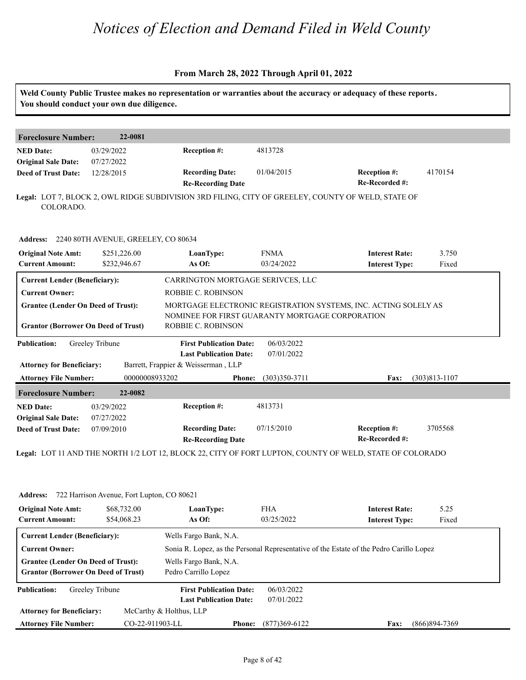### **From March 28, 2022 Through April 01, 2022**

| <b>Foreclosure Number:</b>                                                              | 22-0081                                                            |                                                                                                    |                           |                                                                                                          |                   |
|-----------------------------------------------------------------------------------------|--------------------------------------------------------------------|----------------------------------------------------------------------------------------------------|---------------------------|----------------------------------------------------------------------------------------------------------|-------------------|
| <b>NED Date:</b><br><b>Original Sale Date:</b>                                          | 03/29/2022<br>07/27/2022                                           | Reception #:                                                                                       | 4813728                   |                                                                                                          |                   |
| <b>Deed of Trust Date:</b>                                                              | 12/28/2015                                                         | <b>Recording Date:</b><br><b>Re-Recording Date</b>                                                 | 01/04/2015                | <b>Reception #:</b><br>Re-Recorded #:                                                                    | 4170154           |
| COLORADO.                                                                               |                                                                    | Legal: LOT 7, BLOCK 2, OWL RIDGE SUBDIVISION 3RD FILING, CITY OF GREELEY, COUNTY OF WELD, STATE OF |                           |                                                                                                          |                   |
| <b>Address:</b>                                                                         | 2240 80TH AVENUE, GREELEY, CO 80634                                |                                                                                                    |                           |                                                                                                          |                   |
| <b>Original Note Amt:</b><br><b>Current Amount:</b>                                     | \$251,226.00<br>\$232,946.67                                       | LoanType:<br>As Of:                                                                                | <b>FNMA</b><br>03/24/2022 | <b>Interest Rate:</b><br><b>Interest Type:</b>                                                           | 3.750<br>Fixed    |
| <b>Current Lender (Beneficiary):</b>                                                    |                                                                    | CARRINGTON MORTGAGE SERIVCES, LLC                                                                  |                           |                                                                                                          |                   |
| <b>Current Owner:</b>                                                                   |                                                                    | <b>ROBBIE C. ROBINSON</b>                                                                          |                           |                                                                                                          |                   |
| <b>Grantee (Lender On Deed of Trust):</b>                                               |                                                                    |                                                                                                    |                           | MORTGAGE ELECTRONIC REGISTRATION SYSTEMS, INC. ACTING SOLELY AS                                          |                   |
| <b>Grantor (Borrower On Deed of Trust)</b>                                              |                                                                    | NOMINEE FOR FIRST GUARANTY MORTGAGE CORPORATION<br>ROBBIE C. ROBINSON                              |                           |                                                                                                          |                   |
| <b>Publication:</b>                                                                     | Greeley Tribune                                                    | <b>First Publication Date:</b><br><b>Last Publication Date:</b>                                    | 06/03/2022<br>07/01/2022  |                                                                                                          |                   |
| <b>Attorney for Beneficiary:</b>                                                        |                                                                    | Barrett, Frappier & Weisserman, LLP                                                                |                           |                                                                                                          |                   |
| <b>Attorney File Number:</b>                                                            | 00000008933202                                                     | <b>Phone:</b>                                                                                      | $(303)350 - 3711$         | <b>Fax:</b>                                                                                              | $(303)813 - 1107$ |
| <b>Foreclosure Number:</b>                                                              | 22-0082                                                            |                                                                                                    |                           |                                                                                                          |                   |
| <b>NED Date:</b>                                                                        | 03/29/2022                                                         | Reception #:                                                                                       | 4813731                   |                                                                                                          |                   |
| <b>Original Sale Date:</b><br><b>Deed of Trust Date:</b>                                | 07/27/2022<br>07/09/2010                                           | <b>Recording Date:</b><br><b>Re-Recording Date</b>                                                 | 07/15/2010                | Reception #:<br>Re-Recorded #:                                                                           | 3705568           |
|                                                                                         |                                                                    |                                                                                                    |                           | Legal: LOT 11 AND THE NORTH 1/2 LOT 12, BLOCK 22, CITY OF FORT LUPTON, COUNTY OF WELD, STATE OF COLORADO |                   |
|                                                                                         |                                                                    |                                                                                                    |                           |                                                                                                          |                   |
| <b>Original Note Amt:</b>                                                               | Address: 722 Harrison Avenue, Fort Lupton, CO 80621<br>\$68,732.00 | LoanType:                                                                                          | <b>FHA</b>                | <b>Interest Rate:</b>                                                                                    | 5.25              |
| <b>Current Amount:</b>                                                                  | \$54,068.23                                                        | As Of:                                                                                             | 03/25/2022                | <b>Interest Type:</b>                                                                                    | Fixed             |
| <b>Current Lender (Beneficiary):</b>                                                    |                                                                    | Wells Fargo Bank, N.A.                                                                             |                           |                                                                                                          |                   |
| <b>Current Owner:</b>                                                                   |                                                                    |                                                                                                    |                           | Sonia R. Lopez, as the Personal Representative of the Estate of the Pedro Carillo Lopez                  |                   |
| <b>Grantee (Lender On Deed of Trust):</b><br><b>Grantor (Borrower On Deed of Trust)</b> |                                                                    | Wells Fargo Bank, N.A.<br>Pedro Carrillo Lopez                                                     |                           |                                                                                                          |                   |
|                                                                                         |                                                                    |                                                                                                    |                           |                                                                                                          |                   |
| <b>Publication:</b>                                                                     | Greeley Tribune                                                    | <b>First Publication Date:</b>                                                                     | 06/03/2022                |                                                                                                          |                   |
| <b>Attorney for Beneficiary:</b>                                                        |                                                                    | <b>Last Publication Date:</b><br>McCarthy & Holthus, LLP                                           | 07/01/2022                |                                                                                                          |                   |

**Phone: Fax:** CO-22-911903-LL (877)369-6122 (866)894-7369

**Attorney File Number:**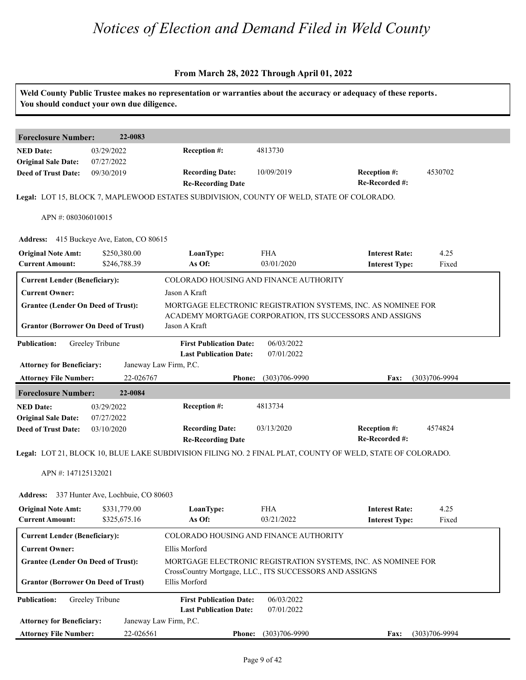|                                                                                         | You should conduct your own due diligence. |                                                                                           |                          | Weld County Public Trustee makes no representation or warranties about the accuracy or adequacy of these reports.         |                   |
|-----------------------------------------------------------------------------------------|--------------------------------------------|-------------------------------------------------------------------------------------------|--------------------------|---------------------------------------------------------------------------------------------------------------------------|-------------------|
| <b>Foreclosure Number:</b>                                                              | 22-0083                                    |                                                                                           |                          |                                                                                                                           |                   |
| <b>NED Date:</b><br><b>Original Sale Date:</b>                                          | 03/29/2022<br>07/27/2022                   | Reception #:                                                                              | 4813730                  |                                                                                                                           |                   |
| <b>Deed of Trust Date:</b>                                                              | 09/30/2019                                 | <b>Recording Date:</b><br><b>Re-Recording Date</b>                                        | 10/09/2019               | Reception #:<br>Re-Recorded #:                                                                                            | 4530702           |
|                                                                                         |                                            | Legal: LOT 15, BLOCK 7, MAPLEWOOD ESTATES SUBDIVISION, COUNTY OF WELD, STATE OF COLORADO. |                          |                                                                                                                           |                   |
| APN #: 080306010015                                                                     |                                            |                                                                                           |                          |                                                                                                                           |                   |
|                                                                                         | Address: 415 Buckeye Ave, Eaton, CO 80615  |                                                                                           |                          |                                                                                                                           |                   |
| <b>Original Note Amt:</b><br><b>Current Amount:</b>                                     | \$250,380.00<br>\$246,788.39               | LoanType:<br>As Of:                                                                       | <b>FHA</b><br>03/01/2020 | <b>Interest Rate:</b><br><b>Interest Type:</b>                                                                            | 4.25<br>Fixed     |
| <b>Current Lender (Beneficiary):</b>                                                    |                                            | COLORADO HOUSING AND FINANCE AUTHORITY                                                    |                          |                                                                                                                           |                   |
| <b>Current Owner:</b>                                                                   |                                            | Jason A Kraft                                                                             |                          |                                                                                                                           |                   |
| <b>Grantee (Lender On Deed of Trust):</b><br><b>Grantor (Borrower On Deed of Trust)</b> |                                            | Jason A Kraft                                                                             |                          | MORTGAGE ELECTRONIC REGISTRATION SYSTEMS, INC. AS NOMINEE FOR<br>ACADEMY MORTGAGE CORPORATION, ITS SUCCESSORS AND ASSIGNS |                   |
| <b>Publication:</b>                                                                     | Greeley Tribune                            | <b>First Publication Date:</b><br><b>Last Publication Date:</b>                           | 06/03/2022<br>07/01/2022 |                                                                                                                           |                   |
| <b>Attorney for Beneficiary:</b>                                                        |                                            | Janeway Law Firm, P.C.                                                                    |                          |                                                                                                                           |                   |
| <b>Attorney File Number:</b>                                                            | 22-026767                                  | <b>Phone:</b>                                                                             | $(303)706 - 9990$        | Fax:                                                                                                                      | $(303)706 - 9994$ |
| <b>Foreclosure Number:</b>                                                              | 22-0084                                    |                                                                                           |                          |                                                                                                                           |                   |
| <b>NED Date:</b>                                                                        | 03/29/2022                                 | Reception #:                                                                              | 4813734                  |                                                                                                                           |                   |
| <b>Original Sale Date:</b><br><b>Deed of Trust Date:</b>                                | 07/27/2022<br>03/10/2020                   | <b>Recording Date:</b>                                                                    | 03/13/2020               | Reception #:                                                                                                              | 4574824           |
|                                                                                         |                                            | <b>Re-Recording Date</b>                                                                  |                          | Re-Recorded #:                                                                                                            |                   |
|                                                                                         |                                            |                                                                                           |                          | Legal: LOT 21, BLOCK 10, BLUE LAKE SUBDIVISION FILING NO. 2 FINAL PLAT, COUNTY OF WELD, STATE OF COLORADO.                |                   |
| APN #: 147125132021                                                                     |                                            |                                                                                           |                          |                                                                                                                           |                   |
| <b>Address:</b>                                                                         | 337 Hunter Ave, Lochbuie, CO 80603         |                                                                                           |                          |                                                                                                                           |                   |
| <b>Original Note Amt:</b><br><b>Current Amount:</b>                                     | \$331,779.00<br>\$325,675.16               | LoanType:<br>As Of:                                                                       | <b>FHA</b><br>03/21/2022 | <b>Interest Rate:</b><br><b>Interest Type:</b>                                                                            | 4.25<br>Fixed     |
| <b>Current Lender (Beneficiary):</b>                                                    |                                            | COLORADO HOUSING AND FINANCE AUTHORITY                                                    |                          |                                                                                                                           |                   |
| <b>Current Owner:</b>                                                                   |                                            | Ellis Morford                                                                             |                          |                                                                                                                           |                   |
| <b>Grantee (Lender On Deed of Trust):</b><br><b>Grantor (Borrower On Deed of Trust)</b> |                                            | CrossCountry Mortgage, LLC., ITS SUCCESSORS AND ASSIGNS<br>Ellis Morford                  |                          | MORTGAGE ELECTRONIC REGISTRATION SYSTEMS, INC. AS NOMINEE FOR                                                             |                   |
| <b>Publication:</b>                                                                     | Greeley Tribune                            | <b>First Publication Date:</b><br><b>Last Publication Date:</b>                           | 06/03/2022<br>07/01/2022 |                                                                                                                           |                   |
| <b>Attorney for Beneficiary:</b>                                                        |                                            | Janeway Law Firm, P.C.                                                                    |                          |                                                                                                                           |                   |
|                                                                                         |                                            |                                                                                           |                          |                                                                                                                           |                   |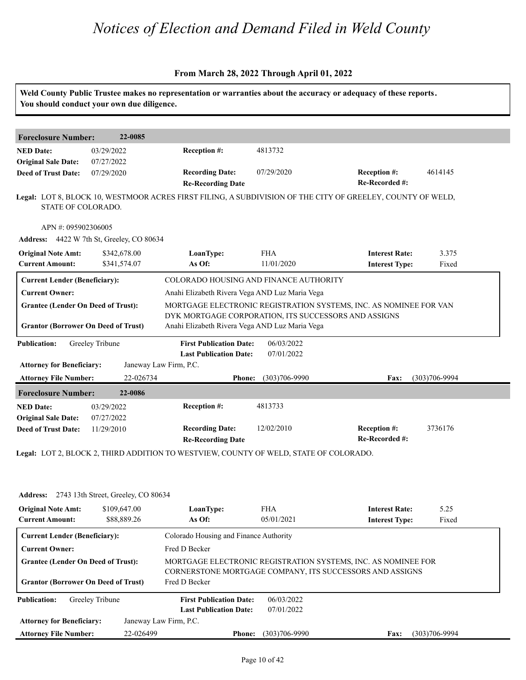|                                            | You should conduct your own due diligence.   |                                                                                       |                   |                                                                                                            |                   |
|--------------------------------------------|----------------------------------------------|---------------------------------------------------------------------------------------|-------------------|------------------------------------------------------------------------------------------------------------|-------------------|
|                                            |                                              |                                                                                       |                   |                                                                                                            |                   |
| <b>Foreclosure Number:</b>                 | 22-0085                                      |                                                                                       |                   |                                                                                                            |                   |
| <b>NED Date:</b>                           | 03/29/2022                                   | <b>Reception #:</b>                                                                   | 4813732           |                                                                                                            |                   |
| <b>Original Sale Date:</b>                 | 07/27/2022                                   |                                                                                       |                   |                                                                                                            |                   |
| <b>Deed of Trust Date:</b>                 | 07/29/2020                                   | <b>Recording Date:</b><br><b>Re-Recording Date</b>                                    | 07/29/2020        | <b>Reception #:</b><br>Re-Recorded #:                                                                      | 4614145           |
| STATE OF COLORADO.                         |                                              |                                                                                       |                   | Legal: LOT 8, BLOCK 10, WESTMOOR ACRES FIRST FILING, A SUBDIVISION OF THE CITY OF GREELEY, COUNTY OF WELD, |                   |
| APN #: 095902306005                        |                                              |                                                                                       |                   |                                                                                                            |                   |
|                                            | Address: 4422 W 7th St, Greeley, CO 80634    |                                                                                       |                   |                                                                                                            |                   |
| <b>Original Note Amt:</b>                  | \$342,678.00                                 | LoanType:                                                                             | <b>FHA</b>        | <b>Interest Rate:</b>                                                                                      | 3.375             |
| <b>Current Amount:</b>                     | \$341,574.07                                 | As Of:                                                                                | 11/01/2020        | <b>Interest Type:</b>                                                                                      | Fixed             |
| <b>Current Lender (Beneficiary):</b>       |                                              | COLORADO HOUSING AND FINANCE AUTHORITY                                                |                   |                                                                                                            |                   |
| <b>Current Owner:</b>                      |                                              | Anahi Elizabeth Rivera Vega AND Luz Maria Vega                                        |                   |                                                                                                            |                   |
| <b>Grantee (Lender On Deed of Trust):</b>  |                                              |                                                                                       |                   | MORTGAGE ELECTRONIC REGISTRATION SYSTEMS, INC. AS NOMINEE FOR VAN                                          |                   |
|                                            |                                              | DYK MORTGAGE CORPORATION, ITS SUCCESSORS AND ASSIGNS                                  |                   |                                                                                                            |                   |
| <b>Grantor (Borrower On Deed of Trust)</b> |                                              | Anahi Elizabeth Rivera Vega AND Luz Maria Vega                                        |                   |                                                                                                            |                   |
| <b>Publication:</b>                        | Greeley Tribune                              | <b>First Publication Date:</b>                                                        | 06/03/2022        |                                                                                                            |                   |
|                                            |                                              | <b>Last Publication Date:</b>                                                         | 07/01/2022        |                                                                                                            |                   |
| <b>Attorney for Beneficiary:</b>           |                                              | Janeway Law Firm, P.C.                                                                |                   |                                                                                                            |                   |
| <b>Attorney File Number:</b>               | 22-026734                                    | <b>Phone:</b>                                                                         | $(303)706 - 9990$ | Fax:                                                                                                       | $(303)706 - 9994$ |
| <b>Foreclosure Number:</b>                 | 22-0086                                      |                                                                                       |                   |                                                                                                            |                   |
| <b>NED Date:</b>                           | 03/29/2022                                   | Reception #:                                                                          | 4813733           |                                                                                                            |                   |
| <b>Original Sale Date:</b>                 | 07/27/2022                                   |                                                                                       |                   |                                                                                                            |                   |
| <b>Deed of Trust Date:</b>                 | 11/29/2010                                   | <b>Recording Date:</b><br><b>Re-Recording Date</b>                                    | 12/02/2010        | <b>Reception #:</b><br>Re-Recorded #:                                                                      | 3736176           |
|                                            |                                              | Legal: LOT 2, BLOCK 2, THIRD ADDITION TO WESTVIEW, COUNTY OF WELD, STATE OF COLORADO. |                   |                                                                                                            |                   |
|                                            |                                              |                                                                                       |                   |                                                                                                            |                   |
|                                            | Address: 2743 13th Street, Greeley, CO 80634 |                                                                                       |                   |                                                                                                            |                   |
| <b>Original Note Amt:</b>                  | \$109,647.00                                 | LoanType:                                                                             | <b>FHA</b>        | <b>Interest Rate:</b>                                                                                      | 5.25              |
|                                            | \$88,889.26                                  | As Of:                                                                                | 05/01/2021        | <b>Interest Type:</b>                                                                                      | Fixed             |

| <b>Original Note Amt:</b>                  | \$109,647.00    | LoanType:                                                                                                                 | <b>FHA</b>        | <b>Interest Rate:</b> | 5.25              |  |  |
|--------------------------------------------|-----------------|---------------------------------------------------------------------------------------------------------------------------|-------------------|-----------------------|-------------------|--|--|
| <b>Current Amount:</b>                     | \$88,889.26     | As Of:                                                                                                                    | 05/01/2021        | <b>Interest Type:</b> | Fixed             |  |  |
| <b>Current Lender (Beneficiary):</b>       |                 | Colorado Housing and Finance Authority                                                                                    |                   |                       |                   |  |  |
| <b>Current Owner:</b>                      |                 | Fred D Becker                                                                                                             |                   |                       |                   |  |  |
| <b>Grantee (Lender On Deed of Trust):</b>  |                 | MORTGAGE ELECTRONIC REGISTRATION SYSTEMS, INC. AS NOMINEE FOR<br>CORNERSTONE MORTGAGE COMPANY, ITS SUCCESSORS AND ASSIGNS |                   |                       |                   |  |  |
| <b>Grantor (Borrower On Deed of Trust)</b> |                 | Fred D Becker                                                                                                             |                   |                       |                   |  |  |
| <b>Publication:</b>                        | Greeley Tribune | <b>First Publication Date:</b>                                                                                            | 06/03/2022        |                       |                   |  |  |
|                                            |                 | <b>Last Publication Date:</b>                                                                                             | 07/01/2022        |                       |                   |  |  |
| <b>Attorney for Beneficiary:</b>           |                 | Janeway Law Firm, P.C.                                                                                                    |                   |                       |                   |  |  |
| <b>Attorney File Number:</b>               | 22-026499       | <b>Phone:</b>                                                                                                             | $(303)706 - 9990$ | <b>Fax:</b>           | $(303)706 - 9994$ |  |  |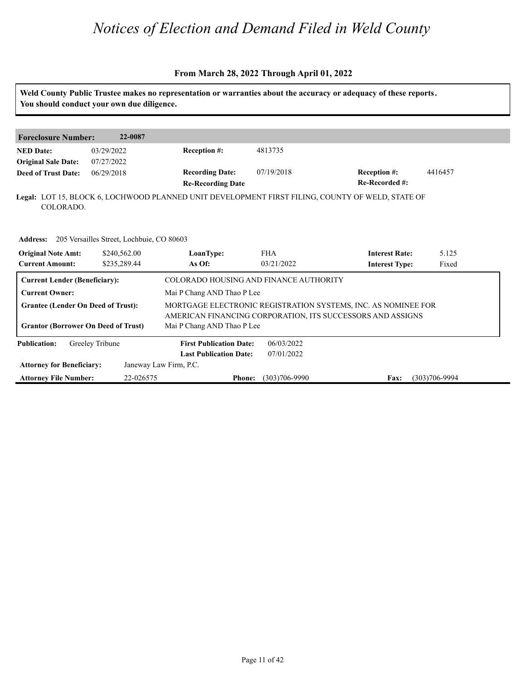#### **From March 28, 2022 Through April 01, 2022**

**Weld County Public Trustee makes no representation or warranties about the accuracy or adequacy of these reports. You should conduct your own due diligence. Foreclosure Number: 22-0087 NED Date: Re-Recorded #: Reception #:** 4416457 **Reception 4:** 4416457 **Re-Recording Date Recording Date: Reception #: Deed of Trust Date:**<br>**Deed of Trust Date: Legal:** LOT 15, BLOCK 6, LOCHWOOD PLANNED UNIT DEVELOPMENT FIRST FILING, COUNTY OF WELD, STATE OF 03/29/2022 07/27/2022 06/29/2018 4813735 COLORADO. **Address: 205 Versailles Street, Lochbuie, CO 80603<br><b>Original Note Amt:** 240,562.00 **LoanType:<br>Current Amount: 20235,289.44 As Of: IoanType:** FHA **Interest Rate:** 5.125<br> **As Of:** 03/21/2022 **Interest Type:** Fixed **LoanType:** \$240,562.00 \$235,289.44 FHA **Interest Rate:** 03/21/2022 **Interest Type:** 5.125 Fixed **Current Lender (Beneficiary):** COLORADO HOUSING AND FINANCE AUTHORITY **Current Owner:** Mai P Chang AND Thao P Lee **Grantee (Lender On Deed of Trust):** MORTGAGE ELECTRONIC REGISTRATION SYSTEMS, INC. AS NOMINEE FOR AMERICAN FINANCING CORPORATION, ITS SUCCESSORS AND ASSIGNS **Grantor (Borrower On Deed of Trust)** Mai P Chang AND Thao P Lee **Publication: Attorney for Beneficiary: Attorney File Number: Last Publication Date: Phone: Fax:** 22-026575 (303)706-9990 (303)706-9994 **First Publication Date:** Janeway Law Firm, P.C. 06/03/2022 07/01/2022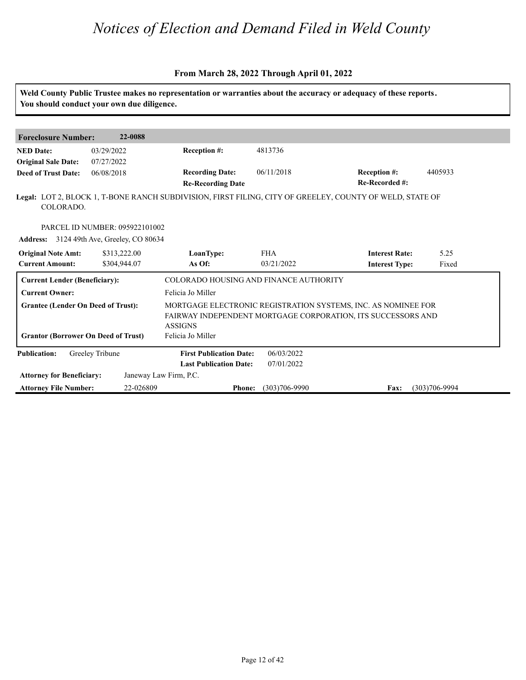#### **From March 28, 2022 Through April 01, 2022**

**Weld County Public Trustee makes no representation or warranties about the accuracy or adequacy of these reports. You should conduct your own due diligence. Foreclosure Number: 22-0088 NED Date: Re-Recorded #: Reception #:** 06/11/2018 4405933 **Re-Recording Date Recording Date: Reception #: Deed of Trust Date:**<br>**Deed of Trust Date: Legal:** LOT 2, BLOCK 1, T-BONE RANCH SUBDIVISION, FIRST FILING, CITY OF GREELEY, COUNTY OF WELD, STATE OF 03/29/2022 07/27/2022 06/08/2018 4813736 COLORADO. PARCEL ID NUMBER: 095922101002 **Address: Current Amount: Original Note Amt:** 3124 49th Ave, Greeley, CO 80634 **IoanType:** FHA **Interest Rate:** 5.25<br> **As Of:** 03/21/2022 **Interest Type:** Fixed **LoanType:** \$313,222.00 \$304,944.07 FHA **Interest Rate:** 03/21/2022 **Interest Type:** 5.25 Fixed **Current Lender (Beneficiary):** COLORADO HOUSING AND FINANCE AUTHORITY **Current Owner:** Felicia Jo Miller **Grantee (Lender On Deed of Trust):** MORTGAGE ELECTRONIC REGISTRATION SYSTEMS, INC. AS NOMINEE FOR FAIRWAY INDEPENDENT MORTGAGE CORPORATION, ITS SUCCESSORS AND ASSIGNS Grantor (Borrower On Deed of Trust) Felicia Jo Miller **Publication: Attorney for Beneficiary: Attorney File Number: Last Publication Date: Phone: Fax:** 22-026809 (303)706-9990 (303)706-9994 **First Publication Date:** Janeway Law Firm, P.C. 06/03/2022 07/01/2022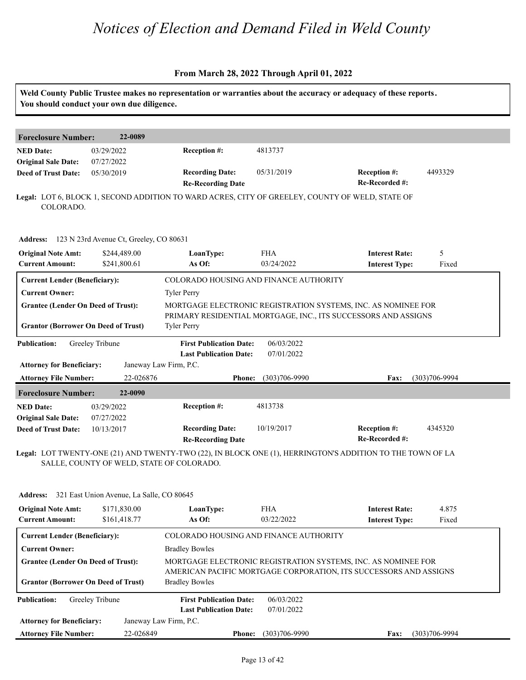#### **From March 28, 2022 Through April 01, 2022**

| You should conduct your own due diligence.               |                                           |                                                                                                 |                                                               | Weld County Public Trustee makes no representation or warranties about the accuracy or adequacy of these reports. |                   |  |  |
|----------------------------------------------------------|-------------------------------------------|-------------------------------------------------------------------------------------------------|---------------------------------------------------------------|-------------------------------------------------------------------------------------------------------------------|-------------------|--|--|
| <b>Foreclosure Number:</b>                               | 22-0089                                   |                                                                                                 |                                                               |                                                                                                                   |                   |  |  |
| <b>NED Date:</b><br><b>Original Sale Date:</b>           | 03/29/2022<br>07/27/2022                  | Reception #:                                                                                    | 4813737                                                       |                                                                                                                   |                   |  |  |
| <b>Deed of Trust Date:</b>                               | 05/30/2019                                | <b>Recording Date:</b><br><b>Re-Recording Date</b>                                              | 05/31/2019                                                    | Reception #:<br>Re-Recorded #:                                                                                    | 4493329           |  |  |
| COLORADO.                                                |                                           | Legal: LOT 6, BLOCK 1, SECOND ADDITION TO WARD ACRES, CITY OF GREELEY, COUNTY OF WELD, STATE OF |                                                               |                                                                                                                   |                   |  |  |
| Address: 123 N 23rd Avenue Ct, Greeley, CO 80631         |                                           |                                                                                                 |                                                               |                                                                                                                   |                   |  |  |
| <b>Original Note Amt:</b><br><b>Current Amount:</b>      | \$244,489.00<br>\$241,800.61              | LoanType:<br>As Of:                                                                             | <b>FHA</b><br>03/24/2022                                      | <b>Interest Rate:</b><br><b>Interest Type:</b>                                                                    | 5<br>Fixed        |  |  |
| <b>Current Lender (Beneficiary):</b>                     |                                           | COLORADO HOUSING AND FINANCE AUTHORITY                                                          |                                                               |                                                                                                                   |                   |  |  |
| <b>Current Owner:</b>                                    |                                           | <b>Tyler Perry</b>                                                                              |                                                               |                                                                                                                   |                   |  |  |
| <b>Grantee (Lender On Deed of Trust):</b>                |                                           |                                                                                                 | MORTGAGE ELECTRONIC REGISTRATION SYSTEMS, INC. AS NOMINEE FOR |                                                                                                                   |                   |  |  |
| <b>Grantor (Borrower On Deed of Trust)</b>               |                                           | <b>Tyler Perry</b>                                                                              |                                                               | PRIMARY RESIDENTIAL MORTGAGE, INC., ITS SUCCESSORS AND ASSIGNS                                                    |                   |  |  |
| <b>Publication:</b>                                      | Greeley Tribune                           | <b>First Publication Date:</b><br><b>Last Publication Date:</b>                                 | 06/03/2022<br>07/01/2022                                      |                                                                                                                   |                   |  |  |
| <b>Attorney for Beneficiary:</b>                         |                                           | Janeway Law Firm, P.C.                                                                          |                                                               |                                                                                                                   |                   |  |  |
| <b>Attorney File Number:</b>                             | 22-026876                                 | <b>Phone:</b>                                                                                   | $(303)706 - 9990$                                             | Fax:                                                                                                              | $(303)706 - 9994$ |  |  |
| <b>Foreclosure Number:</b>                               | 22-0090                                   |                                                                                                 |                                                               |                                                                                                                   |                   |  |  |
| <b>NED Date:</b>                                         | 03/29/2022                                | Reception #:                                                                                    | 4813738                                                       |                                                                                                                   |                   |  |  |
| <b>Original Sale Date:</b><br><b>Deed of Trust Date:</b> | 07/27/2022<br>10/13/2017                  | <b>Recording Date:</b><br><b>Re-Recording Date</b>                                              | 10/19/2017                                                    | Reception #:<br>Re-Recorded #:                                                                                    | 4345320           |  |  |
|                                                          |                                           | SALLE, COUNTY OF WELD, STATE OF COLORADO.                                                       |                                                               | Legal: LOT TWENTY-ONE (21) AND TWENTY-TWO (22), IN BLOCK ONE (1), HERRINGTON'S ADDITION TO THE TOWN OF LA         |                   |  |  |
| <b>Address:</b>                                          | 321 East Union Avenue, La Salle, CO 80645 |                                                                                                 |                                                               |                                                                                                                   |                   |  |  |
| <b>Original Note Amt:</b><br><b>Current Amount:</b>      | \$171,830.00<br>\$161,418.77              | LoanType:<br>As Of:                                                                             | <b>FHA</b><br>03/22/2022                                      | <b>Interest Rate:</b><br><b>Interest Type:</b>                                                                    | 4.875<br>Fixed    |  |  |
| <b>Current Lender (Beneficiary):</b>                     |                                           | COLORADO HOUSING AND FINANCE AUTHORITY                                                          |                                                               |                                                                                                                   |                   |  |  |
| <b>Current Owner:</b>                                    |                                           | <b>Bradley Bowles</b>                                                                           |                                                               |                                                                                                                   |                   |  |  |
| <b>Grantee (Lender On Deed of Trust):</b>                |                                           | MORTGAGE ELECTRONIC REGISTRATION SYSTEMS, INC. AS NOMINEE FOR                                   |                                                               |                                                                                                                   |                   |  |  |
| <b>Grantor (Borrower On Deed of Trust)</b>               |                                           | <b>Bradley Bowles</b>                                                                           |                                                               | AMERICAN PACIFIC MORTGAGE CORPORATION, ITS SUCCESSORS AND ASSIGNS                                                 |                   |  |  |
| <b>Publication:</b>                                      | Greeley Tribune                           | <b>First Publication Date:</b><br><b>Last Publication Date:</b>                                 | 06/03/2022<br>07/01/2022                                      |                                                                                                                   |                   |  |  |
| <b>Attorney for Beneficiary:</b>                         |                                           | Janeway Law Firm, P.C.                                                                          |                                                               |                                                                                                                   |                   |  |  |

**Phone: Fax:** 22-026849 (303)706-9990 (303)706-9994

**Attorney File Number:**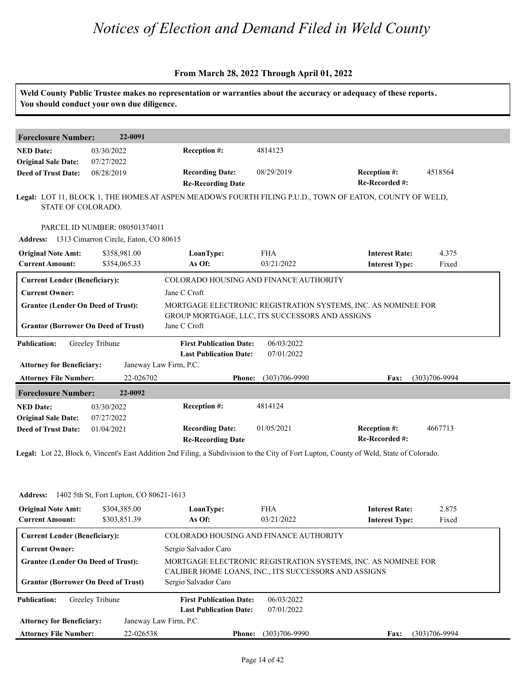#### **From March 28, 2022 Through April 01, 2022**

|                                            | You should conduct your own due diligence.     |                                                               |                   | Weld County Public Trustee makes no representation or warranties about the accuracy or adequacy of these reports.                        |                   |  |
|--------------------------------------------|------------------------------------------------|---------------------------------------------------------------|-------------------|------------------------------------------------------------------------------------------------------------------------------------------|-------------------|--|
| <b>Foreclosure Number:</b>                 | 22-0091                                        |                                                               |                   |                                                                                                                                          |                   |  |
| <b>NED Date:</b>                           | 03/30/2022                                     | Reception #:                                                  | 4814123           |                                                                                                                                          |                   |  |
| <b>Original Sale Date:</b>                 | 07/27/2022                                     |                                                               |                   |                                                                                                                                          |                   |  |
| <b>Deed of Trust Date:</b>                 | 08/28/2019                                     | <b>Recording Date:</b>                                        | 08/29/2019        | <b>Reception #:</b>                                                                                                                      | 4518564           |  |
|                                            |                                                | <b>Re-Recording Date</b>                                      |                   | Re-Recorded #:                                                                                                                           |                   |  |
| STATE OF COLORADO.                         |                                                |                                                               |                   | Legal: LOT 11, BLOCK 1, THE HOMES AT ASPEN MEADOWS FOURTH FILING P.U.D., TOWN OF EATON, COUNTY OF WELD,                                  |                   |  |
|                                            |                                                |                                                               |                   |                                                                                                                                          |                   |  |
|                                            | PARCEL ID NUMBER: 080501374011                 |                                                               |                   |                                                                                                                                          |                   |  |
|                                            | Address: 1313 Cimarron Circle, Eaton, CO 80615 |                                                               |                   |                                                                                                                                          |                   |  |
| <b>Original Note Amt:</b>                  | \$358,981.00                                   | LoanType:                                                     | <b>FHA</b>        | <b>Interest Rate:</b>                                                                                                                    | 4.375             |  |
| <b>Current Amount:</b>                     | \$354,065.33                                   | As Of:                                                        | 03/21/2022        | <b>Interest Type:</b>                                                                                                                    | Fixed             |  |
| <b>Current Lender (Beneficiary):</b>       |                                                | COLORADO HOUSING AND FINANCE AUTHORITY                        |                   |                                                                                                                                          |                   |  |
| <b>Current Owner:</b>                      |                                                | Jane C Croft                                                  |                   |                                                                                                                                          |                   |  |
| <b>Grantee (Lender On Deed of Trust):</b>  |                                                | MORTGAGE ELECTRONIC REGISTRATION SYSTEMS, INC. AS NOMINEE FOR |                   |                                                                                                                                          |                   |  |
|                                            |                                                | GROUP MORTGAGE, LLC, ITS SUCCESSORS AND ASSIGNS               |                   |                                                                                                                                          |                   |  |
| <b>Grantor (Borrower On Deed of Trust)</b> |                                                | Jane C Croft                                                  |                   |                                                                                                                                          |                   |  |
| <b>Publication:</b>                        | Greeley Tribune                                | <b>First Publication Date:</b>                                | 06/03/2022        |                                                                                                                                          |                   |  |
|                                            |                                                | <b>Last Publication Date:</b>                                 | 07/01/2022        |                                                                                                                                          |                   |  |
| <b>Attorney for Beneficiary:</b>           |                                                | Janeway Law Firm, P.C.                                        |                   |                                                                                                                                          |                   |  |
| <b>Attorney File Number:</b>               | 22-026702                                      | <b>Phone:</b>                                                 | $(303)706 - 9990$ | Fax:                                                                                                                                     | $(303)706 - 9994$ |  |
| <b>Foreclosure Number:</b>                 | 22-0092                                        |                                                               |                   |                                                                                                                                          |                   |  |
| <b>NED</b> Date:                           | 03/30/2022                                     | Reception #:                                                  | 4814124           |                                                                                                                                          |                   |  |
| <b>Original Sale Date:</b>                 | 07/27/2022                                     |                                                               |                   |                                                                                                                                          |                   |  |
| <b>Deed of Trust Date:</b>                 | 01/04/2021                                     | <b>Recording Date:</b>                                        | 01/05/2021        | <b>Reception #:</b>                                                                                                                      | 4667713           |  |
|                                            |                                                | <b>Re-Recording Date</b>                                      |                   | Re-Recorded #:                                                                                                                           |                   |  |
|                                            |                                                |                                                               |                   | Legal: Lot 22, Block 6, Vincent's East Addition 2nd Filing, a Subdivision to the City of Fort Lupton, County of Weld, State of Colorado. |                   |  |

**Address: Current Amount: Original Note Amt:** 1402 5th St, Fort Lupton, CO 80621-1613 **IoanType:** FHA **Interest Rate:** 2.875<br> **As Of:** 03/21/2022 **Interest Type:** Fixed **LoanType:** \$304,385.00 \$303,851.39 **Interest Rate:** 03/21/2022 **Interest Type:** 2.875 Fixed **Current Lender (Beneficiary):** COLORADO HOUSING AND FINANCE AUTHORITY **Current Owner:** Sergio Salvador Caro **Grantee (Lender On Deed of Trust):** MORTGAGE ELECTRONIC REGISTRATION SYSTEMS, INC. AS NOMINEE FOR CALIBER HOME LOANS, INC., ITS SUCCESSORS AND ASSIGNS Grantor (Borrower On Deed of Trust) Sergio Salvador Caro **Publication: Attorney for Beneficiary: Attorney File Number: Last Publication Date: Phone: Fax:** 22-026538 (303)706-9990 (303)706-9994 **First Publication Date:** Janeway Law Firm, P.C. 06/03/2022 07/01/2022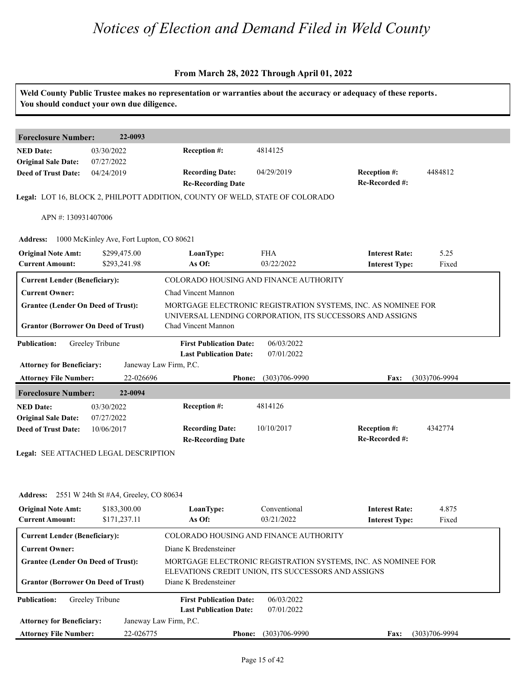|                                                                  | You should conduct your own due diligence.            |                                                                                                                      |                             | Weld County Public Trustee makes no representation or warranties about the accuracy or adequacy of these reports. |                   |
|------------------------------------------------------------------|-------------------------------------------------------|----------------------------------------------------------------------------------------------------------------------|-----------------------------|-------------------------------------------------------------------------------------------------------------------|-------------------|
| <b>Foreclosure Number:</b>                                       | 22-0093                                               |                                                                                                                      |                             |                                                                                                                   |                   |
| <b>NED Date:</b><br><b>Original Sale Date:</b>                   | 03/30/2022<br>07/27/2022                              | Reception #:                                                                                                         | 4814125                     |                                                                                                                   |                   |
| <b>Deed of Trust Date:</b>                                       | 04/24/2019                                            | <b>Recording Date:</b><br><b>Re-Recording Date</b>                                                                   | 04/29/2019                  | <b>Reception #:</b><br>Re-Recorded #:                                                                             | 4484812           |
|                                                                  |                                                       | Legal: LOT 16, BLOCK 2, PHILPOTT ADDITION, COUNTY OF WELD, STATE OF COLORADO                                         |                             |                                                                                                                   |                   |
| APN #: 130931407006                                              |                                                       |                                                                                                                      |                             |                                                                                                                   |                   |
| <b>Address:</b>                                                  | 1000 McKinley Ave, Fort Lupton, CO 80621              |                                                                                                                      |                             |                                                                                                                   |                   |
| <b>Original Note Amt:</b><br><b>Current Amount:</b>              | \$299,475.00<br>\$293,241.98                          | LoanType:<br>As Of:                                                                                                  | <b>FHA</b><br>03/22/2022    | <b>Interest Rate:</b><br><b>Interest Type:</b>                                                                    | 5.25<br>Fixed     |
| <b>Current Lender (Beneficiary):</b>                             |                                                       | COLORADO HOUSING AND FINANCE AUTHORITY                                                                               |                             |                                                                                                                   |                   |
| <b>Current Owner:</b>                                            |                                                       | Chad Vincent Mannon                                                                                                  |                             |                                                                                                                   |                   |
| <b>Grantee (Lender On Deed of Trust):</b>                        |                                                       |                                                                                                                      |                             | MORTGAGE ELECTRONIC REGISTRATION SYSTEMS, INC. AS NOMINEE FOR                                                     |                   |
| <b>Grantor (Borrower On Deed of Trust)</b>                       |                                                       | Chad Vincent Mannon                                                                                                  |                             | UNIVERSAL LENDING CORPORATION, ITS SUCCESSORS AND ASSIGNS                                                         |                   |
| <b>Publication:</b>                                              | Greeley Tribune                                       | <b>First Publication Date:</b><br><b>Last Publication Date:</b>                                                      | 06/03/2022<br>07/01/2022    |                                                                                                                   |                   |
| <b>Attorney for Beneficiary:</b><br><b>Attorney File Number:</b> | 22-026696                                             | Janeway Law Firm, P.C.<br><b>Phone:</b>                                                                              | $(303)706 - 9990$           | Fax:                                                                                                              | $(303)706 - 9994$ |
|                                                                  | 22-0094                                               |                                                                                                                      |                             |                                                                                                                   |                   |
| <b>Foreclosure Number:</b><br><b>NED Date:</b>                   | 03/30/2022                                            | <b>Reception #:</b>                                                                                                  | 4814126                     |                                                                                                                   |                   |
| <b>Original Sale Date:</b>                                       | 07/27/2022                                            |                                                                                                                      |                             |                                                                                                                   |                   |
| <b>Deed of Trust Date:</b>                                       | 10/06/2017                                            | <b>Recording Date:</b><br><b>Re-Recording Date</b>                                                                   | 10/10/2017                  | Reception #:<br>Re-Recorded #:                                                                                    | 4342774           |
|                                                                  | Legal: SEE ATTACHED LEGAL DESCRIPTION                 |                                                                                                                      |                             |                                                                                                                   |                   |
|                                                                  | <b>Address:</b> 2551 W 24th St #A4, Greeley, CO 80634 |                                                                                                                      |                             |                                                                                                                   |                   |
| <b>Original Note Amt:</b><br><b>Current Amount:</b>              | \$183,300.00<br>\$171,237.11                          | LoanType:<br>As Of:                                                                                                  | Conventional<br>03/21/2022  | <b>Interest Rate:</b><br><b>Interest Type:</b>                                                                    | 4.875<br>Fixed    |
| <b>Current Lender (Beneficiary):</b>                             |                                                       | COLORADO HOUSING AND FINANCE AUTHORITY                                                                               |                             |                                                                                                                   |                   |
| <b>Current Owner:</b>                                            |                                                       | Diane K Bredensteiner                                                                                                |                             |                                                                                                                   |                   |
| <b>Grantee (Lender On Deed of Trust):</b>                        |                                                       | MORTGAGE ELECTRONIC REGISTRATION SYSTEMS, INC. AS NOMINEE FOR<br>ELEVATIONS CREDIT UNION, ITS SUCCESSORS AND ASSIGNS |                             |                                                                                                                   |                   |
| <b>Grantor (Borrower On Deed of Trust)</b>                       |                                                       | Diane K Bredensteiner                                                                                                |                             |                                                                                                                   |                   |
| <b>Publication:</b>                                              | Greeley Tribune                                       | <b>First Publication Date:</b><br><b>Last Publication Date:</b>                                                      | 06/03/2022<br>07/01/2022    |                                                                                                                   |                   |
| <b>Attorney for Beneficiary:</b>                                 |                                                       | Janeway Law Firm, P.C.                                                                                               |                             |                                                                                                                   |                   |
| <b>Attorney File Number:</b>                                     | 22-026775                                             |                                                                                                                      | <b>Phone:</b> (303)706-9990 | <b>Fax:</b>                                                                                                       | $(303)706 - 9994$ |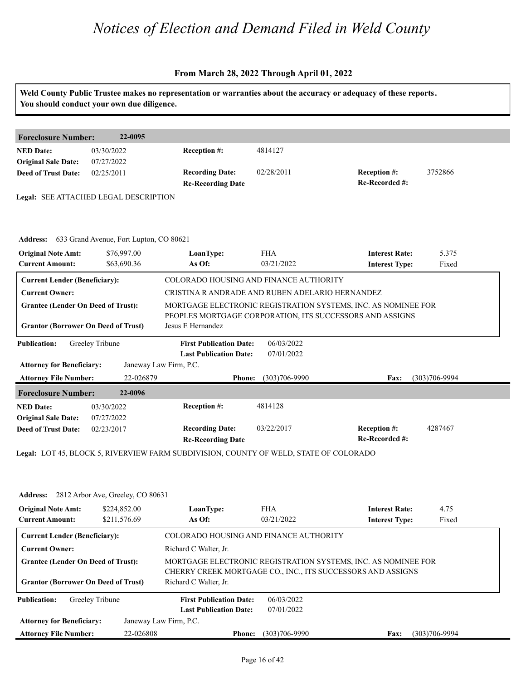|                                                          | You should conduct your own due diligence.        |                                                                                       |                          | Weld County Public Trustee makes no representation or warranties about the accuracy or adequacy of these reports. |                   |
|----------------------------------------------------------|---------------------------------------------------|---------------------------------------------------------------------------------------|--------------------------|-------------------------------------------------------------------------------------------------------------------|-------------------|
| <b>Foreclosure Number:</b>                               | 22-0095                                           |                                                                                       |                          |                                                                                                                   |                   |
| <b>NED Date:</b><br><b>Original Sale Date:</b>           | 03/30/2022<br>07/27/2022                          | Reception #:                                                                          | 4814127                  |                                                                                                                   |                   |
| <b>Deed of Trust Date:</b>                               | 02/25/2011                                        | <b>Recording Date:</b><br><b>Re-Recording Date</b>                                    | 02/28/2011               | Reception #:<br>Re-Recorded #:                                                                                    | 3752866           |
|                                                          | Legal: SEE ATTACHED LEGAL DESCRIPTION             |                                                                                       |                          |                                                                                                                   |                   |
|                                                          | Address: 633 Grand Avenue, Fort Lupton, CO 80621  |                                                                                       |                          |                                                                                                                   |                   |
| <b>Original Note Amt:</b><br><b>Current Amount:</b>      | \$76,997.00<br>\$63,690.36                        | LoanType:<br>As Of:                                                                   | <b>FHA</b><br>03/21/2022 | <b>Interest Rate:</b><br><b>Interest Type:</b>                                                                    | 5.375<br>Fixed    |
| <b>Current Lender (Beneficiary):</b>                     |                                                   | COLORADO HOUSING AND FINANCE AUTHORITY                                                |                          |                                                                                                                   |                   |
| <b>Current Owner:</b>                                    |                                                   | CRISTINA R ANDRADE AND RUBEN ADELARIO HERNANDEZ                                       |                          |                                                                                                                   |                   |
| <b>Grantee (Lender On Deed of Trust):</b>                |                                                   |                                                                                       |                          | MORTGAGE ELECTRONIC REGISTRATION SYSTEMS, INC. AS NOMINEE FOR                                                     |                   |
|                                                          |                                                   |                                                                                       |                          | PEOPLES MORTGAGE CORPORATION, ITS SUCCESSORS AND ASSIGNS                                                          |                   |
| <b>Grantor (Borrower On Deed of Trust)</b>               |                                                   | Jesus E Hernandez                                                                     |                          |                                                                                                                   |                   |
| <b>Publication:</b>                                      | Greeley Tribune                                   | <b>First Publication Date:</b><br><b>Last Publication Date:</b>                       | 06/03/2022<br>07/01/2022 |                                                                                                                   |                   |
| <b>Attorney for Beneficiary:</b>                         |                                                   | Janeway Law Firm, P.C.                                                                |                          |                                                                                                                   |                   |
| <b>Attorney File Number:</b>                             | 22-026879                                         | <b>Phone:</b>                                                                         | $(303)706 - 9990$        | Fax:                                                                                                              | $(303)706 - 9994$ |
| <b>Foreclosure Number:</b>                               | 22-0096                                           |                                                                                       |                          |                                                                                                                   |                   |
| <b>NED Date:</b>                                         | 03/30/2022                                        | Reception #:                                                                          | 4814128                  |                                                                                                                   |                   |
| <b>Original Sale Date:</b><br><b>Deed of Trust Date:</b> | 07/27/2022<br>02/23/2017                          | <b>Recording Date:</b><br><b>Re-Recording Date</b>                                    | 03/22/2017               | Reception #:<br>Re-Recorded #:                                                                                    | 4287467           |
|                                                          |                                                   | Legal: LOT 45, BLOCK 5, RIVERVIEW FARM SUBDIVISION, COUNTY OF WELD, STATE OF COLORADO |                          |                                                                                                                   |                   |
|                                                          |                                                   |                                                                                       |                          |                                                                                                                   |                   |
|                                                          | <b>Address:</b> 2812 Arbor Ave, Greeley, CO 80631 |                                                                                       |                          |                                                                                                                   |                   |
| <b>Original Note Amt:</b><br><b>Current Amount:</b>      | \$224,852.00<br>\$211,576.69                      | LoanType:<br>As Of:                                                                   | <b>FHA</b><br>03/21/2022 | <b>Interest Rate:</b><br><b>Interest Type:</b>                                                                    | 4.75<br>Fixed     |
| <b>Current Lender (Beneficiary):</b>                     |                                                   | COLORADO HOUSING AND FINANCE AUTHORITY                                                |                          |                                                                                                                   |                   |
| <b>Current Owner:</b>                                    |                                                   | Richard C Walter, Jr.                                                                 |                          |                                                                                                                   |                   |
| <b>Grantee (Lender On Deed of Trust):</b>                |                                                   | MORTGAGE ELECTRONIC REGISTRATION SYSTEMS, INC. AS NOMINEE FOR                         |                          |                                                                                                                   |                   |
| <b>Grantor (Borrower On Deed of Trust)</b>               |                                                   | Richard C Walter, Jr.                                                                 |                          | CHERRY CREEK MORTGAGE CO., INC., ITS SUCCESSORS AND ASSIGNS                                                       |                   |
| <b>Publication:</b>                                      | Greeley Tribune                                   | <b>First Publication Date:</b><br><b>Last Publication Date:</b>                       | 06/03/2022<br>07/01/2022 |                                                                                                                   |                   |
| <b>Attorney for Beneficiary:</b>                         |                                                   | Janeway Law Firm, P.C.                                                                |                          |                                                                                                                   |                   |
| <b>Attorney File Number:</b>                             | 22-026808                                         | <b>Phone:</b>                                                                         | $(303)706 - 9990$        | <b>Fax:</b>                                                                                                       | $(303)706 - 9994$ |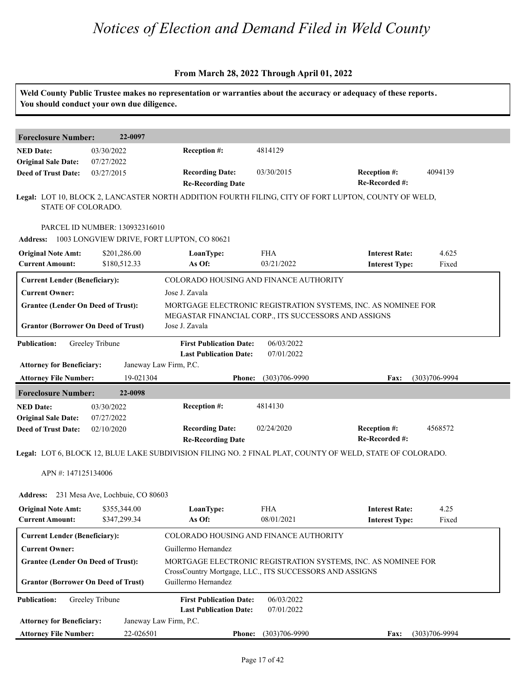|                                                                                         | You should conduct your own due diligence. |                                                                                           |                          | Weld County Public Trustee makes no representation or warranties about the accuracy or adequacy of these reports. |                   |
|-----------------------------------------------------------------------------------------|--------------------------------------------|-------------------------------------------------------------------------------------------|--------------------------|-------------------------------------------------------------------------------------------------------------------|-------------------|
| <b>Foreclosure Number:</b>                                                              | 22-0097                                    |                                                                                           |                          |                                                                                                                   |                   |
| <b>NED Date:</b><br><b>Original Sale Date:</b>                                          | 03/30/2022<br>07/27/2022                   | Reception #:                                                                              | 4814129                  |                                                                                                                   |                   |
| <b>Deed of Trust Date:</b>                                                              | 03/27/2015                                 | <b>Recording Date:</b><br><b>Re-Recording Date</b>                                        | 03/30/2015               | Reception #:<br>Re-Recorded #:                                                                                    | 4094139           |
| STATE OF COLORADO.                                                                      |                                            |                                                                                           |                          | Legal: LOT 10, BLOCK 2, LANCASTER NORTH ADDITION FOURTH FILING, CITY OF FORT LUPTON, COUNTY OF WELD,              |                   |
|                                                                                         | PARCEL ID NUMBER: 130932316010             | Address: 1003 LONGVIEW DRIVE, FORT LUPTON, CO 80621                                       |                          |                                                                                                                   |                   |
| <b>Original Note Amt:</b><br><b>Current Amount:</b>                                     | \$201,286.00<br>\$180,512.33               | LoanType:<br>As Of:                                                                       | <b>FHA</b><br>03/21/2022 | <b>Interest Rate:</b><br><b>Interest Type:</b>                                                                    | 4.625<br>Fixed    |
| <b>Current Lender (Beneficiary):</b>                                                    |                                            | COLORADO HOUSING AND FINANCE AUTHORITY                                                    |                          |                                                                                                                   |                   |
| <b>Current Owner:</b>                                                                   |                                            | Jose J. Zavala                                                                            |                          |                                                                                                                   |                   |
| <b>Grantee (Lender On Deed of Trust):</b><br><b>Grantor (Borrower On Deed of Trust)</b> |                                            | MEGASTAR FINANCIAL CORP., ITS SUCCESSORS AND ASSIGNS<br>Jose J. Zavala                    |                          | MORTGAGE ELECTRONIC REGISTRATION SYSTEMS, INC. AS NOMINEE FOR                                                     |                   |
| <b>Publication:</b><br><b>Attorney for Beneficiary:</b>                                 | Greeley Tribune                            | <b>First Publication Date:</b><br><b>Last Publication Date:</b><br>Janeway Law Firm, P.C. | 06/03/2022<br>07/01/2022 |                                                                                                                   |                   |
| <b>Attorney File Number:</b>                                                            | 19-021304                                  | <b>Phone:</b>                                                                             | $(303)706 - 9990$        | Fax:                                                                                                              | $(303)706 - 9994$ |
| <b>Foreclosure Number:</b>                                                              | 22-0098                                    |                                                                                           |                          |                                                                                                                   |                   |
| <b>NED Date:</b>                                                                        | 03/30/2022                                 | Reception #:                                                                              | 4814130                  |                                                                                                                   |                   |
| <b>Original Sale Date:</b><br><b>Deed of Trust Date:</b>                                | 07/27/2022<br>02/10/2020                   | <b>Recording Date:</b><br><b>Re-Recording Date</b>                                        | 02/24/2020               | <b>Reception #:</b><br>Re-Recorded #:                                                                             | 4568572           |
|                                                                                         |                                            |                                                                                           |                          | Legal: LOT 6, BLOCK 12, BLUE LAKE SUBDIVISION FILING NO. 2 FINAL PLAT, COUNTY OF WELD, STATE OF COLORADO.         |                   |
| APN #: 147125134006                                                                     |                                            |                                                                                           |                          |                                                                                                                   |                   |
|                                                                                         | Address: 231 Mesa Ave, Lochbuie, CO 80603  |                                                                                           |                          |                                                                                                                   |                   |
| <b>Original Note Amt:</b><br><b>Current Amount:</b>                                     | \$355,344.00<br>\$347,299.34               | LoanType:<br>As Of:                                                                       | <b>FHA</b><br>08/01/2021 | <b>Interest Rate:</b><br><b>Interest Type:</b>                                                                    | 4.25<br>Fixed     |
| <b>Current Lender (Beneficiary):</b>                                                    |                                            | COLORADO HOUSING AND FINANCE AUTHORITY                                                    |                          |                                                                                                                   |                   |
| <b>Current Owner:</b>                                                                   |                                            | Guillermo Hernandez                                                                       |                          |                                                                                                                   |                   |
| <b>Grantee (Lender On Deed of Trust):</b><br><b>Grantor (Borrower On Deed of Trust)</b> |                                            | CrossCountry Mortgage, LLC., ITS SUCCESSORS AND ASSIGNS<br>Guillermo Hernandez            |                          | MORTGAGE ELECTRONIC REGISTRATION SYSTEMS, INC. AS NOMINEE FOR                                                     |                   |
| <b>Publication:</b>                                                                     | Greeley Tribune                            | <b>First Publication Date:</b><br><b>Last Publication Date:</b>                           | 06/03/2022<br>07/01/2022 |                                                                                                                   |                   |
| <b>Attorney for Beneficiary:</b>                                                        |                                            | Janeway Law Firm, P.C.                                                                    |                          |                                                                                                                   |                   |
| <b>Attorney File Number:</b>                                                            | 22-026501                                  | Phone:                                                                                    | $(303)706 - 9990$        | <b>Fax:</b>                                                                                                       | $(303)706 - 9994$ |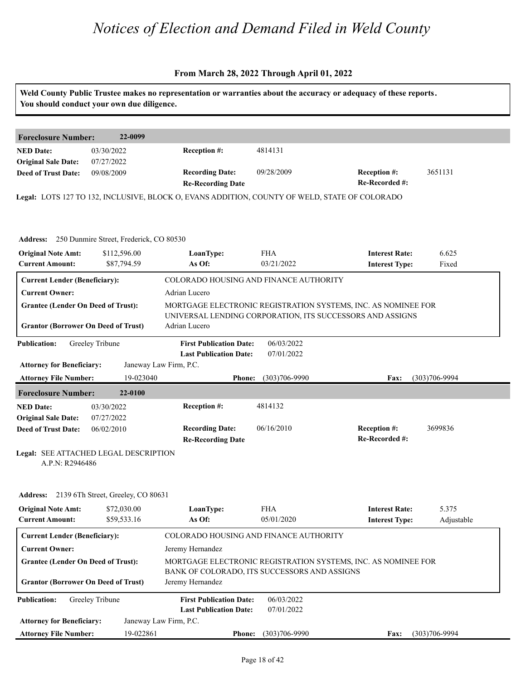|                                                          | You should conduct your own due diligence.       |                                                                                               |                          | Weld County Public Trustee makes no representation or warranties about the accuracy or adequacy of these reports.          |                     |
|----------------------------------------------------------|--------------------------------------------------|-----------------------------------------------------------------------------------------------|--------------------------|----------------------------------------------------------------------------------------------------------------------------|---------------------|
| <b>Foreclosure Number:</b>                               | 22-0099                                          |                                                                                               |                          |                                                                                                                            |                     |
| <b>NED Date:</b><br><b>Original Sale Date:</b>           | 03/30/2022<br>07/27/2022                         | <b>Reception #:</b>                                                                           | 4814131                  |                                                                                                                            |                     |
| <b>Deed of Trust Date:</b>                               | 09/08/2009                                       | <b>Recording Date:</b>                                                                        | 09/28/2009               | Reception #:                                                                                                               | 3651131             |
|                                                          |                                                  | <b>Re-Recording Date</b>                                                                      |                          | Re-Recorded #:                                                                                                             |                     |
|                                                          |                                                  | Legal: LOTS 127 TO 132, INCLUSIVE, BLOCK O, EVANS ADDITION, COUNTY OF WELD, STATE OF COLORADO |                          |                                                                                                                            |                     |
|                                                          | Address: 250 Dunmire Street, Frederick, CO 80530 |                                                                                               |                          |                                                                                                                            |                     |
| <b>Original Note Amt:</b><br><b>Current Amount:</b>      | \$112,596.00<br>\$87,794.59                      | LoanType:<br>As Of:                                                                           | <b>FHA</b><br>03/21/2022 | <b>Interest Rate:</b><br><b>Interest Type:</b>                                                                             | 6.625<br>Fixed      |
| <b>Current Lender (Beneficiary):</b>                     |                                                  | COLORADO HOUSING AND FINANCE AUTHORITY                                                        |                          |                                                                                                                            |                     |
| <b>Current Owner:</b>                                    |                                                  | Adrian Lucero                                                                                 |                          |                                                                                                                            |                     |
| <b>Grantee (Lender On Deed of Trust):</b>                |                                                  |                                                                                               |                          | MORTGAGE ELECTRONIC REGISTRATION SYSTEMS, INC. AS NOMINEE FOR<br>UNIVERSAL LENDING CORPORATION, ITS SUCCESSORS AND ASSIGNS |                     |
| <b>Grantor (Borrower On Deed of Trust)</b>               |                                                  | Adrian Lucero                                                                                 |                          |                                                                                                                            |                     |
| <b>Publication:</b>                                      | Greeley Tribune                                  | <b>First Publication Date:</b><br><b>Last Publication Date:</b>                               | 06/03/2022<br>07/01/2022 |                                                                                                                            |                     |
| <b>Attorney for Beneficiary:</b>                         |                                                  | Janeway Law Firm, P.C.                                                                        |                          |                                                                                                                            |                     |
| <b>Attorney File Number:</b>                             | 19-023040                                        | <b>Phone:</b>                                                                                 | $(303)706 - 9990$        | Fax:                                                                                                                       | $(303)706 - 9994$   |
| <b>Foreclosure Number:</b>                               | 22-0100                                          |                                                                                               |                          |                                                                                                                            |                     |
| <b>NED Date:</b>                                         | 03/30/2022                                       | <b>Reception #:</b>                                                                           | 4814132                  |                                                                                                                            |                     |
| <b>Original Sale Date:</b>                               | 07/27/2022                                       | <b>Recording Date:</b>                                                                        | 06/16/2010               | Reception #:                                                                                                               | 3699836             |
| <b>Deed of Trust Date:</b>                               | 06/02/2010                                       | <b>Re-Recording Date</b>                                                                      |                          | Re-Recorded #:                                                                                                             |                     |
| Legal: SEE ATTACHED LEGAL DESCRIPTION<br>A.P.N: R2946486 |                                                  |                                                                                               |                          |                                                                                                                            |                     |
|                                                          | Address: 2139 6Th Street, Greeley, CO 80631      |                                                                                               |                          |                                                                                                                            |                     |
| <b>Original Note Amt:</b><br><b>Current Amount:</b>      | \$72,030.00<br>\$59,533.16                       | LoanType:<br>As Of:                                                                           | <b>FHA</b><br>05/01/2020 | <b>Interest Rate:</b><br><b>Interest Type:</b>                                                                             | 5.375<br>Adjustable |
| <b>Current Lender (Beneficiary):</b>                     |                                                  | COLORADO HOUSING AND FINANCE AUTHORITY                                                        |                          |                                                                                                                            |                     |
| <b>Current Owner:</b>                                    |                                                  | Jeremy Hernandez                                                                              |                          |                                                                                                                            |                     |
| <b>Grantee (Lender On Deed of Trust):</b>                |                                                  | BANK OF COLORADO, ITS SUCCESSORS AND ASSIGNS                                                  |                          | MORTGAGE ELECTRONIC REGISTRATION SYSTEMS, INC. AS NOMINEE FOR                                                              |                     |
| <b>Grantor (Borrower On Deed of Trust)</b>               |                                                  | Jeremy Hernandez                                                                              |                          |                                                                                                                            |                     |
| <b>Publication:</b>                                      | Greeley Tribune                                  | <b>First Publication Date:</b><br><b>Last Publication Date:</b>                               | 06/03/2022<br>07/01/2022 |                                                                                                                            |                     |
| <b>Attorney for Beneficiary:</b>                         |                                                  | Janeway Law Firm, P.C.                                                                        |                          |                                                                                                                            |                     |
| <b>Attorney File Number:</b>                             | 19-022861                                        | <b>Phone:</b>                                                                                 | $(303)706 - 9990$        | <b>Fax:</b>                                                                                                                | $(303)706 - 9994$   |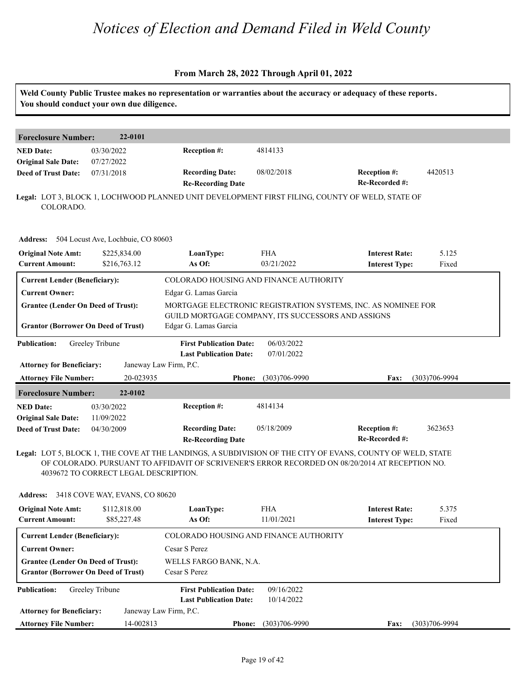|                                                                                         | You should conduct your own due diligence. |                                                                             |                          | Weld County Public Trustee makes no representation or warranties about the accuracy or adequacy of these reports.                                                                                             |                   |
|-----------------------------------------------------------------------------------------|--------------------------------------------|-----------------------------------------------------------------------------|--------------------------|---------------------------------------------------------------------------------------------------------------------------------------------------------------------------------------------------------------|-------------------|
| <b>Foreclosure Number:</b>                                                              | 22-0101                                    |                                                                             |                          |                                                                                                                                                                                                               |                   |
| <b>NED Date:</b><br><b>Original Sale Date:</b>                                          | 03/30/2022<br>07/27/2022                   | Reception #:                                                                | 4814133                  |                                                                                                                                                                                                               |                   |
| <b>Deed of Trust Date:</b>                                                              | 07/31/2018                                 | <b>Recording Date:</b><br><b>Re-Recording Date</b>                          | 08/02/2018               | Reception #:<br>Re-Recorded #:                                                                                                                                                                                | 4420513           |
| COLORADO.                                                                               |                                            |                                                                             |                          | Legal: LOT 3, BLOCK 1, LOCHWOOD PLANNED UNIT DEVELOPMENT FIRST FILING, COUNTY OF WELD, STATE OF                                                                                                               |                   |
| Address: 504 Locust Ave, Lochbuie, CO 80603                                             |                                            |                                                                             |                          |                                                                                                                                                                                                               |                   |
| <b>Original Note Amt:</b><br><b>Current Amount:</b>                                     | \$225,834.00<br>\$216,763.12               | LoanType:<br>As Of:                                                         | <b>FHA</b><br>03/21/2022 | <b>Interest Rate:</b><br><b>Interest Type:</b>                                                                                                                                                                | 5.125<br>Fixed    |
| <b>Current Lender (Beneficiary):</b>                                                    |                                            | COLORADO HOUSING AND FINANCE AUTHORITY                                      |                          |                                                                                                                                                                                                               |                   |
| <b>Current Owner:</b>                                                                   |                                            | Edgar G. Lamas Garcia                                                       |                          |                                                                                                                                                                                                               |                   |
| <b>Grantee (Lender On Deed of Trust):</b>                                               |                                            |                                                                             |                          | MORTGAGE ELECTRONIC REGISTRATION SYSTEMS, INC. AS NOMINEE FOR                                                                                                                                                 |                   |
| <b>Grantor (Borrower On Deed of Trust)</b>                                              |                                            | GUILD MORTGAGE COMPANY, ITS SUCCESSORS AND ASSIGNS<br>Edgar G. Lamas Garcia |                          |                                                                                                                                                                                                               |                   |
| <b>Publication:</b>                                                                     | Greeley Tribune                            | <b>First Publication Date:</b><br><b>Last Publication Date:</b>             | 06/03/2022<br>07/01/2022 |                                                                                                                                                                                                               |                   |
| <b>Attorney for Beneficiary:</b>                                                        |                                            | Janeway Law Firm, P.C.                                                      |                          |                                                                                                                                                                                                               |                   |
| <b>Attorney File Number:</b>                                                            | 20-023935                                  | <b>Phone:</b>                                                               | $(303)706 - 9990$        | Fax:                                                                                                                                                                                                          | $(303)706 - 9994$ |
| <b>Foreclosure Number:</b>                                                              | 22-0102                                    |                                                                             |                          |                                                                                                                                                                                                               |                   |
| <b>NED Date:</b>                                                                        | 03/30/2022                                 | Reception #:                                                                | 4814134                  |                                                                                                                                                                                                               |                   |
| <b>Original Sale Date:</b><br><b>Deed of Trust Date:</b>                                | 11/09/2022<br>04/30/2009                   | <b>Recording Date:</b><br><b>Re-Recording Date</b>                          | 05/18/2009               | <b>Reception #:</b><br>Re-Recorded #:                                                                                                                                                                         | 3623653           |
|                                                                                         | 4039672 TO CORRECT LEGAL DESCRIPTION.      |                                                                             |                          | Legal: LOT 5, BLOCK 1, THE COVE AT THE LANDINGS, A SUBDIVISION OF THE CITY OF EVANS, COUNTY OF WELD, STATE<br>OF COLORADO. PURSUANT TO AFFIDAVIT OF SCRIVENER'S ERROR RECORDED ON 08/20/2014 AT RECEPTION NO. |                   |
| Address: 3418 COVE WAY, EVANS, CO 80620                                                 |                                            |                                                                             |                          |                                                                                                                                                                                                               |                   |
| <b>Original Note Amt:</b>                                                               | \$112,818.00                               | LoanType:                                                                   | <b>FHA</b>               | <b>Interest Rate:</b>                                                                                                                                                                                         | 5.375             |
| <b>Current Amount:</b>                                                                  | \$85,227.48                                | As Of:                                                                      | 11/01/2021               | <b>Interest Type:</b>                                                                                                                                                                                         | Fixed             |
| <b>Current Lender (Beneficiary):</b>                                                    |                                            | COLORADO HOUSING AND FINANCE AUTHORITY                                      |                          |                                                                                                                                                                                                               |                   |
| <b>Current Owner:</b>                                                                   |                                            | Cesar S Perez                                                               |                          |                                                                                                                                                                                                               |                   |
| <b>Grantee (Lender On Deed of Trust):</b><br><b>Grantor (Borrower On Deed of Trust)</b> |                                            | WELLS FARGO BANK, N.A.<br>Cesar S Perez                                     |                          |                                                                                                                                                                                                               |                   |
| <b>Publication:</b>                                                                     | Greeley Tribune                            | <b>First Publication Date:</b><br><b>Last Publication Date:</b>             | 09/16/2022<br>10/14/2022 |                                                                                                                                                                                                               |                   |
| <b>Attorney for Beneficiary:</b>                                                        |                                            | Janeway Law Firm, P.C.                                                      |                          |                                                                                                                                                                                                               |                   |
| <b>Attorney File Number:</b>                                                            | 14-002813                                  |                                                                             | Phone: (303)706-9990     | <b>Fax:</b>                                                                                                                                                                                                   | $(303)706 - 9994$ |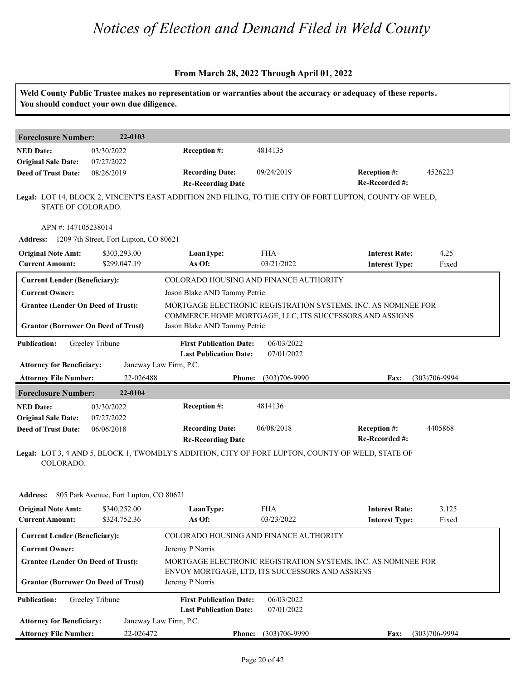#### **From March 28, 2022 Through April 01, 2022**

Weld County Public Trustee makes no representation or warranties about the accuracy or adequacy of these reports.

|                                                | You should conduct your own due diligence.      |                                                                                                   |                          |                                                                                                         |                   |
|------------------------------------------------|-------------------------------------------------|---------------------------------------------------------------------------------------------------|--------------------------|---------------------------------------------------------------------------------------------------------|-------------------|
|                                                | 22-0103                                         |                                                                                                   |                          |                                                                                                         |                   |
| <b>Foreclosure Number:</b>                     |                                                 |                                                                                                   |                          |                                                                                                         |                   |
| <b>NED Date:</b><br><b>Original Sale Date:</b> | 03/30/2022<br>07/27/2022                        | Reception #:                                                                                      | 4814135                  |                                                                                                         |                   |
| <b>Deed of Trust Date:</b>                     | 08/26/2019                                      | <b>Recording Date:</b>                                                                            | 09/24/2019               | Reception #:                                                                                            | 4526223           |
|                                                |                                                 | <b>Re-Recording Date</b>                                                                          |                          | Re-Recorded #:                                                                                          |                   |
| STATE OF COLORADO.                             |                                                 |                                                                                                   |                          | Legal: LOT 14, BLOCK 2, VINCENT'S EAST ADDITION 2ND FILING, TO THE CITY OF FORT LUPTON, COUNTY OF WELD, |                   |
| APN #: 147105238014                            |                                                 |                                                                                                   |                          |                                                                                                         |                   |
|                                                | Address: 1209 7th Street, Fort Lupton, CO 80621 |                                                                                                   |                          |                                                                                                         |                   |
| <b>Original Note Amt:</b>                      | \$303,293.00                                    | LoanType:                                                                                         | <b>FHA</b>               | <b>Interest Rate:</b>                                                                                   | 4.25              |
| <b>Current Amount:</b>                         | \$299,047.19                                    | As Of:                                                                                            | 03/21/2022               | <b>Interest Type:</b>                                                                                   | Fixed             |
| <b>Current Lender (Beneficiary):</b>           |                                                 | COLORADO HOUSING AND FINANCE AUTHORITY                                                            |                          |                                                                                                         |                   |
| <b>Current Owner:</b>                          |                                                 | Jason Blake AND Tammy Petrie                                                                      |                          |                                                                                                         |                   |
| <b>Grantee (Lender On Deed of Trust):</b>      |                                                 |                                                                                                   |                          | MORTGAGE ELECTRONIC REGISTRATION SYSTEMS, INC. AS NOMINEE FOR                                           |                   |
|                                                |                                                 |                                                                                                   |                          | COMMERCE HOME MORTGAGE, LLC, ITS SUCCESSORS AND ASSIGNS                                                 |                   |
| <b>Grantor (Borrower On Deed of Trust)</b>     |                                                 | Jason Blake AND Tammy Petrie                                                                      |                          |                                                                                                         |                   |
| <b>Publication:</b>                            | Greeley Tribune                                 | <b>First Publication Date:</b>                                                                    | 06/03/2022               |                                                                                                         |                   |
|                                                |                                                 | <b>Last Publication Date:</b>                                                                     | 07/01/2022               |                                                                                                         |                   |
| <b>Attorney for Beneficiary:</b>               |                                                 | Janeway Law Firm, P.C.                                                                            |                          |                                                                                                         |                   |
| <b>Attorney File Number:</b>                   | 22-026488                                       | <b>Phone:</b>                                                                                     | $(303)706 - 9990$        | Fax:                                                                                                    | $(303)706 - 9994$ |
| <b>Foreclosure Number:</b>                     | 22-0104                                         |                                                                                                   |                          |                                                                                                         |                   |
| <b>NED Date:</b>                               | 03/30/2022                                      | Reception #:                                                                                      | 4814136                  |                                                                                                         |                   |
| <b>Original Sale Date:</b>                     | 07/27/2022                                      |                                                                                                   |                          |                                                                                                         |                   |
| <b>Deed of Trust Date:</b>                     | 06/06/2018                                      | <b>Recording Date:</b>                                                                            | 06/08/2018               | Reception #:                                                                                            | 4405868           |
|                                                |                                                 | <b>Re-Recording Date</b>                                                                          |                          | Re-Recorded #:                                                                                          |                   |
| COLORADO.                                      |                                                 | Legal: LOT 3, 4 AND 5, BLOCK 1, TWOMBLY'S ADDITION, CITY OF FORT LUPTON, COUNTY OF WELD, STATE OF |                          |                                                                                                         |                   |
|                                                | Address: 805 Park Avenue, Fort Lupton, CO 80621 |                                                                                                   |                          |                                                                                                         |                   |
| <b>Original Note Amt:</b>                      | \$340,252.00                                    | LoanType:                                                                                         | <b>FHA</b>               | <b>Interest Rate:</b>                                                                                   | 3.125             |
| <b>Current Amount:</b>                         | \$324,752.36                                    | As Of:                                                                                            | 03/23/2022               | <b>Interest Type:</b>                                                                                   | Fixed             |
| <b>Current Lender (Beneficiary):</b>           |                                                 | COLORADO HOUSING AND FINANCE AUTHORITY                                                            |                          |                                                                                                         |                   |
| <b>Current Owner:</b>                          |                                                 | Jeremy P Norris                                                                                   |                          |                                                                                                         |                   |
| <b>Grantee (Lender On Deed of Trust):</b>      |                                                 |                                                                                                   |                          | MORTGAGE ELECTRONIC REGISTRATION SYSTEMS, INC. AS NOMINEE FOR                                           |                   |
|                                                |                                                 | ENVOY MORTGAGE, LTD, ITS SUCCESSORS AND ASSIGNS                                                   |                          |                                                                                                         |                   |
| <b>Grantor (Borrower On Deed of Trust)</b>     |                                                 | Jeremy P Norris                                                                                   |                          |                                                                                                         |                   |
| <b>Publication:</b>                            | Greeley Tribune                                 | <b>First Publication Date:</b><br><b>Last Publication Date:</b>                                   | 06/03/2022<br>07/01/2022 |                                                                                                         |                   |
| <b>Attorney for Beneficiary:</b>               |                                                 | Janeway Law Firm, P.C.                                                                            |                          |                                                                                                         |                   |
| <b>Attorney File Number:</b>                   | 22-026472                                       | <b>Phone:</b>                                                                                     | $(303)706 - 9990$        | <b>Fax:</b>                                                                                             | $(303)706 - 9994$ |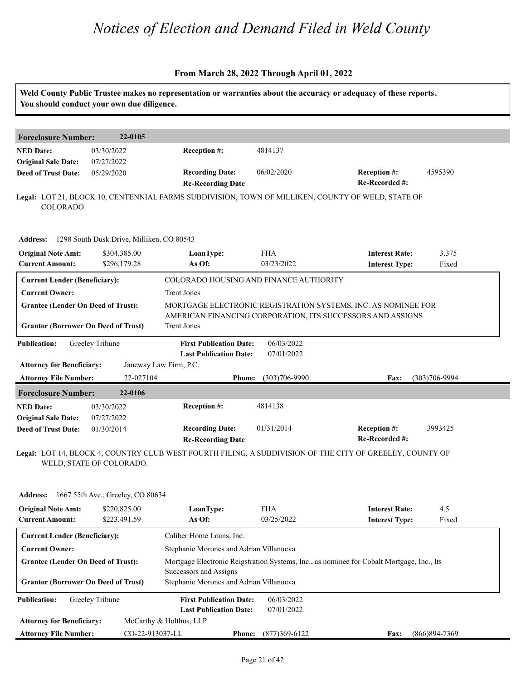|                                                                                         | You should conduct your own due diligence. |                                                                                           |                                                                                           | Weld County Public Trustee makes no representation or warranties about the accuracy or adequacy of these reports.           |                   |  |
|-----------------------------------------------------------------------------------------|--------------------------------------------|-------------------------------------------------------------------------------------------|-------------------------------------------------------------------------------------------|-----------------------------------------------------------------------------------------------------------------------------|-------------------|--|
| <b>Foreclosure Number:</b>                                                              | 22-0105                                    |                                                                                           |                                                                                           |                                                                                                                             |                   |  |
| <b>NED Date:</b>                                                                        | 03/30/2022                                 | Reception #:                                                                              | 4814137                                                                                   |                                                                                                                             |                   |  |
| <b>Original Sale Date:</b>                                                              | 07/27/2022                                 |                                                                                           |                                                                                           |                                                                                                                             |                   |  |
| <b>Deed of Trust Date:</b>                                                              | 05/29/2020                                 | <b>Recording Date:</b><br><b>Re-Recording Date</b>                                        | 06/02/2020                                                                                | Reception #:<br>Re-Recorded #:                                                                                              | 4595390           |  |
| COLORADO                                                                                |                                            |                                                                                           |                                                                                           | Legal: LOT 21, BLOCK 10, CENTENNIAL FARMS SUBDIVISION, TOWN OF MILLIKEN, COUNTY OF WELD, STATE OF                           |                   |  |
| <b>Address:</b>                                                                         | 1298 South Dusk Drive, Milliken, CO 80543  |                                                                                           |                                                                                           |                                                                                                                             |                   |  |
| <b>Original Note Amt:</b><br><b>Current Amount:</b>                                     | \$304,385.00<br>\$296,179.28               | LoanType:<br>As Of:                                                                       | <b>FHA</b><br>03/23/2022                                                                  | <b>Interest Rate:</b><br><b>Interest Type:</b>                                                                              | 3.375<br>Fixed    |  |
| <b>Current Lender (Beneficiary):</b>                                                    |                                            | COLORADO HOUSING AND FINANCE AUTHORITY                                                    |                                                                                           |                                                                                                                             |                   |  |
| <b>Current Owner:</b>                                                                   |                                            | <b>Trent Jones</b>                                                                        |                                                                                           |                                                                                                                             |                   |  |
| <b>Grantee (Lender On Deed of Trust):</b><br><b>Grantor (Borrower On Deed of Trust)</b> |                                            | <b>Trent Jones</b>                                                                        |                                                                                           | MORTGAGE ELECTRONIC REGISTRATION SYSTEMS, INC. AS NOMINEE FOR<br>AMERICAN FINANCING CORPORATION, ITS SUCCESSORS AND ASSIGNS |                   |  |
| <b>Publication:</b><br><b>Attorney for Beneficiary:</b>                                 | Greeley Tribune                            | <b>First Publication Date:</b><br><b>Last Publication Date:</b><br>Janeway Law Firm, P.C. | 06/03/2022<br>07/01/2022                                                                  |                                                                                                                             |                   |  |
| <b>Attorney File Number:</b>                                                            | 22-027104                                  | <b>Phone:</b>                                                                             | $(303)706 - 9990$                                                                         | Fax:                                                                                                                        | $(303)706 - 9994$ |  |
| <b>Foreclosure Number:</b>                                                              | 22-0106                                    |                                                                                           |                                                                                           |                                                                                                                             |                   |  |
| <b>NED Date:</b><br><b>Original Sale Date:</b>                                          | 03/30/2022<br>07/27/2022                   | Reception #:                                                                              | 4814138                                                                                   |                                                                                                                             |                   |  |
| <b>Deed of Trust Date:</b>                                                              | 01/30/2014                                 | <b>Recording Date:</b><br><b>Re-Recording Date</b>                                        | 01/31/2014                                                                                | <b>Reception #:</b><br>Re-Recorded #:                                                                                       | 3993425           |  |
|                                                                                         | WELD, STATE OF COLORADO.                   |                                                                                           |                                                                                           | Legal: LOT 14, BLOCK 4, COUNTRY CLUB WEST FOURTH FILING, A SUBDIVISION OF THE CITY OF GREELEY, COUNTY OF                    |                   |  |
| <b>Address:</b>                                                                         | 1667 55th Ave., Greeley, CO 80634          |                                                                                           |                                                                                           |                                                                                                                             |                   |  |
| <b>Original Note Amt:</b><br><b>Current Amount:</b>                                     | \$220,825.00<br>\$223,491.59               | LoanType:<br>As Of:                                                                       | <b>FHA</b><br>03/25/2022                                                                  | <b>Interest Rate:</b><br><b>Interest Type:</b>                                                                              | 4.5<br>Fixed      |  |
| <b>Current Lender (Beneficiary):</b>                                                    |                                            | Caliber Home Loans, Inc.                                                                  |                                                                                           |                                                                                                                             |                   |  |
| <b>Current Owner:</b>                                                                   |                                            | Stephanie Morones and Adrian Villanueva                                                   |                                                                                           |                                                                                                                             |                   |  |
| <b>Grantee (Lender On Deed of Trust):</b>                                               |                                            | Successors and Assigns                                                                    | Mortgage Electronic Reigstration Systems, Inc., as nominee for Cobalt Mortgage, Inc., Its |                                                                                                                             |                   |  |
| <b>Grantor (Borrower On Deed of Trust)</b>                                              |                                            | Stephanie Morones and Adrian Villanueva                                                   |                                                                                           |                                                                                                                             |                   |  |
| <b>Publication:</b>                                                                     | Greeley Tribune                            | <b>First Publication Date:</b><br><b>Last Publication Date:</b>                           | 06/03/2022<br>07/01/2022                                                                  |                                                                                                                             |                   |  |
| <b>Attorney for Beneficiary:</b>                                                        |                                            | McCarthy & Holthus, LLP                                                                   |                                                                                           |                                                                                                                             |                   |  |
| <b>Attorney File Number:</b>                                                            | CO-22-913037-LL                            |                                                                                           | Phone: (877)369-6122                                                                      | Fax:                                                                                                                        | $(866)894-7369$   |  |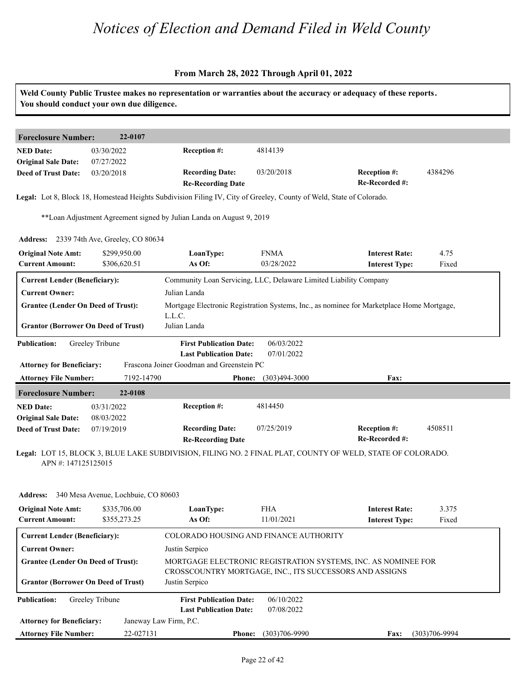| 4384296                                                                                                    |
|------------------------------------------------------------------------------------------------------------|
|                                                                                                            |
|                                                                                                            |
|                                                                                                            |
|                                                                                                            |
|                                                                                                            |
|                                                                                                            |
| 4.75<br>Fixed                                                                                              |
|                                                                                                            |
|                                                                                                            |
| Mortgage Electronic Registration Systems, Inc., as nominee for Marketplace Home Mortgage,                  |
|                                                                                                            |
|                                                                                                            |
|                                                                                                            |
|                                                                                                            |
|                                                                                                            |
|                                                                                                            |
| 4508511                                                                                                    |
| Legal: LOT 15, BLOCK 3, BLUE LAKE SUBDIVISION, FILING NO. 2 FINAL PLAT, COUNTY OF WELD, STATE OF COLORADO. |
|                                                                                                            |
| 3.375<br>Fixed                                                                                             |
|                                                                                                            |
|                                                                                                            |
|                                                                                                            |
|                                                                                                            |
|                                                                                                            |
|                                                                                                            |
| MORTGAGE ELECTRONIC REGISTRATION SYSTEMS, INC. AS NOMINEE FOR                                              |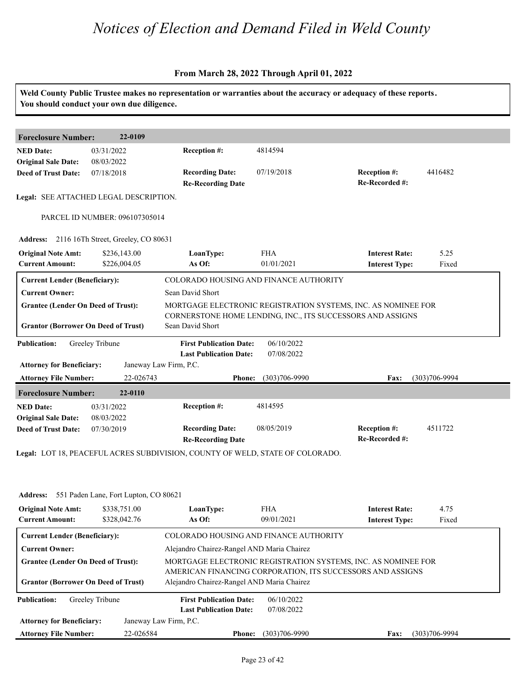#### **From March 28, 2022 Through April 01, 2022**

|                                                     | You should conduct your own due diligence.   |                                                                          |                          | Weld County Public Trustee makes no representation or warranties about the accuracy or adequacy of these reports. |                   |  |
|-----------------------------------------------------|----------------------------------------------|--------------------------------------------------------------------------|--------------------------|-------------------------------------------------------------------------------------------------------------------|-------------------|--|
| <b>Foreclosure Number:</b>                          | 22-0109                                      |                                                                          |                          |                                                                                                                   |                   |  |
| <b>NED Date:</b><br><b>Original Sale Date:</b>      | 03/31/2022<br>08/03/2022                     | Reception #:                                                             | 4814594                  |                                                                                                                   |                   |  |
| <b>Deed of Trust Date:</b>                          | 07/18/2018                                   | <b>Recording Date:</b><br><b>Re-Recording Date</b>                       | 07/19/2018               | <b>Reception #:</b><br>Re-Recorded #:                                                                             | 4416482           |  |
|                                                     | Legal: SEE ATTACHED LEGAL DESCRIPTION.       |                                                                          |                          |                                                                                                                   |                   |  |
|                                                     | PARCEL ID NUMBER: 096107305014               |                                                                          |                          |                                                                                                                   |                   |  |
|                                                     | Address: 2116 16Th Street, Greeley, CO 80631 |                                                                          |                          |                                                                                                                   |                   |  |
| <b>Original Note Amt:</b><br><b>Current Amount:</b> | \$236,143.00<br>\$226,004.05                 | LoanType:<br>As Of:                                                      | <b>FHA</b><br>01/01/2021 | <b>Interest Rate:</b><br><b>Interest Type:</b>                                                                    | 5.25<br>Fixed     |  |
| <b>Current Lender (Beneficiary):</b>                |                                              | COLORADO HOUSING AND FINANCE AUTHORITY                                   |                          |                                                                                                                   |                   |  |
| <b>Current Owner:</b>                               |                                              | Sean David Short                                                         |                          |                                                                                                                   |                   |  |
| <b>Grantee (Lender On Deed of Trust):</b>           |                                              | MORTGAGE ELECTRONIC REGISTRATION SYSTEMS, INC. AS NOMINEE FOR            |                          |                                                                                                                   |                   |  |
| <b>Grantor (Borrower On Deed of Trust)</b>          |                                              | Sean David Short                                                         |                          | CORNERSTONE HOME LENDING, INC., ITS SUCCESSORS AND ASSIGNS                                                        |                   |  |
| <b>Publication:</b>                                 | Greeley Tribune                              | <b>First Publication Date:</b><br><b>Last Publication Date:</b>          | 06/10/2022<br>07/08/2022 |                                                                                                                   |                   |  |
| <b>Attorney for Beneficiary:</b>                    |                                              | Janeway Law Firm, P.C.                                                   |                          |                                                                                                                   |                   |  |
| <b>Attorney File Number:</b>                        | 22-026743                                    | <b>Phone:</b>                                                            | $(303)706 - 9990$        | Fax:                                                                                                              | $(303)706 - 9994$ |  |
| <b>Foreclosure Number:</b>                          | 22-0110                                      |                                                                          |                          |                                                                                                                   |                   |  |
| <b>NED Date:</b><br><b>Original Sale Date:</b>      | 03/31/2022<br>08/03/2022                     | <b>Reception #:</b>                                                      | 4814595                  |                                                                                                                   |                   |  |
| <b>Deed of Trust Date:</b>                          | 07/30/2019                                   | <b>Recording Date:</b><br><b>Re-Recording Date</b>                       | 08/05/2019               | Reception #:<br>Re-Recorded #:                                                                                    | 4511722           |  |
|                                                     |                                              | L. LOT 10, BELGEEU LOBEG GUBBU GOLD GOLD TEM OF WELD, GELTE OF GOLOB LDO |                          |                                                                                                                   |                   |  |

**Legal:** LOT 18, PEACEFUL ACRES SUBDIVISION, COUNTY OF WELD, STATE OF COLORADO.

| <b>Address:</b>                                     | 551 Paden Lane, Fort Lupton, CO 80621 |                                                                                                                             |                          |                                                |               |  |  |
|-----------------------------------------------------|---------------------------------------|-----------------------------------------------------------------------------------------------------------------------------|--------------------------|------------------------------------------------|---------------|--|--|
| <b>Original Note Amt:</b><br><b>Current Amount:</b> | \$338,751.00<br>\$328,042.76          | LoanType:<br>As Of:                                                                                                         | <b>FHA</b><br>09/01/2021 | <b>Interest Rate:</b><br><b>Interest Type:</b> | 4.75<br>Fixed |  |  |
| <b>Current Lender (Beneficiary):</b>                |                                       | COLORADO HOUSING AND FINANCE AUTHORITY                                                                                      |                          |                                                |               |  |  |
| <b>Current Owner:</b>                               |                                       | Alejandro Chairez-Rangel AND Maria Chairez                                                                                  |                          |                                                |               |  |  |
| <b>Grantee (Lender On Deed of Trust):</b>           |                                       | MORTGAGE ELECTRONIC REGISTRATION SYSTEMS, INC. AS NOMINEE FOR<br>AMERICAN FINANCING CORPORATION, ITS SUCCESSORS AND ASSIGNS |                          |                                                |               |  |  |
| <b>Grantor (Borrower On Deed of Trust)</b>          |                                       | Alejandro Chairez-Rangel AND Maria Chairez                                                                                  |                          |                                                |               |  |  |
| <b>Publication:</b>                                 | Greeley Tribune                       | <b>First Publication Date:</b>                                                                                              | 06/10/2022               |                                                |               |  |  |
|                                                     |                                       | <b>Last Publication Date:</b>                                                                                               | 07/08/2022               |                                                |               |  |  |
| <b>Attorney for Beneficiary:</b>                    |                                       | Janeway Law Firm, P.C.                                                                                                      |                          |                                                |               |  |  |
| <b>Attorney File Number:</b>                        | 22-026584                             | <b>Phone:</b>                                                                                                               | $(303)706 - 9990$        | <b>Fax:</b>                                    | (303)706-9994 |  |  |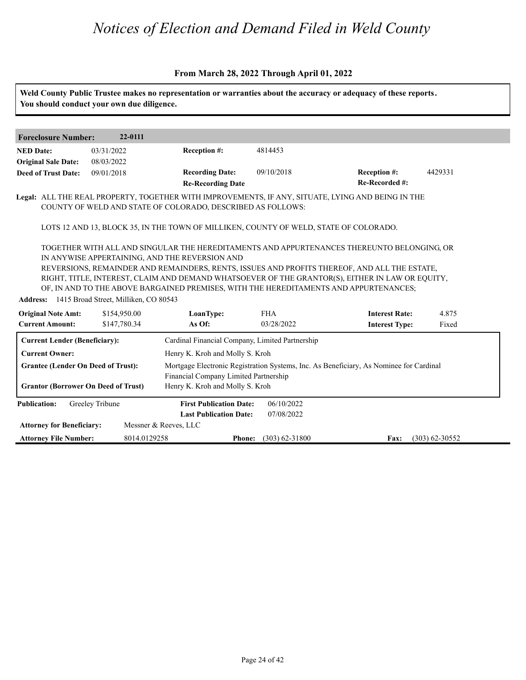|                                                                                         | You should conduct your own due diligence.                     |                                                                                       |                          | Weld County Public Trustee makes no representation or warranties about the accuracy or adequacy of these reports.                                                                                                                                                                                                                                                                                               |                  |
|-----------------------------------------------------------------------------------------|----------------------------------------------------------------|---------------------------------------------------------------------------------------|--------------------------|-----------------------------------------------------------------------------------------------------------------------------------------------------------------------------------------------------------------------------------------------------------------------------------------------------------------------------------------------------------------------------------------------------------------|------------------|
|                                                                                         | 22-0111                                                        |                                                                                       |                          |                                                                                                                                                                                                                                                                                                                                                                                                                 |                  |
| <b>Foreclosure Number:</b>                                                              |                                                                |                                                                                       |                          |                                                                                                                                                                                                                                                                                                                                                                                                                 |                  |
| <b>NED Date:</b>                                                                        | 03/31/2022                                                     | Reception #:                                                                          | 4814453                  |                                                                                                                                                                                                                                                                                                                                                                                                                 |                  |
| <b>Original Sale Date:</b>                                                              | 08/03/2022                                                     |                                                                                       |                          |                                                                                                                                                                                                                                                                                                                                                                                                                 |                  |
| <b>Deed of Trust Date:</b>                                                              | 09/01/2018                                                     | <b>Recording Date:</b><br><b>Re-Recording Date</b>                                    | 09/10/2018               | Reception #:<br>Re-Recorded #:                                                                                                                                                                                                                                                                                                                                                                                  | 4429331          |
|                                                                                         |                                                                | COUNTY OF WELD AND STATE OF COLORADO, DESCRIBED AS FOLLOWS:                           |                          | Legal: ALL THE REAL PROPERTY, TOGETHER WITH IMPROVEMENTS, IF ANY, SITUATE, LYING AND BEING IN THE                                                                                                                                                                                                                                                                                                               |                  |
|                                                                                         |                                                                | LOTS 12 AND 13, BLOCK 35, IN THE TOWN OF MILLIKEN, COUNTY OF WELD, STATE OF COLORADO. |                          |                                                                                                                                                                                                                                                                                                                                                                                                                 |                  |
| <b>Original Note Amt:</b>                                                               | Address: 1415 Broad Street, Milliken, CO 80543<br>\$154,950.00 | IN ANYWISE APPERTAINING, AND THE REVERSION AND<br>LoanType:                           | <b>FHA</b>               | TOGETHER WITH ALL AND SINGULAR THE HEREDITAMENTS AND APPURTENANCES THEREUNTO BELONGING, OR<br>REVERSIONS, REMAINDER AND REMAINDERS, RENTS, ISSUES AND PROFITS THEREOF, AND ALL THE ESTATE,<br>RIGHT, TITLE, INTEREST, CLAIM AND DEMAND WHATSOEVER OF THE GRANTOR(S), EITHER IN LAW OR EQUITY,<br>OF, IN AND TO THE ABOVE BARGAINED PREMISES, WITH THE HEREDITAMENTS AND APPURTENANCES;<br><b>Interest Rate:</b> | 4.875            |
| <b>Current Amount:</b>                                                                  | \$147,780.34                                                   | As Of:                                                                                | 03/28/2022               | <b>Interest Type:</b>                                                                                                                                                                                                                                                                                                                                                                                           | Fixed            |
| <b>Current Lender (Beneficiary):</b>                                                    |                                                                | Cardinal Financial Company, Limited Partnership                                       |                          |                                                                                                                                                                                                                                                                                                                                                                                                                 |                  |
| <b>Current Owner:</b>                                                                   |                                                                | Henry K. Kroh and Molly S. Kroh                                                       |                          |                                                                                                                                                                                                                                                                                                                                                                                                                 |                  |
| <b>Grantee (Lender On Deed of Trust):</b><br><b>Grantor (Borrower On Deed of Trust)</b> |                                                                | Financial Company Limited Partnership<br>Henry K. Kroh and Molly S. Kroh              |                          | Mortgage Electronic Registration Systems, Inc. As Beneficiary, As Nominee for Cardinal                                                                                                                                                                                                                                                                                                                          |                  |
| <b>Publication:</b>                                                                     | Greeley Tribune                                                | <b>First Publication Date:</b><br><b>Last Publication Date:</b>                       | 06/10/2022<br>07/08/2022 |                                                                                                                                                                                                                                                                                                                                                                                                                 |                  |
| <b>Attorney for Beneficiary:</b>                                                        |                                                                | Messner & Reeves, LLC                                                                 |                          |                                                                                                                                                                                                                                                                                                                                                                                                                 |                  |
| <b>Attorney File Number:</b>                                                            | 8014.0129258                                                   | <b>Phone:</b>                                                                         | $(303) 62 - 31800$       | Fax:                                                                                                                                                                                                                                                                                                                                                                                                            | $(303)$ 62-30552 |
|                                                                                         |                                                                |                                                                                       |                          |                                                                                                                                                                                                                                                                                                                                                                                                                 |                  |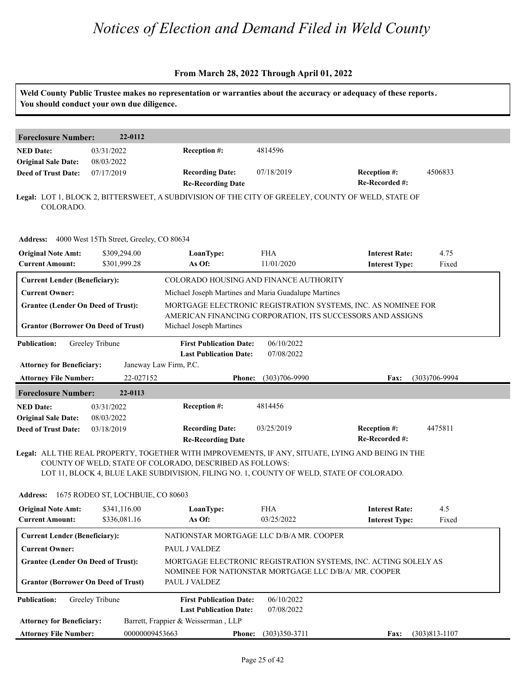|                                                         | You should conduct your own due diligence. |                                                                                                                                                      |                             | Weld County Public Trustee makes no representation or warranties about the accuracy or adequacy of these reports. |                   |
|---------------------------------------------------------|--------------------------------------------|------------------------------------------------------------------------------------------------------------------------------------------------------|-----------------------------|-------------------------------------------------------------------------------------------------------------------|-------------------|
| <b>Foreclosure Number:</b>                              | 22-0112                                    |                                                                                                                                                      |                             |                                                                                                                   |                   |
| <b>NED Date:</b><br><b>Original Sale Date:</b>          | 03/31/2022<br>08/03/2022                   | Reception #:                                                                                                                                         | 4814596                     |                                                                                                                   |                   |
| <b>Deed of Trust Date:</b>                              | 07/17/2019                                 | <b>Recording Date:</b><br><b>Re-Recording Date</b>                                                                                                   | 07/18/2019                  | Reception #:<br>Re-Recorded #:                                                                                    | 4506833           |
| COLORADO.                                               |                                            |                                                                                                                                                      |                             | Legal: LOT 1, BLOCK 2, BITTERSWEET, A SUBDIVISION OF THE CITY OF GREELEY, COUNTY OF WELD, STATE OF                |                   |
| Address: 4000 West 15Th Street, Greeley, CO 80634       |                                            |                                                                                                                                                      |                             |                                                                                                                   |                   |
| <b>Original Note Amt:</b><br><b>Current Amount:</b>     | \$309,294.00<br>\$301,999.28               | LoanType:<br>As Of:                                                                                                                                  | <b>FHA</b><br>11/01/2020    | <b>Interest Rate:</b><br><b>Interest Type:</b>                                                                    | 4.75<br>Fixed     |
| <b>Current Lender (Beneficiary):</b>                    |                                            | COLORADO HOUSING AND FINANCE AUTHORITY                                                                                                               |                             |                                                                                                                   |                   |
| <b>Current Owner:</b>                                   |                                            | Michael Joseph Martines and Maria Guadalupe Martines                                                                                                 |                             |                                                                                                                   |                   |
| <b>Grantee (Lender On Deed of Trust):</b>               |                                            |                                                                                                                                                      |                             | MORTGAGE ELECTRONIC REGISTRATION SYSTEMS, INC. AS NOMINEE FOR                                                     |                   |
| <b>Grantor (Borrower On Deed of Trust)</b>              |                                            | Michael Joseph Martines                                                                                                                              |                             | AMERICAN FINANCING CORPORATION, ITS SUCCESSORS AND ASSIGNS                                                        |                   |
| <b>Publication:</b><br><b>Attorney for Beneficiary:</b> | Greeley Tribune                            | <b>First Publication Date:</b><br><b>Last Publication Date:</b><br>Janeway Law Firm, P.C.                                                            | 06/10/2022<br>07/08/2022    |                                                                                                                   |                   |
| <b>Attorney File Number:</b>                            | 22-027152                                  | <b>Phone:</b>                                                                                                                                        | $(303)706 - 9990$           | Fax:                                                                                                              | $(303)706 - 9994$ |
| <b>Foreclosure Number:</b>                              | 22-0113                                    |                                                                                                                                                      |                             |                                                                                                                   |                   |
| <b>NED Date:</b>                                        | 03/31/2022                                 | Reception #:                                                                                                                                         | 4814456                     |                                                                                                                   |                   |
| <b>Original Sale Date:</b>                              | 08/03/2022                                 |                                                                                                                                                      |                             |                                                                                                                   |                   |
| <b>Deed of Trust Date:</b>                              | 03/18/2019                                 | <b>Recording Date:</b><br><b>Re-Recording Date</b>                                                                                                   | 03/25/2019                  | Reception #:<br>Re-Recorded #:                                                                                    | 4475811           |
|                                                         |                                            | COUNTY OF WELD, STATE OF COLORADO, DESCRIBED AS FOLLOWS:<br>LOT 11, BLOCK 4, BLUE LAKE SUBDIVISION, FILING NO. 1, COUNTY OF WELD, STATE OF COLORADO. |                             | Legal: ALL THE REAL PROPERTY, TOGETHER WITH IMPROVEMENTS, IF ANY, SITUATE, LYING AND BEING IN THE                 |                   |
| Address: 1675 RODEO ST, LOCHBUIE, CO 80603              |                                            |                                                                                                                                                      |                             |                                                                                                                   |                   |
| <b>Original Note Amt:</b><br><b>Current Amount:</b>     | \$341,116.00<br>\$336,081.16               | LoanType:<br>As Of:                                                                                                                                  | <b>FHA</b><br>03/25/2022    | <b>Interest Rate:</b><br><b>Interest Type:</b>                                                                    | 4.5<br>Fixed      |
| <b>Current Lender (Beneficiary):</b>                    |                                            | NATIONSTAR MORTGAGE LLC D/B/A MR. COOPER                                                                                                             |                             |                                                                                                                   |                   |
| <b>Current Owner:</b>                                   |                                            | PAUL J VALDEZ                                                                                                                                        |                             |                                                                                                                   |                   |
| <b>Grantee (Lender On Deed of Trust):</b>               |                                            | NOMINEE FOR NATIONSTAR MORTGAGE LLC D/B/A/ MR. COOPER                                                                                                |                             | MORTGAGE ELECTRONIC REGISTRATION SYSTEMS, INC. ACTING SOLELY AS                                                   |                   |
| <b>Grantor (Borrower On Deed of Trust)</b>              |                                            | PAUL J VALDEZ                                                                                                                                        |                             |                                                                                                                   |                   |
| <b>Publication:</b>                                     | Greeley Tribune                            | <b>First Publication Date:</b><br><b>Last Publication Date:</b>                                                                                      | 06/10/2022<br>07/08/2022    |                                                                                                                   |                   |
| <b>Attorney for Beneficiary:</b>                        |                                            | Barrett, Frappier & Weisserman, LLP                                                                                                                  |                             |                                                                                                                   |                   |
| <b>Attorney File Number:</b>                            | 00000009453663                             |                                                                                                                                                      | <b>Phone:</b> (303)350-3711 | <b>Fax:</b>                                                                                                       | $(303)813 - 1107$ |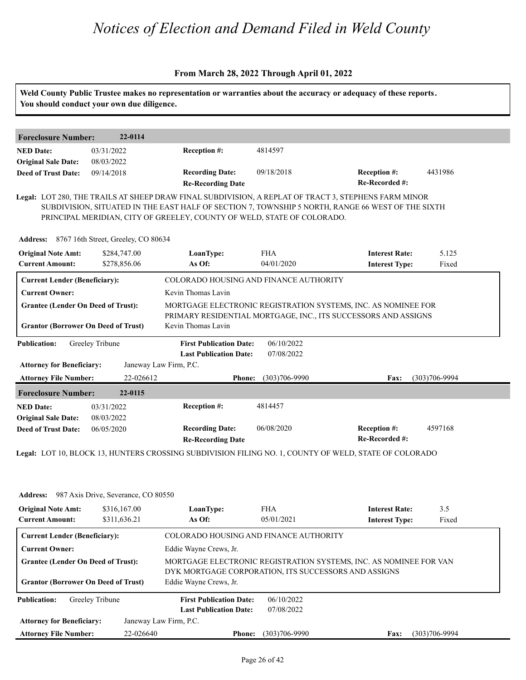#### **From March 28, 2022 Through April 01, 2022**

| <b>Foreclosure Number:</b>                               | 22-0114                             |                                                                                                                                                                                                                                                                                      |                          |                                                                   |                   |
|----------------------------------------------------------|-------------------------------------|--------------------------------------------------------------------------------------------------------------------------------------------------------------------------------------------------------------------------------------------------------------------------------------|--------------------------|-------------------------------------------------------------------|-------------------|
| <b>NED Date:</b><br><b>Original Sale Date:</b>           | 03/31/2022<br>08/03/2022            | Reception #:                                                                                                                                                                                                                                                                         | 4814597                  |                                                                   |                   |
| <b>Deed of Trust Date:</b>                               | 09/14/2018                          | <b>Recording Date:</b><br><b>Re-Recording Date</b>                                                                                                                                                                                                                                   | 09/18/2018               | Reception #:<br>Re-Recorded #:                                    | 4431986           |
|                                                          |                                     | Legal: LOT 280, THE TRAILS AT SHEEP DRAW FINAL SUBDIVISION, A REPLAT OF TRACT 3, STEPHENS FARM MINOR<br>SUBDIVISION, SITUATED IN THE EAST HALF OF SECTION 7, TOWNSHIP 5 NORTH, RANGE 66 WEST OF THE SIXTH<br>PRINCIPAL MERIDIAN, CITY OF GREELEY, COUNTY OF WELD, STATE OF COLORADO. |                          |                                                                   |                   |
| Address: 8767 16th Street, Greeley, CO 80634             |                                     |                                                                                                                                                                                                                                                                                      |                          |                                                                   |                   |
| <b>Original Note Amt:</b><br><b>Current Amount:</b>      | \$284,747.00<br>\$278,856.06        | LoanType:<br>As Of:                                                                                                                                                                                                                                                                  | <b>FHA</b><br>04/01/2020 | <b>Interest Rate:</b><br><b>Interest Type:</b>                    | 5.125<br>Fixed    |
| <b>Current Lender (Beneficiary):</b>                     |                                     | COLORADO HOUSING AND FINANCE AUTHORITY                                                                                                                                                                                                                                               |                          |                                                                   |                   |
| <b>Current Owner:</b>                                    |                                     | Kevin Thomas Lavin                                                                                                                                                                                                                                                                   |                          |                                                                   |                   |
| <b>Grantee (Lender On Deed of Trust):</b>                |                                     |                                                                                                                                                                                                                                                                                      |                          | MORTGAGE ELECTRONIC REGISTRATION SYSTEMS, INC. AS NOMINEE FOR     |                   |
| <b>Grantor (Borrower On Deed of Trust)</b>               |                                     | Kevin Thomas Lavin                                                                                                                                                                                                                                                                   |                          | PRIMARY RESIDENTIAL MORTGAGE, INC., ITS SUCCESSORS AND ASSIGNS    |                   |
| <b>Publication:</b>                                      | Greeley Tribune                     | <b>First Publication Date:</b><br><b>Last Publication Date:</b>                                                                                                                                                                                                                      | 06/10/2022<br>07/08/2022 |                                                                   |                   |
| <b>Attorney for Beneficiary:</b>                         |                                     | Janeway Law Firm, P.C.                                                                                                                                                                                                                                                               |                          |                                                                   |                   |
| <b>Attorney File Number:</b>                             | 22-026612                           | <b>Phone:</b>                                                                                                                                                                                                                                                                        | $(303)706 - 9990$        | Fax:                                                              | $(303)706 - 9994$ |
| <b>Foreclosure Number:</b>                               | 22-0115                             |                                                                                                                                                                                                                                                                                      |                          |                                                                   |                   |
| <b>NED Date:</b>                                         | 03/31/2022                          | Reception #:                                                                                                                                                                                                                                                                         | 4814457                  |                                                                   |                   |
| <b>Original Sale Date:</b><br><b>Deed of Trust Date:</b> | 08/03/2022<br>06/05/2020            | <b>Recording Date:</b><br><b>Re-Recording Date</b>                                                                                                                                                                                                                                   | 06/08/2020               | Reception #:<br>Re-Recorded #:                                    | 4597168           |
|                                                          |                                     | Legal: LOT 10, BLOCK 13, HUNTERS CROSSING SUBDIVISION FILING NO. 1, COUNTY OF WELD, STATE OF COLORADO                                                                                                                                                                                |                          |                                                                   |                   |
|                                                          |                                     |                                                                                                                                                                                                                                                                                      |                          |                                                                   |                   |
|                                                          |                                     |                                                                                                                                                                                                                                                                                      |                          |                                                                   |                   |
| <b>Address:</b>                                          | 987 Axis Drive, Severance, CO 80550 |                                                                                                                                                                                                                                                                                      |                          |                                                                   |                   |
| <b>Original Note Amt:</b>                                | \$316,167.00                        | LoanType:                                                                                                                                                                                                                                                                            | <b>FHA</b>               | <b>Interest Rate:</b>                                             | 3.5               |
| <b>Current Amount:</b>                                   | \$311,636.21                        | As Of:                                                                                                                                                                                                                                                                               | 05/01/2021               | <b>Interest Type:</b>                                             | Fixed             |
| <b>Current Lender (Beneficiary):</b>                     |                                     | COLORADO HOUSING AND FINANCE AUTHORITY                                                                                                                                                                                                                                               |                          |                                                                   |                   |
| <b>Current Owner:</b>                                    |                                     | Eddie Wayne Crews, Jr.                                                                                                                                                                                                                                                               |                          |                                                                   |                   |
|                                                          |                                     |                                                                                                                                                                                                                                                                                      |                          | MORTGAGE ELECTRONIC REGISTRATION SYSTEMS, INC. AS NOMINEE FOR VAN |                   |
| <b>Grantee (Lender On Deed of Trust):</b>                |                                     |                                                                                                                                                                                                                                                                                      |                          |                                                                   |                   |
| <b>Grantor (Borrower On Deed of Trust)</b>               |                                     | DYK MORTGAGE CORPORATION, ITS SUCCESSORS AND ASSIGNS<br>Eddie Wayne Crews, Jr.                                                                                                                                                                                                       |                          |                                                                   |                   |
| <b>Publication:</b>                                      | Greeley Tribune                     | <b>First Publication Date:</b>                                                                                                                                                                                                                                                       | 06/10/2022               |                                                                   |                   |
| <b>Attorney for Beneficiary:</b>                         |                                     | <b>Last Publication Date:</b><br>Janeway Law Firm, P.C.                                                                                                                                                                                                                              | 07/08/2022               |                                                                   |                   |

**Phone: Fax:** 22-026640 (303)706-9990 (303)706-9994

**Attorney File Number:**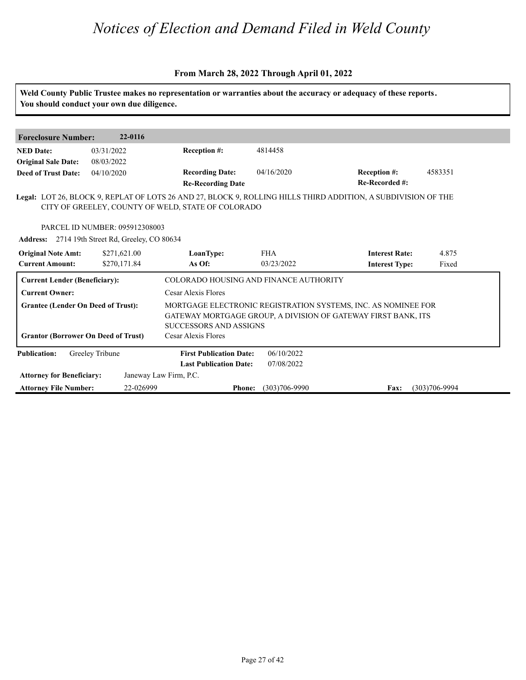#### **From March 28, 2022 Through April 01, 2022**

**Weld County Public Trustee makes no representation or warranties about the accuracy or adequacy of these reports. You should conduct your own due diligence. Foreclosure Number: 22-0116 NED Date: Re-Recorded #: Reception #:** 04/16/2020 4583351 **Re-Recording Date Recording Date: Reception #: Deed of Trust Date:**<br>**Deed of Trust Date: Legal:** LOT 26, BLOCK 9, REPLAT OF LOTS 26 AND 27, BLOCK 9, ROLLING HILLS THIRD ADDITION, A SUBDIVISION OF THE 03/31/2022 08/03/2022 04/10/2020 4814458 CITY OF GREELEY, COUNTY OF WELD, STATE OF COLORADO PARCEL ID NUMBER: 095912308003 **Address:** 2714 19th Street Rd, Greeley, CO 80634<br> **Original Note Amt:** \$271,621.00 **LoanType:**<br> **Current Amount:** \$270,171.84 **As Of: IoanType:** FHA **Interest Rate:** 4.875<br> **As Of:** 03/23/2022 **Interest Type:** Fixed **LoanType:** \$271,621.00 \$270,171.84 FHA **Interest Rate:** 03/23/2022 **Interest Type:** 4.875 Fixed **Current Lender (Beneficiary):** COLORADO HOUSING AND FINANCE AUTHORITY **Current Owner:** Cesar Alexis Flores **Grantee (Lender On Deed of Trust):** MORTGAGE ELECTRONIC REGISTRATION SYSTEMS, INC. AS NOMINEE FOR GATEWAY MORTGAGE GROUP, A DIVISION OF GATEWAY FIRST BANK, ITS SUCCESSORS AND ASSIGNS **Grantor (Borrower On Deed of Trust)** Cesar Alexis Flores **Publication: Attorney for Beneficiary: Attorney File Number: Last Publication Date: Phone: Fax:** 22-026999 (303)706-9990 (303)706-9994 **First Publication Date:** Janeway Law Firm, P.C. 06/10/2022 07/08/2022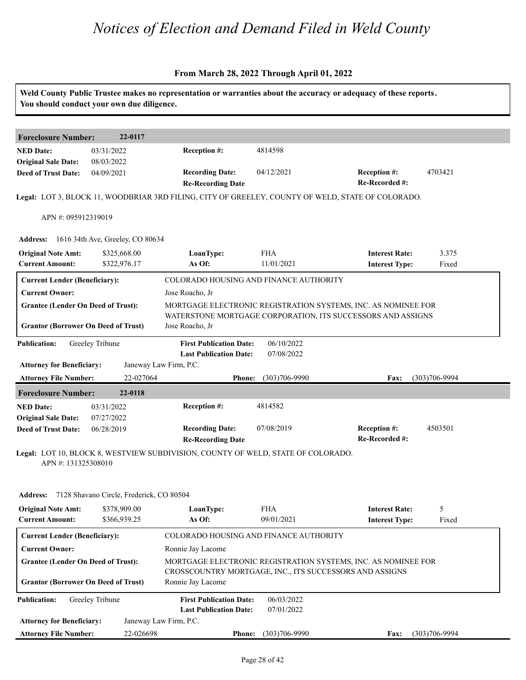|                                                                                         | You should conduct your own due diligence. |                                                                                           |                          | Weld County Public Trustee makes no representation or warranties about the accuracy or adequacy of these reports.            |                   |
|-----------------------------------------------------------------------------------------|--------------------------------------------|-------------------------------------------------------------------------------------------|--------------------------|------------------------------------------------------------------------------------------------------------------------------|-------------------|
| <b>Foreclosure Number:</b>                                                              | 22-0117                                    |                                                                                           |                          |                                                                                                                              |                   |
| <b>NED Date:</b><br><b>Original Sale Date:</b>                                          | 03/31/2022<br>08/03/2022                   | Reception #:                                                                              | 4814598                  |                                                                                                                              |                   |
| <b>Deed of Trust Date:</b>                                                              | 04/09/2021                                 | <b>Recording Date:</b><br><b>Re-Recording Date</b>                                        | 04/12/2021               | Reception #:<br>Re-Recorded #:                                                                                               | 4703421           |
|                                                                                         |                                            |                                                                                           |                          | Legal: LOT 3, BLOCK 11, WOODBRIAR 3RD FILING, CITY OF GREELEY, COUNTY OF WELD, STATE OF COLORADO.                            |                   |
| APN #: 095912319019                                                                     |                                            |                                                                                           |                          |                                                                                                                              |                   |
|                                                                                         | Address: 1616 34th Ave, Greeley, CO 80634  |                                                                                           |                          |                                                                                                                              |                   |
| <b>Original Note Amt:</b><br><b>Current Amount:</b>                                     | \$325,668.00<br>\$322,976.17               | LoanType:<br>As Of:                                                                       | <b>FHA</b><br>11/01/2021 | <b>Interest Rate:</b><br><b>Interest Type:</b>                                                                               | 3.375<br>Fixed    |
| <b>Current Lender (Beneficiary):</b>                                                    |                                            | COLORADO HOUSING AND FINANCE AUTHORITY                                                    |                          |                                                                                                                              |                   |
| <b>Current Owner:</b>                                                                   |                                            | Jose Roacho, Jr                                                                           |                          |                                                                                                                              |                   |
| <b>Grantee (Lender On Deed of Trust):</b><br><b>Grantor (Borrower On Deed of Trust)</b> |                                            | Jose Roacho, Jr                                                                           |                          | MORTGAGE ELECTRONIC REGISTRATION SYSTEMS, INC. AS NOMINEE FOR<br>WATERSTONE MORTGAGE CORPORATION, ITS SUCCESSORS AND ASSIGNS |                   |
|                                                                                         |                                            |                                                                                           |                          |                                                                                                                              |                   |
| <b>Publication:</b><br><b>Attorney for Beneficiary:</b>                                 | Greeley Tribune                            | <b>First Publication Date:</b><br><b>Last Publication Date:</b><br>Janeway Law Firm, P.C. | 06/10/2022<br>07/08/2022 |                                                                                                                              |                   |
| <b>Attorney File Number:</b>                                                            | 22-027064                                  | <b>Phone:</b>                                                                             | $(303)706 - 9990$        | Fax:                                                                                                                         | $(303)706 - 9994$ |
| <b>Foreclosure Number:</b>                                                              | 22-0118                                    |                                                                                           |                          |                                                                                                                              |                   |
| <b>NED Date:</b>                                                                        | 03/31/2022                                 | Reception #:                                                                              | 4814582                  |                                                                                                                              |                   |
| <b>Original Sale Date:</b><br><b>Deed of Trust Date:</b>                                | 07/27/2022<br>06/28/2019                   | <b>Recording Date:</b><br><b>Re-Recording Date</b>                                        | 07/08/2019               | Reception #:<br>Re-Recorded #:                                                                                               | 4503501           |
| APN #: 131325308010                                                                     |                                            | Legal: LOT 10, BLOCK 8, WESTVIEW SUBDIVISION, COUNTY OF WELD, STATE OF COLORADO.          |                          |                                                                                                                              |                   |
| <b>Address:</b>                                                                         | 7128 Shavano Circle, Frederick, CO 80504   |                                                                                           |                          |                                                                                                                              |                   |
| <b>Original Note Amt:</b><br><b>Current Amount:</b>                                     | \$378,909.00<br>\$366,939.25               | LoanType:<br>As Of:                                                                       | <b>FHA</b><br>09/01/2021 | <b>Interest Rate:</b><br><b>Interest Type:</b>                                                                               | 5<br>Fixed        |
| <b>Current Lender (Beneficiary):</b>                                                    |                                            | COLORADO HOUSING AND FINANCE AUTHORITY                                                    |                          |                                                                                                                              |                   |
| <b>Current Owner:</b>                                                                   |                                            | Ronnie Jay Lacome                                                                         |                          |                                                                                                                              |                   |
| <b>Grantee (Lender On Deed of Trust):</b>                                               |                                            |                                                                                           |                          | MORTGAGE ELECTRONIC REGISTRATION SYSTEMS, INC. AS NOMINEE FOR<br>CROSSCOUNTRY MORTGAGE, INC., ITS SUCCESSORS AND ASSIGNS     |                   |
| <b>Grantor (Borrower On Deed of Trust)</b>                                              |                                            | Ronnie Jay Lacome                                                                         |                          |                                                                                                                              |                   |
| <b>Publication:</b>                                                                     | Greeley Tribune                            | <b>First Publication Date:</b><br><b>Last Publication Date:</b>                           | 06/03/2022<br>07/01/2022 |                                                                                                                              |                   |
| <b>Attorney for Beneficiary:</b>                                                        |                                            | Janeway Law Firm, P.C.                                                                    |                          |                                                                                                                              |                   |
| <b>Attorney File Number:</b>                                                            | 22-026698                                  |                                                                                           | Phone: (303)706-9990     | <b>Fax:</b>                                                                                                                  | $(303)706 - 9994$ |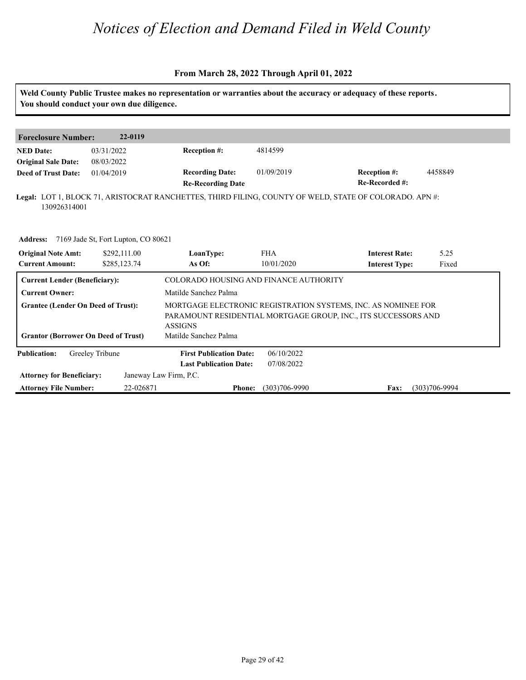#### **From March 28, 2022 Through April 01, 2022**

**Weld County Public Trustee makes no representation or warranties about the accuracy or adequacy of these reports. You should conduct your own due diligence. Foreclosure Number: 22-0119 NED Date: Re-Recorded #: Reception #:** 01/09/2019 4458849 **Re-Recording Date Recording Date: Reception #: Deed of Trust Date:**<br>**Deed of Trust Date: Legal:** LOT 1, BLOCK 71, ARISTOCRAT RANCHETTES, THIRD FILING, COUNTY OF WELD, STATE OF COLORADO. APN #: 03/31/2022 08/03/2022 01/04/2019 4814599 130926314001 **Address:** 7169 Jade St, Fort Lupton, CO 80621<br> **Original Note Amt:** \$292,111.00 LoanType:<br>
Current Amount: \$285,123.74 As Of: **IoanType:** FHA **Interest Rate:** 5.25<br> **As Of:** 10/01/2020 **Interest Type:** Fixed **LoanType:** \$292,111.00 \$285,123.74 FHA **Interest Rate:** 10/01/2020 **Interest Type:** 5.25 Fixed **Current Lender (Beneficiary):** COLORADO HOUSING AND FINANCE AUTHORITY **Current Owner:** Matilde Sanchez Palma **Grantee (Lender On Deed of Trust):** MORTGAGE ELECTRONIC REGISTRATION SYSTEMS, INC. AS NOMINEE FOR PARAMOUNT RESIDENTIAL MORTGAGE GROUP, INC., ITS SUCCESSORS AND ASSIGNS **Grantor (Borrower On Deed of Trust)** Matilde Sanchez Palma **Publication: Attorney for Beneficiary: Attorney File Number: Last Publication Date: Phone: Fax:** 22-026871 (303)706-9990 (303)706-9994 **First Publication Date:** Janeway Law Firm, P.C. 06/10/2022 07/08/2022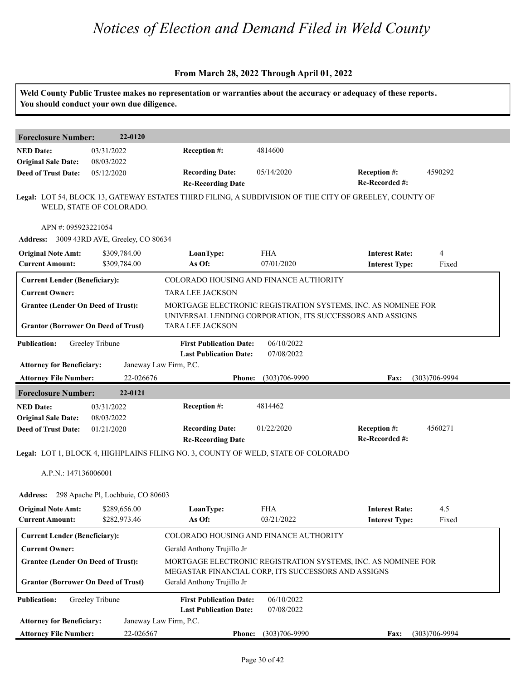| You should conduct your own due diligence.                                                                       |                              | Weld County Public Trustee makes no representation or warranties about the accuracy or adequacy of these reports. |                                                     |                                                                                                                            |                   |
|------------------------------------------------------------------------------------------------------------------|------------------------------|-------------------------------------------------------------------------------------------------------------------|-----------------------------------------------------|----------------------------------------------------------------------------------------------------------------------------|-------------------|
| <b>Foreclosure Number:</b>                                                                                       | 22-0120                      |                                                                                                                   |                                                     |                                                                                                                            |                   |
| <b>NED Date:</b><br><b>Original Sale Date:</b>                                                                   | 03/31/2022<br>08/03/2022     | Reception #:                                                                                                      | 4814600                                             |                                                                                                                            |                   |
| <b>Deed of Trust Date:</b>                                                                                       | 05/12/2020                   | <b>Recording Date:</b><br><b>Re-Recording Date</b>                                                                | 05/14/2020                                          | Reception #:<br>Re-Recorded #:                                                                                             | 4590292           |
|                                                                                                                  | WELD, STATE OF COLORADO.     | Legal: LOT 54, BLOCK 13, GATEWAY ESTATES THIRD FILING, A SUBDIVISION OF THE CITY OF GREELEY, COUNTY OF            |                                                     |                                                                                                                            |                   |
| APN #: 095923221054<br>Address: 3009 43RD AVE, Greeley, CO 80634                                                 |                              |                                                                                                                   |                                                     |                                                                                                                            |                   |
| <b>Original Note Amt:</b><br><b>Current Amount:</b>                                                              | \$309,784.00<br>\$309,784.00 | LoanType:<br>As Of:                                                                                               | <b>FHA</b><br>07/01/2020                            | <b>Interest Rate:</b><br><b>Interest Type:</b>                                                                             | 4<br>Fixed        |
| <b>Current Lender (Beneficiary):</b>                                                                             |                              | COLORADO HOUSING AND FINANCE AUTHORITY<br><b>TARA LEE JACKSON</b>                                                 |                                                     |                                                                                                                            |                   |
| <b>Current Owner:</b><br><b>Grantee (Lender On Deed of Trust):</b><br><b>Grantor (Borrower On Deed of Trust)</b> |                              | TARA LEE JACKSON                                                                                                  |                                                     | MORTGAGE ELECTRONIC REGISTRATION SYSTEMS, INC. AS NOMINEE FOR<br>UNIVERSAL LENDING CORPORATION, ITS SUCCESSORS AND ASSIGNS |                   |
| <b>Publication:</b>                                                                                              | Greeley Tribune              | <b>First Publication Date:</b><br><b>Last Publication Date:</b>                                                   | 06/10/2022<br>07/08/2022                            |                                                                                                                            |                   |
| <b>Attorney for Beneficiary:</b><br><b>Attorney File Number:</b>                                                 | 22-026676                    | Janeway Law Firm, P.C.<br><b>Phone:</b>                                                                           | $(303)706 - 9990$                                   | Fax:                                                                                                                       | $(303)706 - 9994$ |
| <b>Foreclosure Number:</b>                                                                                       | 22-0121                      |                                                                                                                   |                                                     |                                                                                                                            |                   |
| <b>NED Date:</b><br><b>Original Sale Date:</b>                                                                   | 03/31/2022<br>08/03/2022     | Reception #:                                                                                                      | 4814462                                             |                                                                                                                            |                   |
| <b>Deed of Trust Date:</b>                                                                                       | 01/21/2020                   | <b>Recording Date:</b><br><b>Re-Recording Date</b>                                                                | 01/22/2020                                          | Reception #:<br>Re-Recorded #:                                                                                             | 4560271           |
|                                                                                                                  |                              | Legal: LOT 1, BLOCK 4, HIGHPLAINS FILING NO. 3, COUNTY OF WELD, STATE OF COLORADO                                 |                                                     |                                                                                                                            |                   |
| A.P.N.: 147136006001                                                                                             |                              |                                                                                                                   |                                                     |                                                                                                                            |                   |
| Address: 298 Apache Pl, Lochbuie, CO 80603                                                                       |                              |                                                                                                                   |                                                     |                                                                                                                            |                   |
| <b>Original Note Amt:</b><br><b>Current Amount:</b>                                                              | \$289,656.00<br>\$282,973.46 | LoanType:<br>As Of:                                                                                               | <b>FHA</b><br>03/21/2022                            | <b>Interest Rate:</b><br><b>Interest Type:</b>                                                                             | 4.5<br>Fixed      |
| <b>Current Lender (Beneficiary):</b>                                                                             |                              | COLORADO HOUSING AND FINANCE AUTHORITY                                                                            |                                                     |                                                                                                                            |                   |
| <b>Current Owner:</b>                                                                                            |                              | Gerald Anthony Trujillo Jr                                                                                        |                                                     |                                                                                                                            |                   |
|                                                                                                                  |                              |                                                                                                                   | MEGASTAR FINANCIAL CORP, ITS SUCCESSORS AND ASSIGNS | MORTGAGE ELECTRONIC REGISTRATION SYSTEMS, INC. AS NOMINEE FOR                                                              |                   |
| <b>Grantee (Lender On Deed of Trust):</b>                                                                        |                              |                                                                                                                   |                                                     |                                                                                                                            |                   |
| <b>Grantor (Borrower On Deed of Trust)</b><br><b>Publication:</b>                                                | Greeley Tribune              | Gerald Anthony Trujillo Jr<br><b>First Publication Date:</b>                                                      | 06/10/2022                                          |                                                                                                                            |                   |
| <b>Attorney for Beneficiary:</b>                                                                                 |                              | <b>Last Publication Date:</b><br>Janeway Law Firm, P.C.                                                           | 07/08/2022                                          |                                                                                                                            |                   |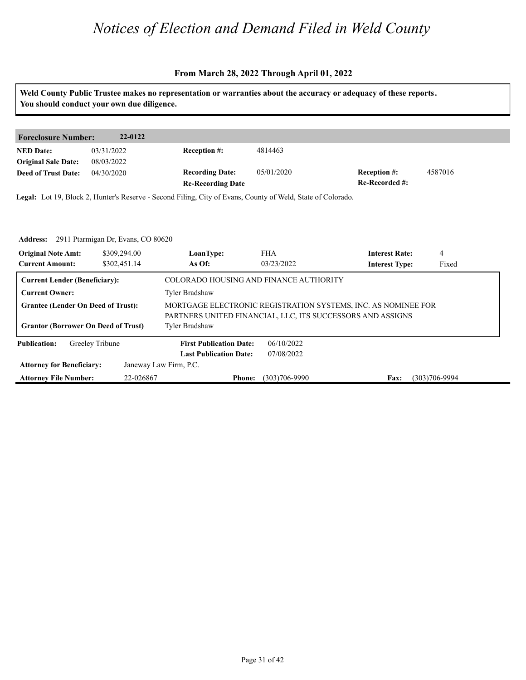#### **From March 28, 2022 Through April 01, 2022**

**Weld County Public Trustee makes no representation or warranties about the accuracy or adequacy of these reports. You should conduct your own due diligence. Foreclosure Number: 22-0122 NED Date: Re-Recorded #: Reception #:** 4587016 **Re-Recording Date Recording Date: Reception #: Deed of Trust Date:**<br>**Deed of Trust Date: Legal:** Lot 19, Block 2, Hunter's Reserve - Second Filing, City of Evans, County of Weld, State of Colorado. 03/31/2022 08/03/2022 04/30/2020 4814463 **Address:** 2911 Ptarmigan Dr, Evans, CO 80620<br>**Original Note Amt:** \$309,294.00 **LoanType:**<br>Current Amount: \$302,451.14 **As Of: IoanType:** FHA **Interest Rate:** 4<br> **As Of:** 03/23/2022 **Interest Type:** Fixed **LoanType:** \$309,294.00 \$302,451.14 FHA **Interest Rate:** 03/23/2022 **Interest Type:** 4 Fixed **Current Lender (Beneficiary):** COLORADO HOUSING AND FINANCE AUTHORITY **Current Owner:** Tyler Bradshaw **Grantee (Lender On Deed of Trust):** MORTGAGE ELECTRONIC REGISTRATION SYSTEMS, INC. AS NOMINEE FOR PARTNERS UNITED FINANCIAL, LLC, ITS SUCCESSORS AND ASSIGNS Grantor (Borrower On Deed of Trust) Tyler Bradshaw **Publication: Attorney for Beneficiary: Attorney File Number: Last Publication Date: Phone: Fax:** 22-026867 (303)706-9990 (303)706-9994 **First Publication Date:** Janeway Law Firm, P.C. 06/10/2022 07/08/2022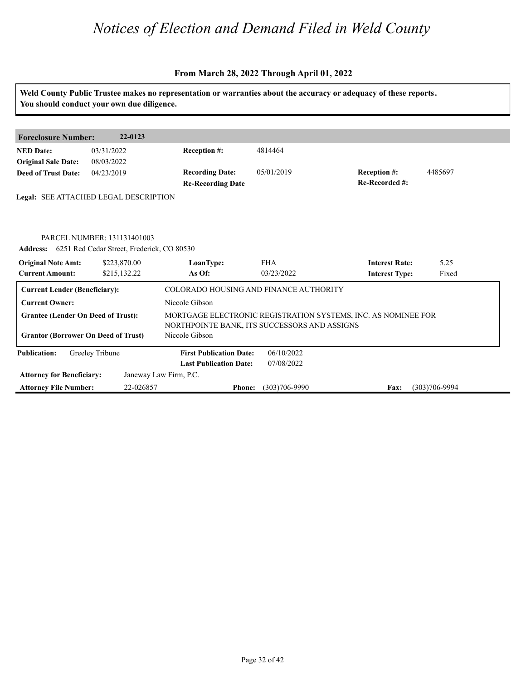| Weld County Public Trustee makes no representation or warranties about the accuracy or adequacy of these reports.<br>You should conduct your own due diligence. |                                                                                                                    |                                              |                          |                                                               |                   |  |
|-----------------------------------------------------------------------------------------------------------------------------------------------------------------|--------------------------------------------------------------------------------------------------------------------|----------------------------------------------|--------------------------|---------------------------------------------------------------|-------------------|--|
|                                                                                                                                                                 |                                                                                                                    |                                              |                          |                                                               |                   |  |
| <b>Foreclosure Number:</b>                                                                                                                                      | 22-0123                                                                                                            |                                              |                          |                                                               |                   |  |
| <b>NED Date:</b>                                                                                                                                                | 03/31/2022                                                                                                         | <b>Reception #:</b>                          | 4814464                  |                                                               |                   |  |
| <b>Original Sale Date:</b>                                                                                                                                      | 08/03/2022                                                                                                         |                                              |                          |                                                               |                   |  |
| <b>Deed of Trust Date:</b>                                                                                                                                      | 04/23/2019                                                                                                         | <b>Recording Date:</b>                       | 05/01/2019               | Reception #:                                                  | 4485697           |  |
|                                                                                                                                                                 |                                                                                                                    | <b>Re-Recording Date</b>                     |                          | Re-Recorded #:                                                |                   |  |
|                                                                                                                                                                 | Legal: SEE ATTACHED LEGAL DESCRIPTION                                                                              |                                              |                          |                                                               |                   |  |
| <b>Original Note Amt:</b><br><b>Current Amount:</b>                                                                                                             | PARCEL NUMBER: 131131401003<br>Address: 6251 Red Cedar Street, Frederick, CO 80530<br>\$223,870.00<br>\$215,132.22 | LoanType:<br>As Of:                          | <b>FHA</b><br>03/23/2022 | <b>Interest Rate:</b><br><b>Interest Type:</b>                | 5.25<br>Fixed     |  |
| <b>Current Lender (Beneficiary):</b>                                                                                                                            |                                                                                                                    | COLORADO HOUSING AND FINANCE AUTHORITY       |                          |                                                               |                   |  |
| <b>Current Owner:</b>                                                                                                                                           |                                                                                                                    | Niccole Gibson                               |                          |                                                               |                   |  |
| <b>Grantee (Lender On Deed of Trust):</b>                                                                                                                       |                                                                                                                    | NORTHPOINTE BANK, ITS SUCCESSORS AND ASSIGNS |                          | MORTGAGE ELECTRONIC REGISTRATION SYSTEMS, INC. AS NOMINEE FOR |                   |  |
| <b>Grantor (Borrower On Deed of Trust)</b>                                                                                                                      |                                                                                                                    | Niccole Gibson                               |                          |                                                               |                   |  |
| <b>Publication:</b>                                                                                                                                             | Greeley Tribune                                                                                                    | <b>First Publication Date:</b>               | 06/10/2022               |                                                               |                   |  |
|                                                                                                                                                                 |                                                                                                                    | <b>Last Publication Date:</b>                | 07/08/2022               |                                                               |                   |  |
| <b>Attorney for Beneficiary:</b>                                                                                                                                |                                                                                                                    | Janeway Law Firm, P.C.                       |                          |                                                               |                   |  |
| <b>Attorney File Number:</b>                                                                                                                                    | 22-026857                                                                                                          | <b>Phone:</b>                                | $(303)706 - 9990$        | Fax:                                                          | $(303)706 - 9994$ |  |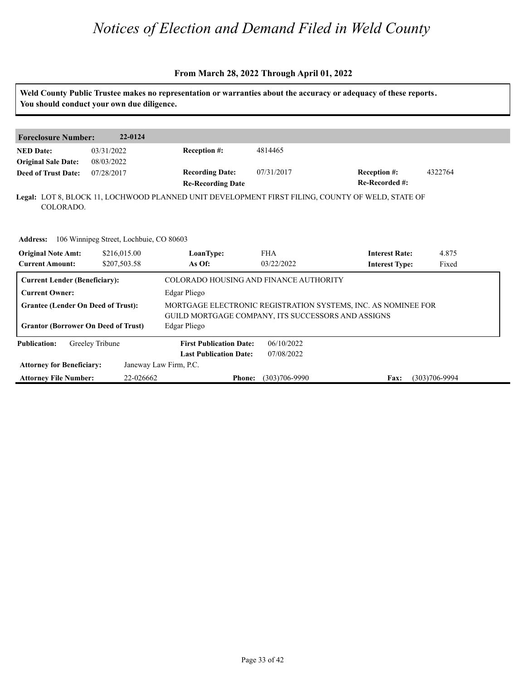|                                                     |                                            |                                                                    |                                                               | Weld County Public Trustee makes no representation or warranties about the accuracy or adequacy of these reports. |                   |  |  |
|-----------------------------------------------------|--------------------------------------------|--------------------------------------------------------------------|---------------------------------------------------------------|-------------------------------------------------------------------------------------------------------------------|-------------------|--|--|
|                                                     | You should conduct your own due diligence. |                                                                    |                                                               |                                                                                                                   |                   |  |  |
| <b>Foreclosure Number:</b>                          | 22-0124                                    |                                                                    |                                                               |                                                                                                                   |                   |  |  |
| <b>NED</b> Date:<br><b>Original Sale Date:</b>      | 03/31/2022<br>08/03/2022                   | <b>Reception #:</b>                                                | 4814465                                                       |                                                                                                                   |                   |  |  |
| <b>Deed of Trust Date:</b>                          | 07/28/2017                                 | <b>Recording Date:</b><br><b>Re-Recording Date</b>                 | 07/31/2017                                                    | Reception #:<br>Re-Recorded #:                                                                                    | 4322764           |  |  |
| COLORADO.                                           |                                            |                                                                    |                                                               | Legal: LOT 8, BLOCK 11, LOCHWOOD PLANNED UNIT DEVELOPMENT FIRST FILING, COUNTY OF WELD, STATE OF                  |                   |  |  |
|                                                     |                                            |                                                                    |                                                               |                                                                                                                   |                   |  |  |
| <b>Address:</b>                                     | 106 Winnipeg Street, Lochbuie, CO 80603    |                                                                    |                                                               |                                                                                                                   |                   |  |  |
| <b>Original Note Amt:</b><br><b>Current Amount:</b> | \$216,015.00<br>\$207,503.58               | LoanType:<br>As Of:                                                | <b>FHA</b><br>03/22/2022                                      | <b>Interest Rate:</b><br><b>Interest Type:</b>                                                                    | 4.875<br>Fixed    |  |  |
| <b>Current Lender (Beneficiary):</b>                |                                            | COLORADO HOUSING AND FINANCE AUTHORITY                             |                                                               |                                                                                                                   |                   |  |  |
| <b>Current Owner:</b>                               |                                            | Edgar Pliego                                                       |                                                               |                                                                                                                   |                   |  |  |
| <b>Grantee (Lender On Deed of Trust):</b>           |                                            |                                                                    | MORTGAGE ELECTRONIC REGISTRATION SYSTEMS, INC. AS NOMINEE FOR |                                                                                                                   |                   |  |  |
| <b>Grantor (Borrower On Deed of Trust)</b>          |                                            | GUILD MORTGAGE COMPANY, ITS SUCCESSORS AND ASSIGNS<br>Edgar Pliego |                                                               |                                                                                                                   |                   |  |  |
| <b>Publication:</b>                                 | Greeley Tribune                            | <b>First Publication Date:</b>                                     | 06/10/2022                                                    |                                                                                                                   |                   |  |  |
|                                                     |                                            | <b>Last Publication Date:</b>                                      | 07/08/2022                                                    |                                                                                                                   |                   |  |  |
| <b>Attorney for Beneficiary:</b>                    |                                            | Janeway Law Firm, P.C.                                             |                                                               |                                                                                                                   |                   |  |  |
| <b>Attorney File Number:</b>                        | 22-026662                                  | <b>Phone:</b>                                                      | $(303)706 - 9990$                                             | Fax:                                                                                                              | $(303)706 - 9994$ |  |  |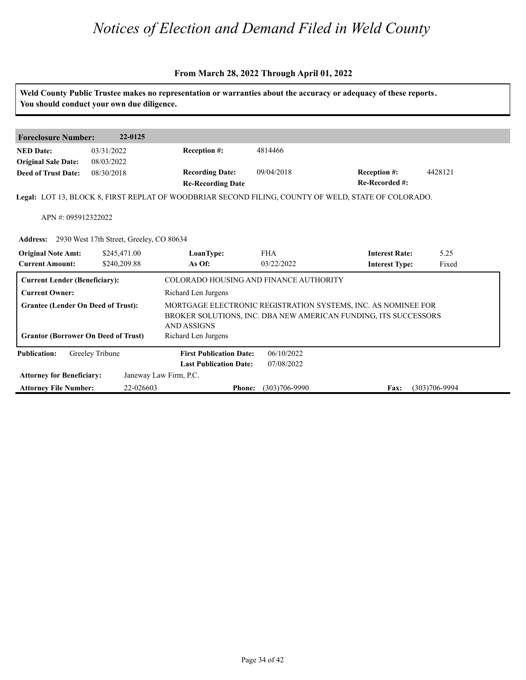|                                                                                         | You should conduct your own due diligence.        |                                                    |                   | Weld County Public Trustee makes no representation or warranties about the accuracy or adequacy of these reports.                |                   |
|-----------------------------------------------------------------------------------------|---------------------------------------------------|----------------------------------------------------|-------------------|----------------------------------------------------------------------------------------------------------------------------------|-------------------|
| <b>Foreclosure Number:</b>                                                              | 22-0125                                           |                                                    |                   |                                                                                                                                  |                   |
| <b>NED Date:</b>                                                                        | 03/31/2022                                        | <b>Reception #:</b>                                | 4814466           |                                                                                                                                  |                   |
| <b>Original Sale Date:</b>                                                              | 08/03/2022                                        |                                                    |                   |                                                                                                                                  |                   |
| <b>Deed of Trust Date:</b>                                                              | 08/30/2018                                        | <b>Recording Date:</b><br><b>Re-Recording Date</b> | 09/04/2018        | Reception #:<br>Re-Recorded #:                                                                                                   | 4428121           |
|                                                                                         |                                                   |                                                    |                   | Legal: LOT 13, BLOCK 8, FIRST REPLAT OF WOODBRIAR SECOND FILING, COUNTY OF WELD, STATE OF COLORADO.                              |                   |
|                                                                                         |                                                   |                                                    |                   |                                                                                                                                  |                   |
| APN #: 095912322022                                                                     |                                                   |                                                    |                   |                                                                                                                                  |                   |
|                                                                                         | Address: 2930 West 17th Street, Greeley, CO 80634 |                                                    |                   |                                                                                                                                  |                   |
| <b>Original Note Amt:</b>                                                               | \$245,471.00                                      | LoanType:                                          | <b>FHA</b>        | <b>Interest Rate:</b>                                                                                                            | 5.25              |
| <b>Current Amount:</b>                                                                  | \$240,209.88                                      | As Of:                                             | 03/22/2022        | <b>Interest Type:</b>                                                                                                            | Fixed             |
| <b>Current Lender (Beneficiary):</b>                                                    |                                                   | COLORADO HOUSING AND FINANCE AUTHORITY             |                   |                                                                                                                                  |                   |
| <b>Current Owner:</b>                                                                   |                                                   | Richard Len Jurgens                                |                   |                                                                                                                                  |                   |
| <b>Grantee (Lender On Deed of Trust):</b><br><b>Grantor (Borrower On Deed of Trust)</b> |                                                   | <b>AND ASSIGNS</b><br>Richard Len Jurgens          |                   | MORTGAGE ELECTRONIC REGISTRATION SYSTEMS, INC. AS NOMINEE FOR<br>BROKER SOLUTIONS, INC. DBA NEW AMERICAN FUNDING, ITS SUCCESSORS |                   |
| <b>Publication:</b>                                                                     | Greeley Tribune                                   | <b>First Publication Date:</b>                     | 06/10/2022        |                                                                                                                                  |                   |
|                                                                                         |                                                   | <b>Last Publication Date:</b>                      | 07/08/2022        |                                                                                                                                  |                   |
| <b>Attorney for Beneficiary:</b>                                                        |                                                   | Janeway Law Firm, P.C.                             |                   |                                                                                                                                  |                   |
| <b>Attorney File Number:</b>                                                            | 22-026603                                         | <b>Phone:</b>                                      | $(303)706 - 9990$ | Fax:                                                                                                                             | $(303)706 - 9994$ |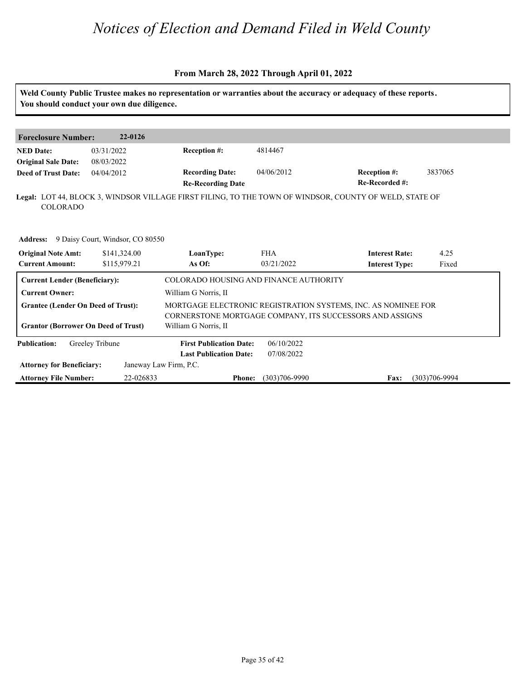|                                                | You should conduct your own due diligence.       |                                                    |                   | Weld County Public Trustee makes no representation or warranties about the accuracy or adequacy of these reports. |                   |
|------------------------------------------------|--------------------------------------------------|----------------------------------------------------|-------------------|-------------------------------------------------------------------------------------------------------------------|-------------------|
|                                                |                                                  |                                                    |                   |                                                                                                                   |                   |
| <b>Foreclosure Number:</b>                     | 22-0126                                          |                                                    |                   |                                                                                                                   |                   |
| <b>NED Date:</b><br><b>Original Sale Date:</b> | 03/31/2022<br>08/03/2022                         | <b>Reception #:</b>                                | 4814467           |                                                                                                                   |                   |
| <b>Deed of Trust Date:</b>                     | 04/04/2012                                       | <b>Recording Date:</b><br><b>Re-Recording Date</b> | 04/06/2012        | Reception #:<br>Re-Recorded #:                                                                                    | 3837065           |
| <b>COLORADO</b>                                |                                                  |                                                    |                   | Legal: LOT 44, BLOCK 3, WINDSOR VILLAGE FIRST FILING, TO THE TOWN OF WINDSOR, COUNTY OF WELD, STATE OF            |                   |
|                                                | <b>Address:</b> 9 Daisy Court, Windsor, CO 80550 |                                                    |                   |                                                                                                                   |                   |
| <b>Original Note Amt:</b>                      | \$141,324.00                                     | LoanType:                                          | <b>FHA</b>        | <b>Interest Rate:</b>                                                                                             | 4.25              |
| <b>Current Amount:</b>                         | \$115,979.21                                     | As Of:                                             | 03/21/2022        | <b>Interest Type:</b>                                                                                             | Fixed             |
| <b>Current Lender (Beneficiary):</b>           |                                                  | COLORADO HOUSING AND FINANCE AUTHORITY             |                   |                                                                                                                   |                   |
| <b>Current Owner:</b>                          |                                                  | William G Norris, II                               |                   |                                                                                                                   |                   |
| <b>Grantee (Lender On Deed of Trust):</b>      |                                                  |                                                    |                   | MORTGAGE ELECTRONIC REGISTRATION SYSTEMS, INC. AS NOMINEE FOR                                                     |                   |
|                                                |                                                  |                                                    |                   | CORNERSTONE MORTGAGE COMPANY, ITS SUCCESSORS AND ASSIGNS                                                          |                   |
| <b>Grantor (Borrower On Deed of Trust)</b>     |                                                  | William G Norris, II                               |                   |                                                                                                                   |                   |
| <b>Publication:</b>                            | Greeley Tribune                                  | <b>First Publication Date:</b>                     | 06/10/2022        |                                                                                                                   |                   |
|                                                |                                                  | <b>Last Publication Date:</b>                      | 07/08/2022        |                                                                                                                   |                   |
| <b>Attorney for Beneficiary:</b>               |                                                  | Janeway Law Firm, P.C.                             |                   |                                                                                                                   |                   |
| <b>Attorney File Number:</b>                   | 22-026833                                        | <b>Phone:</b>                                      | $(303)706 - 9990$ | <b>Fax:</b>                                                                                                       | $(303)706 - 9994$ |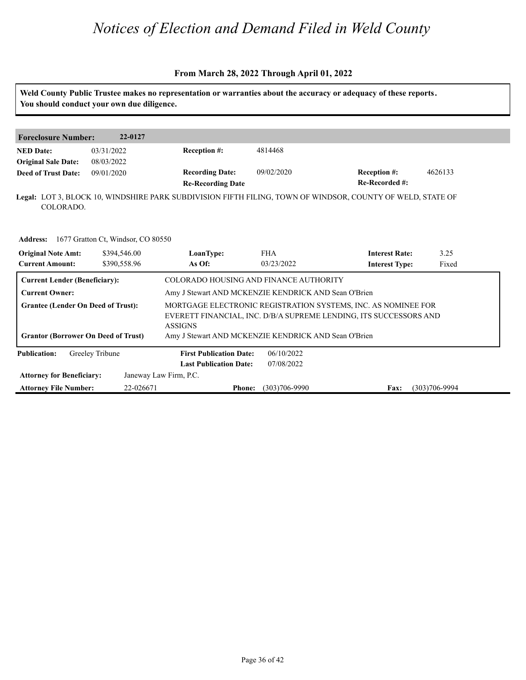#### **From March 28, 2022 Through April 01, 2022**

**Weld County Public Trustee makes no representation or warranties about the accuracy or adequacy of these reports. You should conduct your own due diligence. Foreclosure Number: 22-0127 NED Date: Re-Recorded #: Reception #:** 4626133 **Re-Recording Date Recording Date: Reception #: Deed of Trust Date:**<br>**Deed of Trust Date: Legal:** LOT 3, BLOCK 10, WINDSHIRE PARK SUBDIVISION FIFTH FILING, TOWN OF WINDSOR, COUNTY OF WELD, STATE OF 03/31/2022 08/03/2022 09/01/2020 4814468 COLORADO. **Address:** 1677 Gratton Ct, Windsor, CO 80550<br>**Original Note Amt:** 16794,546.00 LoanType:<br>Current Amount: 16390,558.96 1680f: **IoanType:** FHA **Interest Rate:** 3.25<br> **As Of:** 03/23/2022 **Interest Type:** Fixed **LoanType:** \$394,546.00 \$390,558.96 FHA **Interest Rate:** 03/23/2022 **Interest Type:** 3.25 Fixed **Current Lender (Beneficiary):** COLORADO HOUSING AND FINANCE AUTHORITY **Current Owner:** Amy J Stewart AND MCKENZIE KENDRICK AND Sean O'Brien **Grantee (Lender On Deed of Trust):** MORTGAGE ELECTRONIC REGISTRATION SYSTEMS, INC. AS NOMINEE FOR EVERETT FINANCIAL, INC. D/B/A SUPREME LENDING, ITS SUCCESSORS AND ASSIGNS **Grantor (Borrower On Deed of Trust)** Amy J Stewart AND MCKENZIE KENDRICK AND Sean O'Brien **Publication: Last Publication Date: First Publication Date:** 06/10/2022 07/08/2022

**Phone: Fax:** 22-026671 (303)706-9990 (303)706-9994

**Attorney for Beneficiary:**

**Attorney File Number:**

Janeway Law Firm, P.C.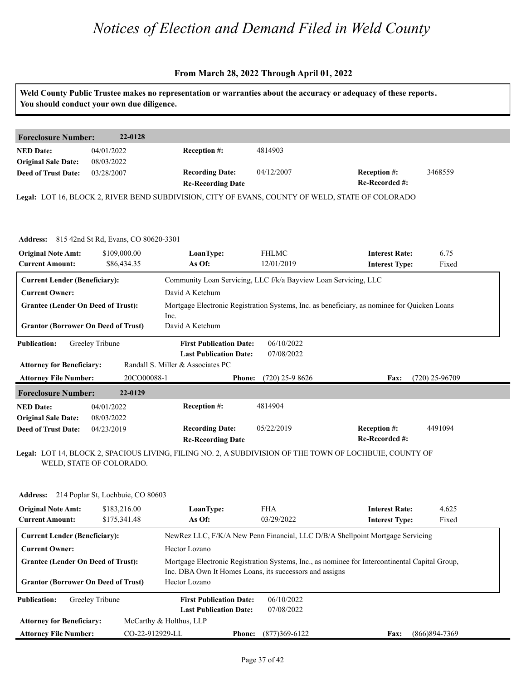| You should conduct your own due diligence.           |                          |                                                                                                  |                                                                 | Weld County Public Trustee makes no representation or warranties about the accuracy or adequacy of these reports. |                  |
|------------------------------------------------------|--------------------------|--------------------------------------------------------------------------------------------------|-----------------------------------------------------------------|-------------------------------------------------------------------------------------------------------------------|------------------|
| <b>Foreclosure Number:</b>                           | 22-0128                  |                                                                                                  |                                                                 |                                                                                                                   |                  |
| <b>NED Date:</b>                                     | 04/01/2022               | Reception #:                                                                                     | 4814903                                                         |                                                                                                                   |                  |
| <b>Original Sale Date:</b>                           | 08/03/2022               |                                                                                                  |                                                                 |                                                                                                                   |                  |
| <b>Deed of Trust Date:</b>                           | 03/28/2007               | <b>Recording Date:</b>                                                                           | 04/12/2007                                                      | <b>Reception #:</b>                                                                                               | 3468559          |
|                                                      |                          | <b>Re-Recording Date</b>                                                                         |                                                                 | Re-Recorded #:                                                                                                    |                  |
|                                                      |                          | Legal: LOT 16, BLOCK 2, RIVER BEND SUBDIVISION, CITY OF EVANS, COUNTY OF WELD, STATE OF COLORADO |                                                                 |                                                                                                                   |                  |
|                                                      |                          |                                                                                                  |                                                                 |                                                                                                                   |                  |
| <b>Address:</b> 815 42nd St Rd, Evans, CO 80620-3301 |                          |                                                                                                  |                                                                 |                                                                                                                   |                  |
| <b>Original Note Amt:</b>                            | \$109,000.00             | LoanType:                                                                                        | <b>FHLMC</b>                                                    | <b>Interest Rate:</b>                                                                                             | 6.75             |
| <b>Current Amount:</b>                               | \$86,434.35              | As Of:                                                                                           | 12/01/2019                                                      | <b>Interest Type:</b>                                                                                             | Fixed            |
| <b>Current Lender (Beneficiary):</b>                 |                          |                                                                                                  | Community Loan Servicing, LLC f/k/a Bayview Loan Servicing, LLC |                                                                                                                   |                  |
| <b>Current Owner:</b>                                |                          | David A Ketchum                                                                                  |                                                                 |                                                                                                                   |                  |
| <b>Grantee (Lender On Deed of Trust):</b>            |                          |                                                                                                  |                                                                 | Mortgage Electronic Registration Systems, Inc. as beneficiary, as nominee for Quicken Loans                       |                  |
|                                                      |                          | Inc.                                                                                             |                                                                 |                                                                                                                   |                  |
| <b>Grantor (Borrower On Deed of Trust)</b>           |                          | David A Ketchum                                                                                  |                                                                 |                                                                                                                   |                  |
| <b>Publication:</b>                                  | Greeley Tribune          | <b>First Publication Date:</b>                                                                   | 06/10/2022                                                      |                                                                                                                   |                  |
|                                                      |                          | <b>Last Publication Date:</b>                                                                    | 07/08/2022                                                      |                                                                                                                   |                  |
| <b>Attorney for Beneficiary:</b>                     |                          | Randall S. Miller & Associates PC                                                                |                                                                 |                                                                                                                   |                  |
| <b>Attorney File Number:</b>                         | 20CO00088-1              | <b>Phone:</b>                                                                                    | $(720)$ 25-9 8626                                               | Fax:                                                                                                              | $(720)$ 25-96709 |
| <b>Foreclosure Number:</b>                           | 22-0129                  |                                                                                                  |                                                                 |                                                                                                                   |                  |
| <b>NED Date:</b>                                     | 04/01/2022               | <b>Reception #:</b>                                                                              | 4814904                                                         |                                                                                                                   |                  |
| <b>Original Sale Date:</b>                           | 08/03/2022               |                                                                                                  |                                                                 |                                                                                                                   |                  |
| <b>Deed of Trust Date:</b>                           | 04/23/2019               | <b>Recording Date:</b>                                                                           | 05/22/2019                                                      | Reception #:<br>Re-Recorded #:                                                                                    | 4491094          |
|                                                      |                          | <b>Re-Recording Date</b>                                                                         |                                                                 |                                                                                                                   |                  |
|                                                      | WELD, STATE OF COLORADO. |                                                                                                  |                                                                 | Legal: LOT 14, BLOCK 2, SPACIOUS LIVING, FILING NO. 2, A SUBDIVISION OF THE TOWN OF LOCHBUIE, COUNTY OF           |                  |
|                                                      |                          |                                                                                                  |                                                                 |                                                                                                                   |                  |
|                                                      |                          |                                                                                                  |                                                                 |                                                                                                                   |                  |
| Address: 214 Poplar St, Lochbuie, CO 80603           |                          |                                                                                                  |                                                                 |                                                                                                                   |                  |
| <b>Original Note Amt:</b>                            | \$183,216.00             | LoanType:                                                                                        | <b>FHA</b>                                                      | <b>Interest Rate:</b>                                                                                             | 4.625            |
| <b>Current Amount:</b>                               | \$175,341.48             | As Of:                                                                                           | 03/29/2022                                                      | <b>Interest Type:</b>                                                                                             | Fixed            |
| <b>Current Lender (Beneficiary):</b>                 |                          |                                                                                                  |                                                                 | NewRez LLC, F/K/A New Penn Financial, LLC D/B/A Shellpoint Mortgage Servicing                                     |                  |
| <b>Current Owner:</b>                                |                          | Hector Lozano                                                                                    |                                                                 |                                                                                                                   |                  |
| <b>Grantee (Lender On Deed of Trust):</b>            |                          |                                                                                                  |                                                                 | Mortgage Electronic Registration Systems, Inc., as nominee for Intercontinental Capital Group,                    |                  |
|                                                      |                          |                                                                                                  | Inc. DBA Own It Homes Loans, its successors and assigns         |                                                                                                                   |                  |
| <b>Grantor (Borrower On Deed of Trust)</b>           |                          | Hector Lozano                                                                                    |                                                                 |                                                                                                                   |                  |
| <b>Publication:</b>                                  | Greeley Tribune          | <b>First Publication Date:</b>                                                                   | 06/10/2022                                                      |                                                                                                                   |                  |
|                                                      |                          | <b>Last Publication Date:</b>                                                                    | 07/08/2022                                                      |                                                                                                                   |                  |
| <b>Attorney for Beneficiary:</b>                     |                          | McCarthy & Holthus, LLP                                                                          |                                                                 |                                                                                                                   |                  |
| <b>Attorney File Number:</b>                         | CO-22-912929-LL          |                                                                                                  | <b>Phone:</b> (877)369-6122                                     | <b>Fax:</b>                                                                                                       | $(866)894-7369$  |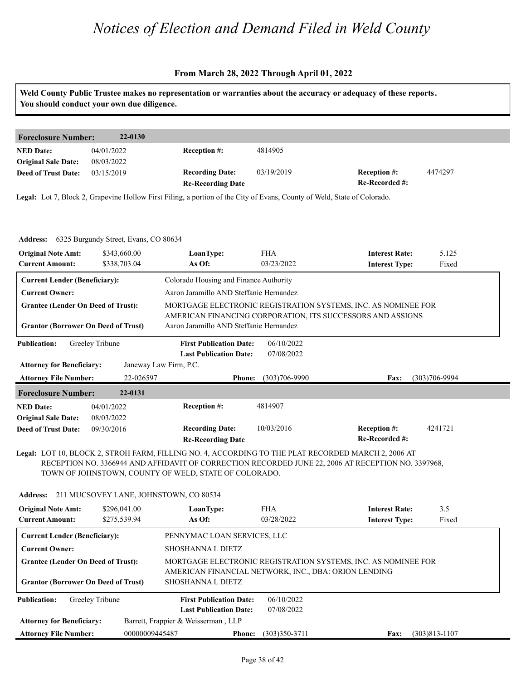#### **From March 28, 2022 Through April 01, 2022**

**Weld County Public Trustee makes no representation or warranties about the accuracy or adequacy of these reports. You should conduct your own due diligence.**

| 22-0130<br><b>Foreclosure Number:</b> |            |                          |            |                     |         |  |  |
|---------------------------------------|------------|--------------------------|------------|---------------------|---------|--|--|
| <b>NED Date:</b>                      | 04/01/2022 | <b>Reception #:</b>      | 4814905    |                     |         |  |  |
| <b>Original Sale Date:</b>            | 08/03/2022 |                          |            |                     |         |  |  |
| <b>Deed of Trust Date:</b>            | 03/15/2019 | <b>Recording Date:</b>   | 03/19/2019 | <b>Reception #:</b> | 4474297 |  |  |
|                                       |            | <b>Re-Recording Date</b> |            | Re-Recorded #:      |         |  |  |

**Legal:** Lot 7, Block 2, Grapevine Hollow First Filing, a portion of the City of Evans, County of Weld, State of Colorado.

| <b>Address:</b> 6325 Burgundy Street, Evans, CO 80634                                   |                                                                 |                                    |                                                                                                                             |                   |
|-----------------------------------------------------------------------------------------|-----------------------------------------------------------------|------------------------------------|-----------------------------------------------------------------------------------------------------------------------------|-------------------|
| <b>Original Note Amt:</b><br>\$343,660.00<br>\$338,703.04<br><b>Current Amount:</b>     | LoanType:<br>As Of:                                             | <b>FHA</b><br>03/23/2022           | <b>Interest Rate:</b><br><b>Interest Type:</b>                                                                              | 5.125<br>Fixed    |
| <b>Current Lender (Beneficiary):</b>                                                    | Colorado Housing and Finance Authority                          |                                    |                                                                                                                             |                   |
| <b>Current Owner:</b>                                                                   | Aaron Jaramillo AND Steffanie Hernandez                         |                                    |                                                                                                                             |                   |
| <b>Grantee (Lender On Deed of Trust):</b><br><b>Grantor (Borrower On Deed of Trust)</b> | Aaron Jaramillo AND Steffanie Hernandez                         |                                    | MORTGAGE ELECTRONIC REGISTRATION SYSTEMS, INC. AS NOMINEE FOR<br>AMERICAN FINANCING CORPORATION, ITS SUCCESSORS AND ASSIGNS |                   |
| Greeley Tribune<br><b>Publication:</b>                                                  | <b>First Publication Date:</b><br><b>Last Publication Date:</b> | 06/10/2022<br>07/08/2022           |                                                                                                                             |                   |
| <b>Attorney for Beneficiary:</b>                                                        | Janeway Law Firm, P.C.                                          |                                    |                                                                                                                             |                   |
| <b>Attorney File Number:</b>                                                            | 22-026597                                                       | $(303)706 - 9990$<br><b>Phone:</b> | Fax:                                                                                                                        | $(303)706 - 9994$ |
| 22-0131<br><b>Foreclosure Number:</b>                                                   |                                                                 |                                    |                                                                                                                             |                   |
| <b>NED Date:</b><br>04/01/2022<br><b>Original Sale Date:</b><br>08/03/2022              | <b>Reception #:</b>                                             | 4814907                            |                                                                                                                             |                   |
| <b>Deed of Trust Date:</b><br>09/30/2016                                                | <b>Recording Date:</b><br><b>Re-Recording Date</b>              | 10/03/2016                         | <b>Reception #:</b><br>Re-Recorded #:                                                                                       | 4241721           |

#### **Legal:** LOT 10, BLOCK 2, STROH FARM, FILLING NO. 4, ACCORDING TO THE PLAT RECORDED MARCH 2, 2006 AT RECEPTION NO. 3366944 AND AFFIDAVIT OF CORRECTION RECORDED JUNE 22, 2006 AT RECEPTION NO. 3397968, TOWN OF JOHNSTOWN, COUNTY OF WELD, STATE OF COLORADO.

| Address: 211 MUCSOVEY LANE, JOHNSTOWN, CO 80534     |                              |                                                                                                                       |                          |                                                |                   |  |  |  |
|-----------------------------------------------------|------------------------------|-----------------------------------------------------------------------------------------------------------------------|--------------------------|------------------------------------------------|-------------------|--|--|--|
| <b>Original Note Amt:</b><br><b>Current Amount:</b> | \$296,041.00<br>\$275,539.94 | LoanType:<br>As Of:                                                                                                   | <b>FHA</b><br>03/28/2022 | <b>Interest Rate:</b><br><b>Interest Type:</b> | 3.5<br>Fixed      |  |  |  |
| <b>Current Lender (Beneficiary):</b>                |                              | PENNYMAC LOAN SERVICES, LLC                                                                                           |                          |                                                |                   |  |  |  |
| <b>Current Owner:</b>                               |                              | <b>SHOSHANNA L DIETZ</b>                                                                                              |                          |                                                |                   |  |  |  |
| <b>Grantee (Lender On Deed of Trust):</b>           |                              | MORTGAGE ELECTRONIC REGISTRATION SYSTEMS, INC. AS NOMINEE FOR<br>AMERICAN FINANCIAL NETWORK, INC., DBA: ORION LENDING |                          |                                                |                   |  |  |  |
| <b>Grantor (Borrower On Deed of Trust)</b>          |                              | <b>SHOSHANNA L DIETZ</b>                                                                                              |                          |                                                |                   |  |  |  |
| <b>Publication:</b>                                 | Greeley Tribune              | <b>First Publication Date:</b>                                                                                        | 06/10/2022               |                                                |                   |  |  |  |
|                                                     |                              | <b>Last Publication Date:</b>                                                                                         | 07/08/2022               |                                                |                   |  |  |  |
| <b>Attorney for Beneficiary:</b>                    |                              | Barrett, Frappier & Weisserman, LLP                                                                                   |                          |                                                |                   |  |  |  |
| <b>Attorney File Number:</b>                        | 00000009445487               | <b>Phone:</b>                                                                                                         | $(303)350-3711$          | Fax:                                           | $(303)813 - 1107$ |  |  |  |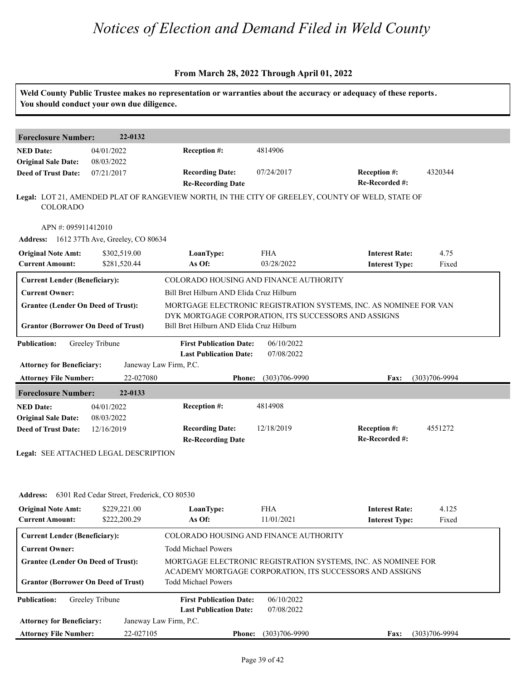|                                                                                         | You should conduct your own due diligence. |                                                                                                  |                          | Weld County Public Trustee makes no representation or warranties about the accuracy or adequacy of these reports.         |                   |
|-----------------------------------------------------------------------------------------|--------------------------------------------|--------------------------------------------------------------------------------------------------|--------------------------|---------------------------------------------------------------------------------------------------------------------------|-------------------|
| <b>Foreclosure Number:</b>                                                              | 22-0132                                    |                                                                                                  |                          |                                                                                                                           |                   |
| <b>NED Date:</b><br><b>Original Sale Date:</b>                                          | 04/01/2022<br>08/03/2022                   | Reception #:                                                                                     | 4814906                  |                                                                                                                           |                   |
| <b>Deed of Trust Date:</b>                                                              | 07/21/2017                                 | <b>Recording Date:</b><br><b>Re-Recording Date</b>                                               | 07/24/2017               | Reception #:<br>Re-Recorded #:                                                                                            | 4320344           |
| COLORADO                                                                                |                                            |                                                                                                  |                          | Legal: LOT 21, AMENDED PLAT OF RANGEVIEW NORTH, IN THE CITY OF GREELEY, COUNTY OF WELD, STATE OF                          |                   |
| APN #: 095911412010                                                                     |                                            |                                                                                                  |                          |                                                                                                                           |                   |
|                                                                                         | Address: 1612 37Th Ave, Greeley, CO 80634  |                                                                                                  |                          |                                                                                                                           |                   |
| <b>Original Note Amt:</b><br><b>Current Amount:</b>                                     | \$302,519.00<br>\$281,520.44               | LoanType:<br>As Of:                                                                              | <b>FHA</b><br>03/28/2022 | <b>Interest Rate:</b><br><b>Interest Type:</b>                                                                            | 4.75<br>Fixed     |
| <b>Current Lender (Beneficiary):</b>                                                    |                                            | COLORADO HOUSING AND FINANCE AUTHORITY                                                           |                          |                                                                                                                           |                   |
| <b>Current Owner:</b>                                                                   |                                            | Bill Bret Hilburn AND Elida Cruz Hilburn                                                         |                          |                                                                                                                           |                   |
| <b>Grantee (Lender On Deed of Trust):</b><br><b>Grantor (Borrower On Deed of Trust)</b> |                                            | DYK MORTGAGE CORPORATION, ITS SUCCESSORS AND ASSIGNS<br>Bill Bret Hilburn AND Elida Cruz Hilburn |                          | MORTGAGE ELECTRONIC REGISTRATION SYSTEMS, INC. AS NOMINEE FOR VAN                                                         |                   |
| <b>Publication:</b>                                                                     | Greeley Tribune                            | <b>First Publication Date:</b><br><b>Last Publication Date:</b>                                  | 06/10/2022<br>07/08/2022 |                                                                                                                           |                   |
| <b>Attorney for Beneficiary:</b><br><b>Attorney File Number:</b>                        | 22-027080                                  | Janeway Law Firm, P.C.<br><b>Phone:</b>                                                          | $(303)706 - 9990$        | Fax:                                                                                                                      | $(303)706 - 9994$ |
| <b>Foreclosure Number:</b>                                                              | 22-0133                                    |                                                                                                  |                          |                                                                                                                           |                   |
| <b>NED Date:</b>                                                                        | 04/01/2022                                 | Reception #:                                                                                     | 4814908                  |                                                                                                                           |                   |
| <b>Original Sale Date:</b>                                                              | 08/03/2022                                 |                                                                                                  |                          |                                                                                                                           |                   |
| <b>Deed of Trust Date:</b>                                                              | 12/16/2019                                 | <b>Recording Date:</b><br><b>Re-Recording Date</b>                                               | 12/18/2019               | <b>Reception #:</b><br>Re-Recorded #:                                                                                     | 4551272           |
|                                                                                         | Legal: SEE ATTACHED LEGAL DESCRIPTION      |                                                                                                  |                          |                                                                                                                           |                   |
| <b>Address:</b>                                                                         | 6301 Red Cedar Street, Frederick, CO 80530 |                                                                                                  |                          |                                                                                                                           |                   |
| <b>Original Note Amt:</b><br><b>Current Amount:</b>                                     | \$229,221.00<br>\$222,200.29               | LoanType:<br>As Of:                                                                              | <b>FHA</b><br>11/01/2021 | <b>Interest Rate:</b><br><b>Interest Type:</b>                                                                            | 4.125<br>Fixed    |
| <b>Current Lender (Beneficiary):</b>                                                    |                                            | COLORADO HOUSING AND FINANCE AUTHORITY                                                           |                          |                                                                                                                           |                   |
| <b>Current Owner:</b>                                                                   |                                            | <b>Todd Michael Powers</b>                                                                       |                          |                                                                                                                           |                   |
| <b>Grantee (Lender On Deed of Trust):</b><br><b>Grantor (Borrower On Deed of Trust)</b> |                                            | <b>Todd Michael Powers</b>                                                                       |                          | MORTGAGE ELECTRONIC REGISTRATION SYSTEMS, INC. AS NOMINEE FOR<br>ACADEMY MORTGAGE CORPORATION, ITS SUCCESSORS AND ASSIGNS |                   |
| <b>Publication:</b>                                                                     | Greeley Tribune                            | <b>First Publication Date:</b><br><b>Last Publication Date:</b>                                  | 06/10/2022<br>07/08/2022 |                                                                                                                           |                   |
| <b>Attorney for Beneficiary:</b>                                                        |                                            | Janeway Law Firm, P.C.                                                                           |                          |                                                                                                                           |                   |
| <b>Attorney File Number:</b>                                                            | 22-027105                                  | <b>Phone:</b>                                                                                    | $(303)706 - 9990$        | <b>Fax:</b>                                                                                                               | $(303)706 - 9994$ |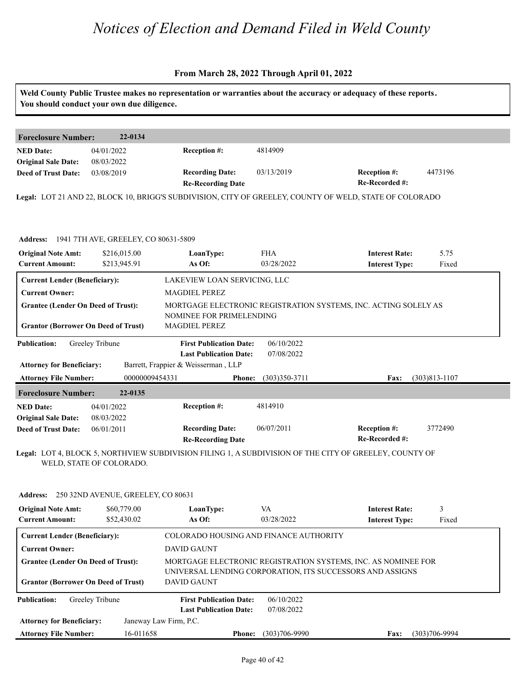|                                               | You should conduct your own due diligence. |                                                               |                                        | Weld County Public Trustee makes no representation or warranties about the accuracy or adequacy of these reports. |                   |  |
|-----------------------------------------------|--------------------------------------------|---------------------------------------------------------------|----------------------------------------|-------------------------------------------------------------------------------------------------------------------|-------------------|--|
| <b>Foreclosure Number:</b>                    | 22-0134                                    |                                                               |                                        |                                                                                                                   |                   |  |
| <b>NED Date:</b>                              | 04/01/2022                                 | Reception #:                                                  | 4814909                                |                                                                                                                   |                   |  |
| <b>Original Sale Date:</b>                    | 08/03/2022                                 |                                                               |                                        |                                                                                                                   |                   |  |
| <b>Deed of Trust Date:</b>                    | 03/08/2019                                 | <b>Recording Date:</b>                                        | 03/13/2019                             | <b>Reception #:</b>                                                                                               | 4473196           |  |
|                                               |                                            | <b>Re-Recording Date</b>                                      |                                        | Re-Recorded #:                                                                                                    |                   |  |
|                                               |                                            |                                                               |                                        | Legal: LOT 21 AND 22, BLOCK 10, BRIGG'S SUBDIVISION, CITY OF GREELEY, COUNTY OF WELD, STATE OF COLORADO           |                   |  |
|                                               |                                            |                                                               |                                        |                                                                                                                   |                   |  |
| Address: 1941 7TH AVE, GREELEY, CO 80631-5809 |                                            |                                                               |                                        |                                                                                                                   |                   |  |
| <b>Original Note Amt:</b>                     | \$216,015.00                               | LoanType:                                                     | <b>FHA</b>                             | <b>Interest Rate:</b>                                                                                             | 5.75              |  |
| <b>Current Amount:</b>                        | \$213,945.91                               | As Of:                                                        | 03/28/2022                             | <b>Interest Type:</b>                                                                                             | Fixed             |  |
| <b>Current Lender (Beneficiary):</b>          |                                            | LAKEVIEW LOAN SERVICING, LLC                                  |                                        |                                                                                                                   |                   |  |
| <b>Current Owner:</b>                         |                                            | <b>MAGDIEL PEREZ</b>                                          |                                        |                                                                                                                   |                   |  |
| <b>Grantee (Lender On Deed of Trust):</b>     |                                            |                                                               |                                        | MORTGAGE ELECTRONIC REGISTRATION SYSTEMS, INC. ACTING SOLELY AS                                                   |                   |  |
|                                               |                                            | NOMINEE FOR PRIMELENDING                                      |                                        |                                                                                                                   |                   |  |
| <b>Grantor (Borrower On Deed of Trust)</b>    |                                            | MAGDIEL PEREZ                                                 |                                        |                                                                                                                   |                   |  |
| <b>Publication:</b>                           | Greeley Tribune                            | <b>First Publication Date:</b>                                | 06/10/2022                             |                                                                                                                   |                   |  |
|                                               |                                            | <b>Last Publication Date:</b>                                 | 07/08/2022                             |                                                                                                                   |                   |  |
| <b>Attorney for Beneficiary:</b>              |                                            | Barrett, Frappier & Weisserman, LLP                           |                                        |                                                                                                                   |                   |  |
| <b>Attorney File Number:</b>                  | 00000009454331                             | <b>Phone:</b>                                                 | $(303)350-3711$                        | Fax:                                                                                                              | $(303)813 - 1107$ |  |
| <b>Foreclosure Number:</b>                    | 22-0135                                    |                                                               |                                        |                                                                                                                   |                   |  |
| <b>NED Date:</b>                              | 04/01/2022                                 | Reception #:                                                  | 4814910                                |                                                                                                                   |                   |  |
| <b>Original Sale Date:</b>                    | 08/03/2022                                 |                                                               |                                        |                                                                                                                   |                   |  |
| <b>Deed of Trust Date:</b>                    | 06/01/2011                                 | <b>Recording Date:</b>                                        | 06/07/2011                             | <b>Reception #:</b>                                                                                               | 3772490           |  |
|                                               |                                            | <b>Re-Recording Date</b>                                      |                                        | Re-Recorded #:                                                                                                    |                   |  |
|                                               | WELD, STATE OF COLORADO.                   |                                                               |                                        | Legal: LOT 4, BLOCK 5, NORTHVIEW SUBDIVISION FILING 1, A SUBDIVISION OF THE CITY OF GREELEY, COUNTY OF            |                   |  |
| <b>Address:</b>                               | 250 32ND AVENUE, GREELEY, CO 80631         |                                                               |                                        |                                                                                                                   |                   |  |
| <b>Original Note Amt:</b>                     | \$60,779.00                                | LoanType:                                                     | VA                                     | <b>Interest Rate:</b>                                                                                             | 3                 |  |
| <b>Current Amount:</b>                        | \$52,430.02                                | As Of:                                                        | 03/28/2022                             | <b>Interest Type:</b>                                                                                             | Fixed             |  |
| <b>Current Lender (Beneficiary):</b>          |                                            |                                                               | COLORADO HOUSING AND FINANCE AUTHORITY |                                                                                                                   |                   |  |
| <b>Current Owner:</b>                         |                                            | <b>DAVID GAUNT</b>                                            |                                        |                                                                                                                   |                   |  |
| <b>Grantee (Lender On Deed of Trust):</b>     |                                            | MORTGAGE ELECTRONIC REGISTRATION SYSTEMS, INC. AS NOMINEE FOR |                                        |                                                                                                                   |                   |  |
|                                               |                                            |                                                               |                                        | UNIVERSAL LENDING CORPORATION, ITS SUCCESSORS AND ASSIGNS                                                         |                   |  |
| <b>Grantor (Borrower On Deed of Trust)</b>    |                                            | <b>DAVID GAUNT</b>                                            |                                        |                                                                                                                   |                   |  |
| <b>Publication:</b>                           | Greeley Tribune                            | <b>First Publication Date:</b>                                | 06/10/2022                             |                                                                                                                   |                   |  |
|                                               |                                            | <b>Last Publication Date:</b>                                 | 07/08/2022                             |                                                                                                                   |                   |  |
| <b>Attorney for Beneficiary:</b>              |                                            | Janeway Law Firm, P.C.                                        |                                        |                                                                                                                   |                   |  |
| <b>Attorney File Number:</b>                  | 16-011658                                  | <b>Phone:</b>                                                 | $(303)706 - 9990$                      | Fax:                                                                                                              | $(303)706 - 9994$ |  |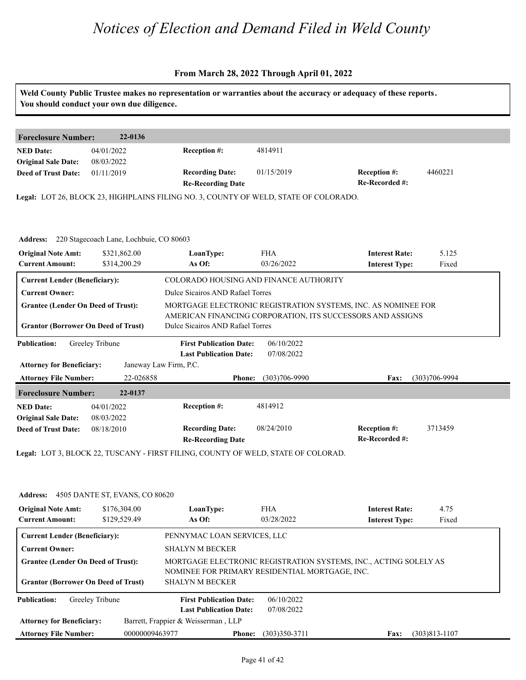| <b>Foreclosure Number:</b>                               | 22-0136                                          |                                                                                      |                          |                                                               |                   |  |  |
|----------------------------------------------------------|--------------------------------------------------|--------------------------------------------------------------------------------------|--------------------------|---------------------------------------------------------------|-------------------|--|--|
| <b>NED Date:</b>                                         | 04/01/2022                                       | <b>Reception #:</b>                                                                  | 4814911                  |                                                               |                   |  |  |
| <b>Original Sale Date:</b><br><b>Deed of Trust Date:</b> | 08/03/2022<br>01/11/2019                         | <b>Recording Date:</b>                                                               | 01/15/2019               | <b>Reception #:</b>                                           | 4460221           |  |  |
|                                                          |                                                  | <b>Re-Recording Date</b>                                                             |                          | Re-Recorded #:                                                |                   |  |  |
|                                                          |                                                  | Legal: LOT 26, BLOCK 23, HIGHPLAINS FILING NO. 3, COUNTY OF WELD, STATE OF COLORADO. |                          |                                                               |                   |  |  |
|                                                          |                                                  |                                                                                      |                          |                                                               |                   |  |  |
|                                                          |                                                  |                                                                                      |                          |                                                               |                   |  |  |
|                                                          |                                                  |                                                                                      |                          |                                                               |                   |  |  |
|                                                          | Address: 220 Stagecoach Lane, Lochbuie, CO 80603 |                                                                                      |                          |                                                               |                   |  |  |
| <b>Original Note Amt:</b>                                | \$321,862.00                                     | LoanType:                                                                            | <b>FHA</b><br>03/26/2022 | <b>Interest Rate:</b>                                         | 5.125             |  |  |
| <b>Current Amount:</b>                                   | \$314,200.29                                     | As Of:                                                                               |                          | <b>Interest Type:</b>                                         | Fixed             |  |  |
| <b>Current Lender (Beneficiary):</b>                     |                                                  | COLORADO HOUSING AND FINANCE AUTHORITY                                               |                          |                                                               |                   |  |  |
| <b>Current Owner:</b>                                    |                                                  | Dulce Sicairos AND Rafael Torres                                                     |                          |                                                               |                   |  |  |
| <b>Grantee (Lender On Deed of Trust):</b>                |                                                  |                                                                                      |                          | MORTGAGE ELECTRONIC REGISTRATION SYSTEMS, INC. AS NOMINEE FOR |                   |  |  |
|                                                          |                                                  |                                                                                      |                          | AMERICAN FINANCING CORPORATION, ITS SUCCESSORS AND ASSIGNS    |                   |  |  |
| <b>Grantor (Borrower On Deed of Trust)</b>               |                                                  | Dulce Sicairos AND Rafael Torres                                                     |                          |                                                               |                   |  |  |
| <b>Publication:</b>                                      | Greeley Tribune                                  | <b>First Publication Date:</b>                                                       | 06/10/2022               |                                                               |                   |  |  |
|                                                          |                                                  | <b>Last Publication Date:</b>                                                        | 07/08/2022               |                                                               |                   |  |  |
| <b>Attorney for Beneficiary:</b>                         |                                                  | Janeway Law Firm, P.C.                                                               |                          |                                                               |                   |  |  |
| <b>Attorney File Number:</b>                             | 22-026858                                        | <b>Phone:</b>                                                                        | $(303)706 - 9990$        | Fax:                                                          | $(303)706 - 9994$ |  |  |
| <b>Foreclosure Number:</b>                               | 22-0137                                          |                                                                                      |                          |                                                               |                   |  |  |
| <b>NED Date:</b>                                         | 04/01/2022                                       | Reception #:                                                                         | 4814912                  |                                                               |                   |  |  |
| <b>Original Sale Date:</b>                               | 08/03/2022                                       |                                                                                      |                          |                                                               |                   |  |  |
| <b>Deed of Trust Date:</b>                               | 08/18/2010                                       | <b>Recording Date:</b>                                                               | 08/24/2010               | <b>Reception #:</b>                                           | 3713459           |  |  |
|                                                          |                                                  | <b>Re-Recording Date</b>                                                             |                          | Re-Recorded #:                                                |                   |  |  |
|                                                          |                                                  | Legal: LOT 3, BLOCK 22, TUSCANY - FIRST FILING, COUNTY OF WELD, STATE OF COLORAD.    |                          |                                                               |                   |  |  |
|                                                          |                                                  |                                                                                      |                          |                                                               |                   |  |  |
|                                                          |                                                  |                                                                                      |                          |                                                               |                   |  |  |
|                                                          | Address: 4505 DANTE ST, EVANS, CO 80620          |                                                                                      |                          |                                                               |                   |  |  |
| <b>Original Note Amt:</b>                                | \$176,304.00<br>\$129,529.49                     | LoanType:<br>As Of:                                                                  | <b>FHA</b><br>03/28/2022 | <b>Interest Rate:</b>                                         | 4.75<br>Fixed     |  |  |

| <b>Original Note Amt:</b><br><b>Current Amount:</b>                                     | \$176,304.00<br>\$129,529.49 | LoanType:<br>As Of:                                                                                                                          | <b>FHA</b><br>03/28/2022 | <b>Interest Rate:</b><br><b>Interest Type:</b> | 4.75<br>Fixed     |  |  |
|-----------------------------------------------------------------------------------------|------------------------------|----------------------------------------------------------------------------------------------------------------------------------------------|--------------------------|------------------------------------------------|-------------------|--|--|
| <b>Current Lender (Beneficiary):</b>                                                    |                              | PENNYMAC LOAN SERVICES, LLC                                                                                                                  |                          |                                                |                   |  |  |
| <b>Current Owner:</b>                                                                   |                              | <b>SHALYN M BECKER</b>                                                                                                                       |                          |                                                |                   |  |  |
| <b>Grantee (Lender On Deed of Trust):</b><br><b>Grantor (Borrower On Deed of Trust)</b> |                              | MORTGAGE ELECTRONIC REGISTRATION SYSTEMS, INC., ACTING SOLELY AS<br>NOMINEE FOR PRIMARY RESIDENTIAL MORTGAGE, INC.<br><b>SHALYN M BECKER</b> |                          |                                                |                   |  |  |
| <b>Publication:</b>                                                                     | Greeley Tribune              | <b>First Publication Date:</b>                                                                                                               | 06/10/2022               |                                                |                   |  |  |
|                                                                                         |                              | <b>Last Publication Date:</b>                                                                                                                | 07/08/2022               |                                                |                   |  |  |
| <b>Attorney for Beneficiary:</b>                                                        |                              | Barrett, Frappier & Weisserman, LLP                                                                                                          |                          |                                                |                   |  |  |
| <b>Attorney File Number:</b>                                                            | 00000009463977               | <b>Phone:</b>                                                                                                                                | $(303)350 - 3711$        | <b>Fax:</b>                                    | $(303)813 - 1107$ |  |  |